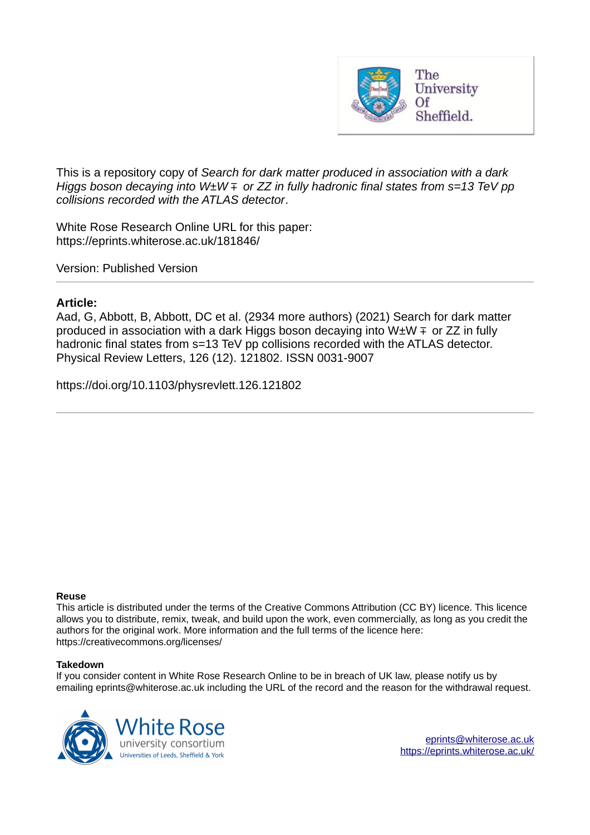

This is a repository copy of *Search for dark matter produced in association with a dark Higgs boson decaying into W±W* ∓ *or ZZ in fully hadronic final states from s=13 TeV pp collisions recorded with the ATLAS detector*.

White Rose Research Online URL for this paper: https://eprints.whiterose.ac.uk/181846/

Version: Published Version

## **Article:**

Aad, G, Abbott, B, Abbott, DC et al. (2934 more authors) (2021) Search for dark matter produced in association with a dark Higgs boson decaying into W $\pm W \mp$  or ZZ in fully hadronic final states from s=13 TeV pp collisions recorded with the ATLAS detector. Physical Review Letters, 126 (12). 121802. ISSN 0031-9007

https://doi.org/10.1103/physrevlett.126.121802

## **Reuse**

This article is distributed under the terms of the Creative Commons Attribution (CC BY) licence. This licence allows you to distribute, remix, tweak, and build upon the work, even commercially, as long as you credit the authors for the original work. More information and the full terms of the licence here: https://creativecommons.org/licenses/

## **Takedown**

If you consider content in White Rose Research Online to be in breach of UK law, please notify us by emailing eprints@whiterose.ac.uk including the URL of the record and the reason for the withdrawal request.

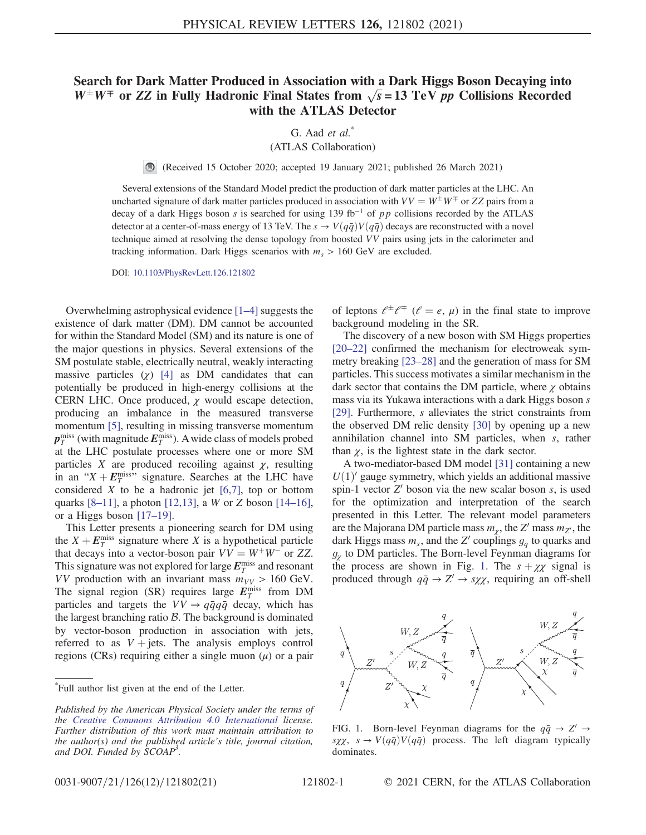## Search for Dark Matter Produced in Association with a Dark Higgs Boson Decaying into  $W^{\pm}W^{\mp}$  or ZZ in Fully Hadronic Final States from  $\sqrt{s}$  = 13 TeV *pp* Collisions Recorded with the ATLAS Detector

G. Aad et al.<sup>\*</sup> (ATLAS Collaboration)

(Received 15 October 2020; accepted 19 January 2021; published 26 March 2021)  $\bigcirc$ 

Several extensions of the Standard Model predict the production of dark matter particles at the LHC. An uncharted signature of dark matter particles produced in association with  $VV = W^{\pm}W^{\mp}$  or ZZ pairs from a decay of a dark Higgs boson s is searched for using 139 fb<sup>-1</sup> of pp collisions recorded by the ATLAS detector at a center-of-mass energy of 13 TeV. The  $s \to V(q\bar{q})V(q\bar{q})$  decays are reconstructed with a novel technique aimed at resolving the dense topology from boosted VV pairs using jets in the calorimeter and tracking information. Dark Higgs scenarios with  $m_s > 160$  GeV are excluded.

DOI: 10.1103/PhysRevLett.126.121802

Overwhelming astrophysical evidence [1–4] suggests the existence of dark matter (DM). DM cannot be accounted for within the Standard Model (SM) and its nature is one of the major questions in physics. Several extensions of the SM postulate stable, electrically neutral, weakly interacting massive particles  $(y)$  [4] as DM candidates that can potentially be produced in high-energy collisions at the CERN LHC. Once produced,  $\chi$  would escape detection, producing an imbalance in the measured transverse momentum [5], resulting in missing transverse momentum  $\bm{p}^{\rm miss}_{T}$  (with magnitude  $\bm{E}^{\rm miss}_{T}$ ). A wide class of models probed at the LHC postulate processes where one or more SM particles X are produced recoiling against  $\chi$ , resulting in an " $X + E_T^{\text{miss}}$ " signature. Searches at the LHC have considered  $X$  to be a hadronic jet  $[6,7]$ , top or bottom quarks  $[8-11]$ , a photon  $[12,13]$ , a W or Z boson  $[14-16]$ , or a Higgs boson [17–19].

This Letter presents a pioneering search for DM using the  $X + E_T^{\text{miss}}$  signature where X is a hypothetical particle that decays into a vector-boson pair  $VV = W^+W^-$  or ZZ. This signature was not explored for large  $E_T^{\text{miss}}$  and resonant VV production with an invariant mass  $m_{VV} > 160$  GeV. The signal region (SR) requires large  $E_T^{\text{miss}}$  from DM particles and targets the  $VV \rightarrow q\bar{q}q\bar{q}$  decay, which has the largest branching ratio  $\beta$ . The background is dominated by vector-boson production in association with jets, referred to as  $V + \text{jets}$ . The analysis employs control regions (CRs) requiring either a single muon  $(\mu)$  or a pair

\* Full author list given at the end of the Letter.

of leptons  $\ell^{\pm} \ell^{\mp}$  ( $\ell = e, \mu$ ) in the final state to improve background modeling in the SR.

The discovery of a new boson with SM Higgs properties [20–22] confirmed the mechanism for electroweak symmetry breaking [23–28] and the generation of mass for SM particles. This success motivates a similar mechanism in the dark sector that contains the DM particle, where  $\chi$  obtains mass via its Yukawa interactions with a dark Higgs boson s [29]. Furthermore, s alleviates the strict constraints from the observed DM relic density [30] by opening up a new annihilation channel into SM particles, when s, rather than  $\chi$ , is the lightest state in the dark sector.

A two-mediator-based DM model [31] containing a new  $U(1)$ ' gauge symmetry, which yields an additional massive spin-1 vector  $Z'$  boson via the new scalar boson  $s$ , is used for the optimization and interpretation of the search presented in this Letter. The relevant model parameters are the Majorana DM particle mass  $m_{\chi}$ , the Z' mass  $m_{Z'}$ , the dark Higgs mass  $m_s$ , and the Z' couplings  $g_q$  to quarks and  $g_{\chi}$  to DM particles. The Born-level Feynman diagrams for the process are shown in Fig. 1. The  $s + \chi \chi$  signal is produced through  $q\bar{q} \rightarrow Z' \rightarrow s\chi\chi$ , requiring an off-shell



FIG. 1. Born-level Feynman diagrams for the  $q\bar{q} \rightarrow Z' \rightarrow$  $s\chi\chi$ ,  $s \to V(q\bar{q})V(q\bar{q})$  process. The left diagram typically dominates.

Published by the American Physical Society under the terms of the Creative Commons Attribution 4.0 International license. Further distribution of this work must maintain attribution to the author(s) and the published article's title, journal citation, and DOI. Funded by SCOAP<sup>3</sup>.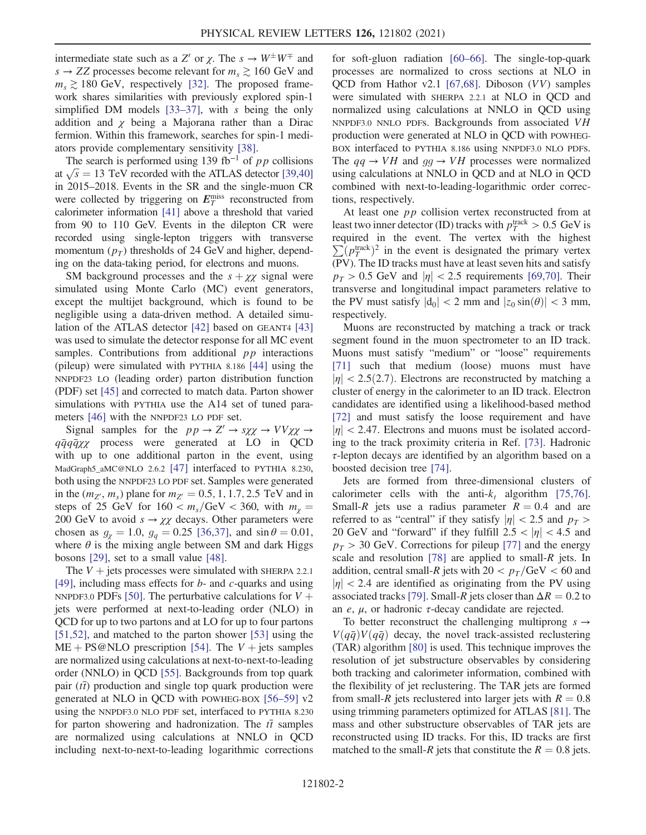intermediate state such as a Z' or  $\chi$ . The  $s \to W^{\pm}W^{\mp}$  and  $s \rightarrow ZZ$  processes become relevant for  $m_s \gtrsim 160 \text{ GeV}$  and  $m_s \gtrsim 180$  GeV, respectively [32]. The proposed framework shares similarities with previously explored spin-1 simplified DM models  $[33-37]$ , with s being the only addition and  $\chi$  being a Majorana rather than a Dirac fermion. Within this framework, searches for spin-1 mediators provide complementary sensitivity [38].

The search is performed using 139 fb<sup>-1</sup> of pp collisions at  $\sqrt{s}$  = 13 TeV recorded with the ATLAS detector [39,40] in 2015–2018. Events in the SR and the single-muon CR were collected by triggering on  $E_T^{\text{miss}}$  reconstructed from calorimeter information [41] above a threshold that varied from 90 to 110 GeV. Events in the dilepton CR were recorded using single-lepton triggers with transverse momentum  $(p_T)$  thresholds of 24 GeV and higher, depending on the data-taking period, for electrons and muons.

SM background processes and the  $s + \chi \chi$  signal were simulated using Monte Carlo (MC) event generators, except the multijet background, which is found to be negligible using a data-driven method. A detailed simulation of the ATLAS detector [42] based on GEANT4 [43] was used to simulate the detector response for all MC event samples. Contributions from additional  $pp$  interactions (pileup) were simulated with PYTHIA 8.186 [44] using the NNPDF23 LO (leading order) parton distribution function (PDF) set [45] and corrected to match data. Parton shower simulations with PYTHIA use the A14 set of tuned parameters [46] with the NNPDF23 LO PDF set.

Signal samples for the  $pp \to Z' \to s\chi\chi \to VV\chi\chi \to$  $q\bar{q}q\bar{q}\chi\chi$  process were generated at LO in QCD with up to one additional parton in the event, using MadGraph5\_aMC@NLO 2.6.2 [47] interfaced to PYTHIA 8.230, both using the NNPDF23 LO PDF set. Samples were generated in the  $(m_{Z'}, m_s)$  plane for  $m_{Z'} = 0.5, 1, 1.7, 2.5$  TeV and in steps of 25 GeV for  $160 < m_s/\text{GeV} < 360$ , with  $m_\gamma =$ 200 GeV to avoid  $s \to \chi \chi$  decays. Other parameters were chosen as  $g_{\gamma} = 1.0$ ,  $g_q = 0.25$  [36,37], and sin  $\theta = 0.01$ , where  $\theta$  is the mixing angle between SM and dark Higgs bosons [29], set to a small value [48].

The  $V +$  jets processes were simulated with SHERPA 2.2.1 [49], including mass effects for  $b$ - and  $c$ -quarks and using NNPDF3.0 PDFs [50]. The perturbative calculations for  $V +$ jets were performed at next-to-leading order (NLO) in QCD for up to two partons and at LO for up to four partons [51,52], and matched to the parton shower [53] using the  $ME + PS@NLO$  prescription [54]. The  $V +$  jets samples are normalized using calculations at next-to-next-to-leading order (NNLO) in QCD [55]. Backgrounds from top quark pair  $(t\bar{t})$  production and single top quark production were generated at NLO in QCD with POWHEG-BOX [56–59] v2 using the NNPDF3.0 NLO PDF set, interfaced to PYTHIA 8.230 for parton showering and hadronization. The  $t\bar{t}$  samples are normalized using calculations at NNLO in QCD including next-to-next-to-leading logarithmic corrections

for soft-gluon radiation [60–66]. The single-top-quark processes are normalized to cross sections at NLO in QCD from Hathor v2.1 [67,68]. Diboson (VV) samples were simulated with SHERPA 2.2.1 at NLO in QCD and normalized using calculations at NNLO in QCD using NNPDF3.0 NNLO PDFs. Backgrounds from associated VH production were generated at NLO in QCD with POWHEG-BOX interfaced to PYTHIA 8.186 using NNPDF3.0 NLO PDFs. The  $qq \rightarrow VH$  and  $qq \rightarrow VH$  processes were normalized using calculations at NNLO in QCD and at NLO in QCD combined with next-to-leading-logarithmic order corrections, respectively.

At least one  $pp$  collision vertex reconstructed from at least two inner detector (ID) tracks with  $p_T^{\text{track}} > 0.5 \text{ GeV}$  is required in the event. The vertex with the highest  $\sum (p_T^{\text{track}})^2$  in the event is designated the primary vertex (PV). The ID tracks must have at least seven hits and satisfy  $p_T > 0.5$  GeV and  $|\eta| < 2.5$  requirements [69,70]. Their transverse and longitudinal impact parameters relative to the PV must satisfy  $|d_0| < 2$  mm and  $|z_0 \sin(\theta)| < 3$  mm, respectively.

Muons are reconstructed by matching a track or track segment found in the muon spectrometer to an ID track. Muons must satisfy "medium" or "loose" requirements [71] such that medium (loose) muons must have  $|\eta|$  < 2.5(2.7). Electrons are reconstructed by matching a cluster of energy in the calorimeter to an ID track. Electron candidates are identified using a likelihood-based method [72] and must satisfy the loose requirement and have  $|\eta|$  < 2.47. Electrons and muons must be isolated according to the track proximity criteria in Ref. [73]. Hadronic  $\tau$ -lepton decays are identified by an algorithm based on a boosted decision tree [74].

Jets are formed from three-dimensional clusters of calorimeter cells with the anti- $k_t$  algorithm [75,76]. Small-R jets use a radius parameter  $R = 0.4$  and are referred to as "central" if they satisfy  $|\eta| < 2.5$  and  $p_T >$ 20 GeV and "forward" if they fulfill  $2.5 < |\eta| < 4.5$  and  $p_T > 30$  GeV. Corrections for pileup [77] and the energy scale and resolution [78] are applied to small- $R$  jets. In addition, central small-R jets with  $20 < p_T/\text{GeV} < 60$  and  $|\eta|$  < 2.4 are identified as originating from the PV using associated tracks [79]. Small-R jets closer than  $\Delta R = 0.2$  to an *e*,  $\mu$ , or hadronic *τ*-decay candidate are rejected.

To better reconstruct the challenging multiprong  $s \rightarrow$  $V(q\bar{q})V(q\bar{q})$  decay, the novel track-assisted reclustering (TAR) algorithm [80] is used. This technique improves the resolution of jet substructure observables by considering both tracking and calorimeter information, combined with the flexibility of jet reclustering. The TAR jets are formed from small-R jets reclustered into larger jets with  $R = 0.8$ using trimming parameters optimized for ATLAS [81]. The mass and other substructure observables of TAR jets are reconstructed using ID tracks. For this, ID tracks are first matched to the small-R jets that constitute the  $R = 0.8$  jets.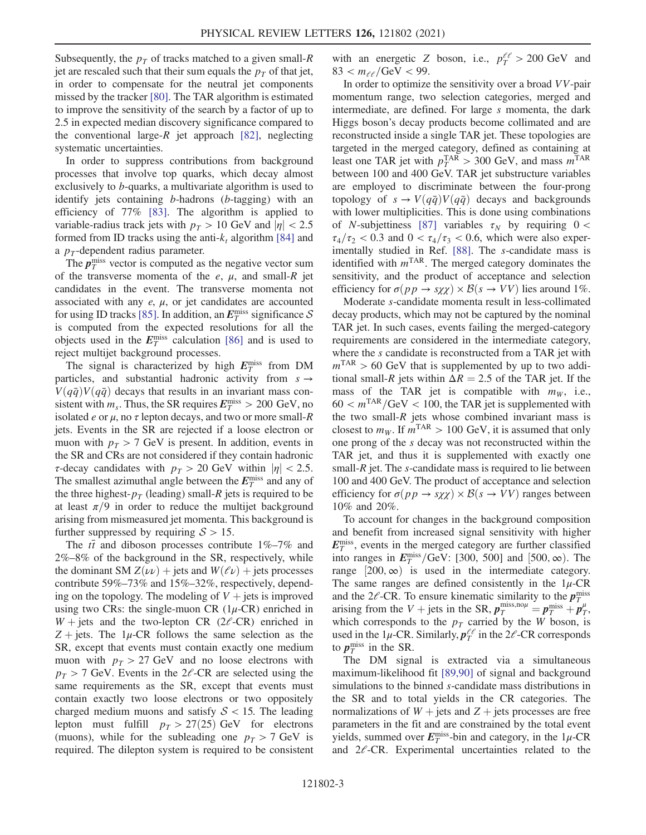Subsequently, the  $p<sub>T</sub>$  of tracks matched to a given small-R jet are rescaled such that their sum equals the  $p<sub>T</sub>$  of that jet, in order to compensate for the neutral jet components missed by the tracker [80]. The TAR algorithm is estimated to improve the sensitivity of the search by a factor of up to 2.5 in expected median discovery significance compared to the conventional large- $R$  jet approach [82], neglecting systematic uncertainties.

In order to suppress contributions from background processes that involve top quarks, which decay almost exclusively to b-quarks, a multivariate algorithm is used to identify jets containing b-hadrons (b-tagging) with an efficiency of 77% [83]. The algorithm is applied to variable-radius track jets with  $p_T > 10$  GeV and  $|\eta| < 2.5$ formed from ID tracks using the anti- $k_t$  algorithm [84] and a  $p_T$ -dependent radius parameter.

The  $p_T^{\text{miss}}$  vector is computed as the negative vector sum of the transverse momenta of the  $e$ ,  $\mu$ , and small-R jet candidates in the event. The transverse momenta not associated with any  $e$ ,  $\mu$ , or jet candidates are accounted for using ID tracks [85]. In addition, an  $E_T^{\text{miss}}$  significance S is computed from the expected resolutions for all the objects used in the  $E_T^{\text{miss}}$  calculation [86] and is used to reject multijet background processes.

The signal is characterized by high  $E_T^{\text{miss}}$  from DM particles, and substantial hadronic activity from  $s \rightarrow$  $V(q\bar{q})V(q\bar{q})$  decays that results in an invariant mass consistent with  $m_s$ . Thus, the SR requires  $E_T^{\text{miss}} > 200 \text{ GeV}$ , no isolated e or  $\mu$ , no  $\tau$  lepton decays, and two or more small-R jets. Events in the SR are rejected if a loose electron or muon with  $p_T > 7$  GeV is present. In addition, events in the SR and CRs are not considered if they contain hadronic  $\tau$ -decay candidates with  $p_T > 20$  GeV within  $|\eta| < 2.5$ . The smallest azimuthal angle between the  $E_T^{\text{miss}}$  and any of the three highest- $p_T$  (leading) small-R jets is required to be at least  $\pi/9$  in order to reduce the multijet background arising from mismeasured jet momenta. This background is further suppressed by requiring  $S > 15$ .

The  $t\bar{t}$  and diboson processes contribute 1%–7% and 2%–8% of the background in the SR, respectively, while the dominant SM  $Z(\nu\nu)$  + jets and  $W(\ell\nu)$  + jets processes contribute 59%–73% and 15%–32%, respectively, depending on the topology. The modeling of  $V +$  jets is improved using two CRs: the single-muon CR  $(1\mu$ -CR) enriched in  $W +$  jets and the two-lepton CR (2 $\ell$ -CR) enriched in  $Z + \text{jets}$ . The 1µ-CR follows the same selection as the SR, except that events must contain exactly one medium muon with  $p_T > 27$  GeV and no loose electrons with  $p_T > 7$  GeV. Events in the 2 $\ell$ -CR are selected using the same requirements as the SR, except that events must contain exactly two loose electrons or two oppositely charged medium muons and satisfy  $S < 15$ . The leading lepton must fulfill  $p_T > 27(25)$  GeV for electrons (muons), while for the subleading one  $p_T > 7$  GeV is required. The dilepton system is required to be consistent

with an energetic Z boson, i.e.,  $p_T^{\ell\ell} > 200 \text{ GeV}$  and  $83 < m_{ee}/GeV < 99$ .

In order to optimize the sensitivity over a broad VV-pair momentum range, two selection categories, merged and intermediate, are defined. For large s momenta, the dark Higgs boson's decay products become collimated and are reconstructed inside a single TAR jet. These topologies are targeted in the merged category, defined as containing at least one TAR jet with  $p_T^{\text{TAR}} > 300 \text{ GeV}$ , and mass  $m^{\text{TAR}}$ between 100 and 400 GeV. TAR jet substructure variables are employed to discriminate between the four-prong topology of  $s \to V(q\bar{q})V(q\bar{q})$  decays and backgrounds with lower multiplicities. This is done using combinations of *N*-subjettiness [87] variables  $\tau_N$  by requiring 0 <  $\tau_4/\tau_2$  < 0.3 and 0 <  $\tau_4/\tau_3$  < 0.6, which were also experimentally studied in Ref. [88]. The s-candidate mass is identified with  $m<sup>TAR</sup>$ . The merged category dominates the sensitivity, and the product of acceptance and selection efficiency for  $\sigma(pp \to s\chi\chi) \times \mathcal{B}(s \to VV)$  lies around 1%.

Moderate s-candidate momenta result in less-collimated decay products, which may not be captured by the nominal TAR jet. In such cases, events failing the merged-category requirements are considered in the intermediate category, where the s candidate is reconstructed from a TAR jet with  $m<sup>TAR</sup> > 60$  GeV that is supplemented by up to two additional small-R jets within  $\Delta R = 2.5$  of the TAR jet. If the mass of the TAR jet is compatible with  $m_W$ , i.e.,  $60 < m<sup>TAR</sup>/GeV < 100$ , the TAR jet is supplemented with the two small- $R$  jets whose combined invariant mass is closest to  $m_W$ . If  $m^{TAR} > 100$  GeV, it is assumed that only one prong of the s decay was not reconstructed within the TAR jet, and thus it is supplemented with exactly one small- $R$  jet. The  $s$ -candidate mass is required to lie between 100 and 400 GeV. The product of acceptance and selection efficiency for  $\sigma(pp \to s\chi\chi) \times \mathcal{B}(s \to VV)$  ranges between 10% and 20%.

To account for changes in the background composition and benefit from increased signal sensitivity with higher  $E_T^{\text{miss}}$ , events in the merged category are further classified into ranges in  $E_T^{\text{miss}}$ /GeV: [300, 500] and [500,  $\infty$ ). The range  $[200, \infty)$  is used in the intermediate category. The same ranges are defined consistently in the  $1\mu$ -CR and the 2 $\ell$ -CR. To ensure kinematic similarity to the  $p_T^{\text{miss}}$ arising from the V + jets in the SR,  $p_T^{\text{miss},\text{no}\mu} = p_T^{\text{miss}} + p_T^{\mu}$ , which corresponds to the  $p_T$  carried by the W boson, is used in the 1 $\mu$ -CR. Similarly,  $p_T^{\ell\ell}$  $\frac{\ell \ell}{T}$  in the 2 $\ell$ -CR corresponds to  $p_T^{\text{miss}}$  in the SR.

The DM signal is extracted via a simultaneous maximum-likelihood fit [89,90] of signal and background simulations to the binned s-candidate mass distributions in the SR and to total yields in the CR categories. The normalizations of  $W +$  jets and  $Z +$  jets processes are free parameters in the fit and are constrained by the total event yields, summed over  $E_T^{\text{miss}}$ -bin and category, in the  $1\mu$ -CR and  $2e$ -CR. Experimental uncertainties related to the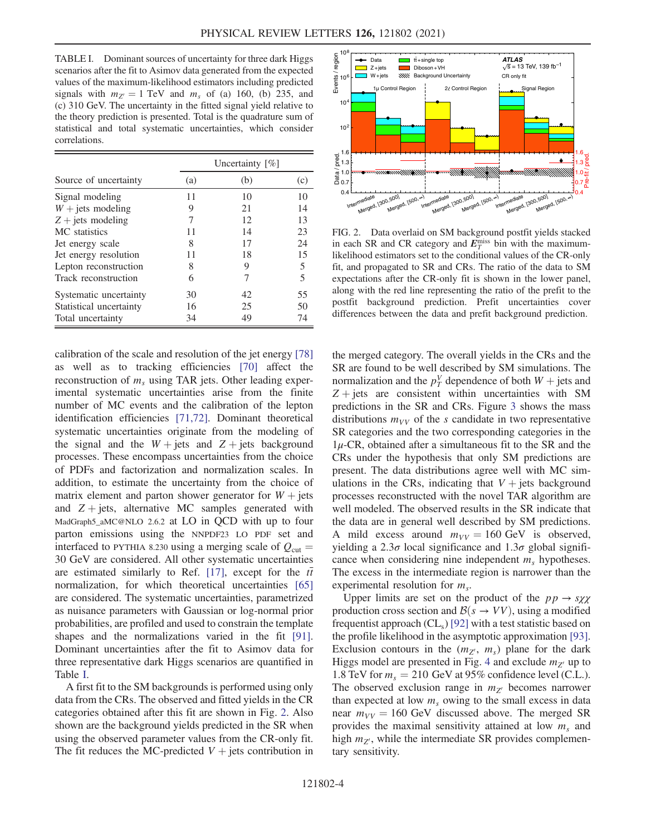TABLE I. Dominant sources of uncertainty for three dark Higgs scenarios after the fit to Asimov data generated from the expected values of the maximum-likelihood estimators including predicted signals with  $m_{Z'} = 1$  TeV and  $m_s$  of (a) 160, (b) 235, and (c) 310 GeV. The uncertainty in the fitted signal yield relative to the theory prediction is presented. Total is the quadrature sum of statistical and total systematic uncertainties, which consider correlations.

| Source of uncertainty   | Uncertainty $[\%]$ |     |     |
|-------------------------|--------------------|-----|-----|
|                         | (a)                | (b) | (c) |
| Signal modeling         | 11                 | 10  | 10  |
| $W +$ jets modeling     | 9                  | 21  | 14  |
| $Z +$ jets modeling     | 7                  | 12  | 13  |
| MC statistics           | 11                 | 14  | 23  |
| Jet energy scale        | 8                  | 17  | 24  |
| Jet energy resolution   | 11                 | 18  | 15  |
| Lepton reconstruction   | 8                  | 9   | 5   |
| Track reconstruction    | 6                  | 7   | 5   |
| Systematic uncertainty  | 30                 | 42  | 55  |
| Statistical uncertainty | 16                 | 25  | 50  |
| Total uncertainty       | 34                 | 49  | 74  |

calibration of the scale and resolution of the jet energy [78] as well as to tracking efficiencies [70] affect the reconstruction of  $m<sub>s</sub>$  using TAR jets. Other leading experimental systematic uncertainties arise from the finite number of MC events and the calibration of the lepton identification efficiencies [71,72]. Dominant theoretical systematic uncertainties originate from the modeling of the signal and the  $W + jets$  and  $Z + jets$  background processes. These encompass uncertainties from the choice of PDFs and factorization and normalization scales. In addition, to estimate the uncertainty from the choice of matrix element and parton shower generator for  $W + \text{jets}$ and  $Z + \text{jets}$ , alternative MC samples generated with MadGraph5\_aMC@NLO 2.6.2 at LO in QCD with up to four parton emissions using the NNPDF23 LO PDF set and interfaced to PYTHIA 8.230 using a merging scale of  $Q_{\text{cut}} =$ 30 GeV are considered. All other systematic uncertainties are estimated similarly to Ref. [17], except for the  $t\bar{t}$ normalization, for which theoretical uncertainties [65] are considered. The systematic uncertainties, parametrized as nuisance parameters with Gaussian or log-normal prior probabilities, are profiled and used to constrain the template shapes and the normalizations varied in the fit [91]. Dominant uncertainties after the fit to Asimov data for three representative dark Higgs scenarios are quantified in Table I.

A first fit to the SM backgrounds is performed using only data from the CRs. The observed and fitted yields in the CR categories obtained after this fit are shown in Fig. 2. Also shown are the background yields predicted in the SR when using the observed parameter values from the CR-only fit. The fit reduces the MC-predicted  $V +$  jets contribution in



FIG. 2. Data overlaid on SM background postfit yields stacked in each SR and CR category and  $E_T^{\text{miss}}$  bin with the maximumlikelihood estimators set to the conditional values of the CR-only fit, and propagated to SR and CRs. The ratio of the data to SM expectations after the CR-only fit is shown in the lower panel, along with the red line representing the ratio of the prefit to the postfit background prediction. Prefit uncertainties cover differences between the data and prefit background prediction.

the merged category. The overall yields in the CRs and the SR are found to be well described by SM simulations. The normalization and the  $p_T^V$  dependence of both  $W + \text{jets}$  and  $Z + jets$  are consistent within uncertainties with SM predictions in the SR and CRs. Figure 3 shows the mass distributions  $m_{VV}$  of the s candidate in two representative SR categories and the two corresponding categories in the  $1\mu$ -CR, obtained after a simultaneous fit to the SR and the CRs under the hypothesis that only SM predictions are present. The data distributions agree well with MC simulations in the CRs, indicating that  $V +$  jets background processes reconstructed with the novel TAR algorithm are well modeled. The observed results in the SR indicate that the data are in general well described by SM predictions. A mild excess around  $m_{VV} = 160 \text{ GeV}$  is observed, yielding a  $2.3\sigma$  local significance and  $1.3\sigma$  global significance when considering nine independent  $m<sub>s</sub>$  hypotheses. The excess in the intermediate region is narrower than the experimental resolution for  $m<sub>s</sub>$ .

Upper limits are set on the product of the  $pp \rightarrow s\chi\chi$ production cross section and  $\mathcal{B}(s \to VV)$ , using a modified frequentist approach  $CL<sub>s</sub>$ ) [92] with a test statistic based on the profile likelihood in the asymptotic approximation [93]. Exclusion contours in the  $(m_{Z'}, m_s)$  plane for the dark Higgs model are presented in Fig. 4 and exclude  $m_{Z'}$  up to 1.8 TeV for  $m_s = 210$  GeV at 95% confidence level (C.L.). The observed exclusion range in  $m_{Z'}$  becomes narrower than expected at low  $m<sub>s</sub>$  owing to the small excess in data near  $m_{VV} = 160$  GeV discussed above. The merged SR provides the maximal sensitivity attained at low  $m<sub>s</sub>$  and high  $m_{Z'}$ , while the intermediate SR provides complementary sensitivity.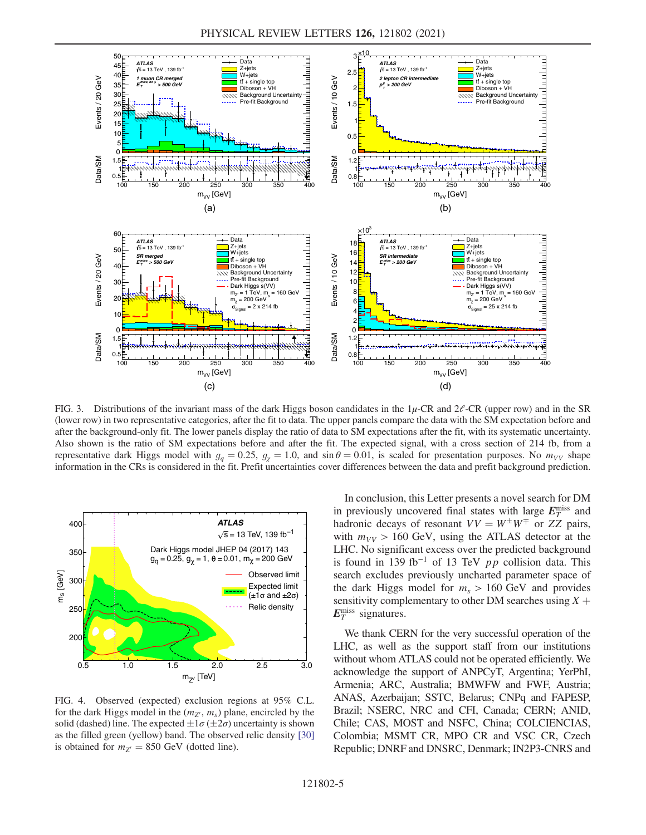

FIG. 3. Distributions of the invariant mass of the dark Higgs boson candidates in the  $1\mu$ -CR and  $2\ell$ -CR (upper row) and in the SR (lower row) in two representative categories, after the fit to data. The upper panels compare the data with the SM expectation before and after the background-only fit. The lower panels display the ratio of data to SM expectations after the fit, with its systematic uncertainty. Also shown is the ratio of SM expectations before and after the fit. The expected signal, with a cross section of 214 fb, from a representative dark Higgs model with  $g_q = 0.25$ ,  $g_y = 1.0$ , and  $\sin \theta = 0.01$ , is scaled for presentation purposes. No  $m_{VV}$  shape information in the CRs is considered in the fit. Prefit uncertainties cover differences between the data and prefit background prediction.



FIG. 4. Observed (expected) exclusion regions at 95% C.L. for the dark Higgs model in the  $(m_{Z'}, m_s)$  plane, encircled by the solid (dashed) line. The expected  $\pm 1\sigma (\pm 2\sigma)$  uncertainty is shown as the filled green (yellow) band. The observed relic density [30] is obtained for  $m_{Z'} = 850$  GeV (dotted line).

In conclusion, this Letter presents a novel search for DM in previously uncovered final states with large  $E_T^{\text{miss}}$  and hadronic decays of resonant  $VV = W^{\pm}W^{\mp}$  or ZZ pairs, with  $m_{VV} > 160$  GeV, using the ATLAS detector at the LHC. No significant excess over the predicted background is found in 139 fb<sup>-1</sup> of 13 TeV  $pp$  collision data. This search excludes previously uncharted parameter space of the dark Higgs model for  $m_s > 160$  GeV and provides sensitivity complementary to other DM searches using  $X +$  $E_T^{\text{miss}}$  signatures.

We thank CERN for the very successful operation of the LHC, as well as the support staff from our institutions without whom ATLAS could not be operated efficiently. We acknowledge the support of ANPCyT, Argentina; YerPhI, Armenia; ARC, Australia; BMWFW and FWF, Austria; ANAS, Azerbaijan; SSTC, Belarus; CNPq and FAPESP, Brazil; NSERC, NRC and CFI, Canada; CERN; ANID, Chile; CAS, MOST and NSFC, China; COLCIENCIAS, Colombia; MSMT CR, MPO CR and VSC CR, Czech Republic; DNRF and DNSRC, Denmark; IN2P3-CNRS and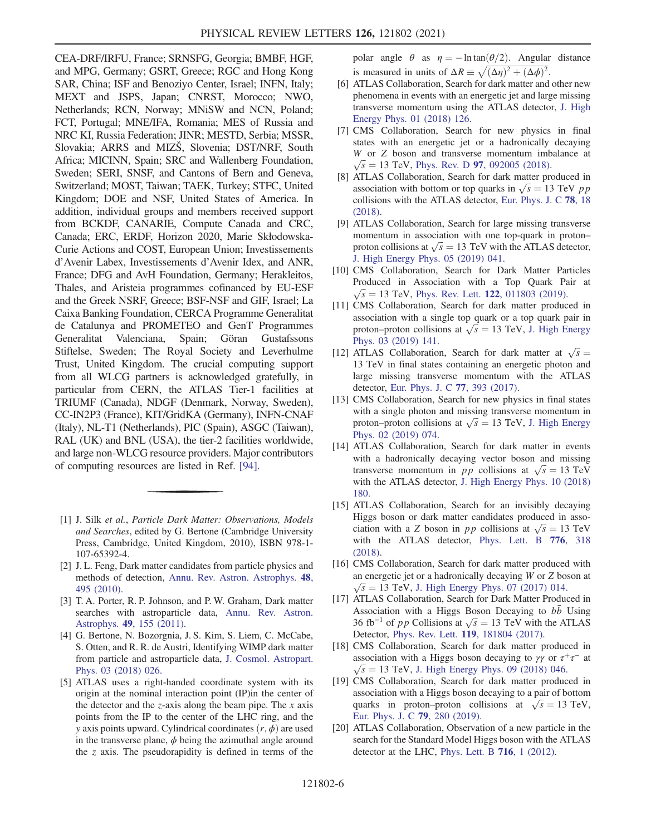CEA-DRF/IRFU, France; SRNSFG, Georgia; BMBF, HGF, and MPG, Germany; GSRT, Greece; RGC and Hong Kong SAR, China; ISF and Benoziyo Center, Israel; INFN, Italy; MEXT and JSPS, Japan; CNRST, Morocco; NWO, Netherlands; RCN, Norway; MNiSW and NCN, Poland; FCT, Portugal; MNE/IFA, Romania; MES of Russia and NRC KI, Russia Federation; JINR; MESTD, Serbia; MSSR, Slovakia; ARRS and MIZŠ, Slovenia; DST/NRF, South Africa; MICINN, Spain; SRC and Wallenberg Foundation, Sweden; SERI, SNSF, and Cantons of Bern and Geneva, Switzerland; MOST, Taiwan; TAEK, Turkey; STFC, United Kingdom; DOE and NSF, United States of America. In addition, individual groups and members received support from BCKDF, CANARIE, Compute Canada and CRC, Canada; ERC, ERDF, Horizon 2020, Marie Skłodowska-Curie Actions and COST, European Union; Investissements d'Avenir Labex, Investissements d'Avenir Idex, and ANR, France; DFG and AvH Foundation, Germany; Herakleitos, Thales, and Aristeia programmes cofinanced by EU-ESF and the Greek NSRF, Greece; BSF-NSF and GIF, Israel; La Caixa Banking Foundation, CERCA Programme Generalitat de Catalunya and PROMETEO and GenT Programmes Generalitat Valenciana, Spain; Göran Gustafssons Stiftelse, Sweden; The Royal Society and Leverhulme Trust, United Kingdom. The crucial computing support from all WLCG partners is acknowledged gratefully, in particular from CERN, the ATLAS Tier-1 facilities at TRIUMF (Canada), NDGF (Denmark, Norway, Sweden), CC-IN2P3 (France), KIT/GridKA (Germany), INFN-CNAF (Italy), NL-T1 (Netherlands), PIC (Spain), ASGC (Taiwan), RAL (UK) and BNL (USA), the tier-2 facilities worldwide, and large non-WLCG resource providers. Major contributors of computing resources are listed in Ref. [94].

- [1] J. Silk et al., Particle Dark Matter: Observations, Models and Searches, edited by G. Bertone (Cambridge University Press, Cambridge, United Kingdom, 2010), ISBN 978-1- 107-65392-4.
- [2] J. L. Feng, Dark matter candidates from particle physics and methods of detection, Annu. Rev. Astron. Astrophys. 48, 495 (2010).
- [3] T. A. Porter, R. P. Johnson, and P. W. Graham, Dark matter searches with astroparticle data, Annu. Rev. Astron. Astrophys. 49, 155 (2011).
- [4] G. Bertone, N. Bozorgnia, J. S. Kim, S. Liem, C. McCabe, S. Otten, and R. R. de Austri, Identifying WIMP dark matter from particle and astroparticle data, J. Cosmol. Astropart. Phys. 03 (2018) 026.
- [5] ATLAS uses a right-handed coordinate system with its origin at the nominal interaction point (IP)in the center of the detector and the  $z$ -axis along the beam pipe. The  $x$  axis points from the IP to the center of the LHC ring, and the y axis points upward. Cylindrical coordinates  $(r, \phi)$  are used in the transverse plane,  $\phi$  being the azimuthal angle around the z axis. The pseudorapidity is defined in terms of the

polar angle  $\theta$  as  $\eta = -\ln \tan(\theta/2)$ . Angular distance is measured in units of  $\Delta R \equiv \sqrt{(\Delta \eta)^2 + (\Delta \phi)^2}$ .

- [6] ATLAS Collaboration, Search for dark matter and other new phenomena in events with an energetic jet and large missing transverse momentum using the ATLAS detector, J. High Energy Phys. 01 (2018) 126.
- [7] CMS Collaboration, Search for new physics in final states with an energetic jet or a hadronically decaying W or Z boson and transverse momentum imbalance at  $\sqrt{s}$  = 13 TeV, Phys. Rev. D 97, 092005 (2018).
- [8] ATLAS Collaboration, Search for dark matter produced in association with bottom or top quarks in  $\sqrt{s} = 13$  TeV pp collisions with the ATLAS detector, Eur. Phys. J. C 78, 18 (2018).
- [9] ATLAS Collaboration, Search for large missing transverse momentum in association with one top-quark in proton– proton collisions at  $\sqrt{s} = 13$  TeV with the ATLAS detector, J. High Energy Phys. 05 (2019) 041.
- [10] CMS Collaboration, Search for Dark Matter Particles Produced in Association with a Top Quark Pair at  $\sqrt{s}$  = 13 TeV, Phys. Rev. Lett. 122, 011803 (2019).
- [11] CMS Collaboration, Search for dark matter produced in association with a single top quark or a top quark pair in proton–proton collisions at  $\sqrt{s} = 13$  TeV, J. High Energy Phys. 03 (2019) 141.
- [12] ATLAS Collaboration, Search for dark matter at  $\sqrt{s}$  = 13 TeV in final states containing an energetic photon and large missing transverse momentum with the ATLAS detector, Eur. Phys. J. C 77, 393 (2017).
- [13] CMS Collaboration, Search for new physics in final states with a single photon and missing transverse momentum in proton–proton collisions at  $\sqrt{s}$  = 13 TeV, J. High Energy Phys. 02 (2019) 074.
- [14] ATLAS Collaboration, Search for dark matter in events with a hadronically decaying vector boson and missing transverse momentum in *pp* collisions at  $\sqrt{s} = 13$  TeV with the ATLAS detector, J. High Energy Phys. 10 (2018) 180.
- [15] ATLAS Collaboration, Search for an invisibly decaying Higgs boson or dark matter candidates produced in association with a Z boson in pp collisions at  $\sqrt{s} = 13$  TeV with the ATLAS detector, Phys. Lett. B 776, 318 (2018).
- [16] CMS Collaboration, Search for dark matter produced with an energetic jet or a hadronically decaying W or Z boson at  $\sqrt{s} = 13$  TeV, J. High Energy Phys. 07 (2017) 014.
- [17] ATLAS Collaboration, Search for Dark Matter Produced in Association with a Higgs Boson Decaying to bb Using 36 fb<sup>-1</sup> of *pp* Collisions at  $\sqrt{s}$  = 13 TeV with the ATLAS Detector, Phys. Rev. Lett. 119, 181804 (2017).
- [18] CMS Collaboration, Search for dark matter produced in association with a Higgs boson decaying to  $\gamma \gamma$  or  $\tau^+ \tau^-$  at  $\sqrt{s} = 13$  TeV, J. High Energy Phys. 09 (2018) 046.
- [19] CMS Collaboration, Search for dark matter produced in association with a Higgs boson decaying to a pair of bottom quarks in proton–proton collisions at  $\sqrt{s} = 13$  TeV, Eur. Phys. J. C 79, 280 (2019).
- [20] ATLAS Collaboration, Observation of a new particle in the search for the Standard Model Higgs boson with the ATLAS detector at the LHC, Phys. Lett. B 716, 1 (2012).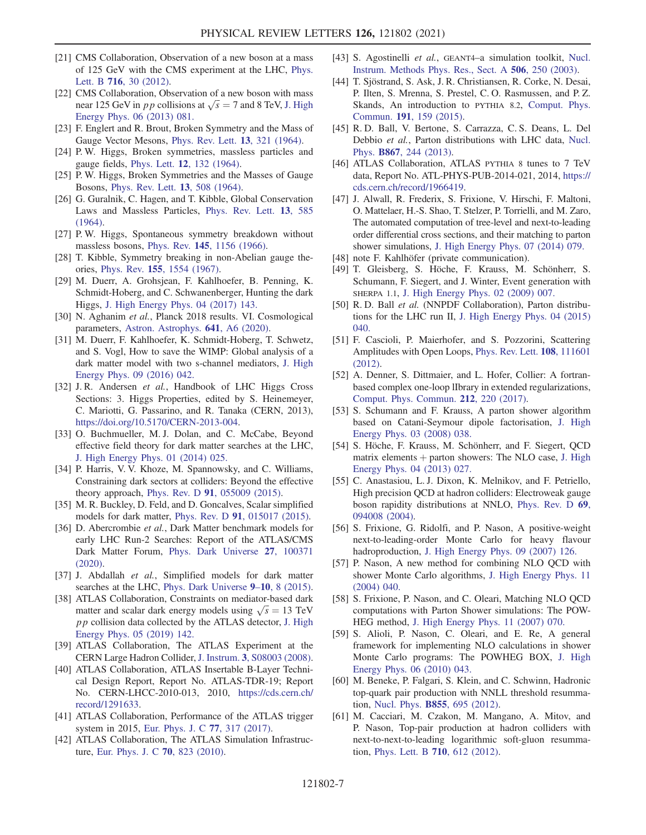- [21] CMS Collaboration, Observation of a new boson at a mass of 125 GeV with the CMS experiment at the LHC, Phys. Lett. B 716, 30 (2012).
- [22] CMS Collaboration, Observation of a new boson with mass near 125 GeV in *pp* collisions at  $\sqrt{s} = 7$  and 8 TeV, J. High Energy Phys. 06 (2013) 081.
- [23] F. Englert and R. Brout, Broken Symmetry and the Mass of Gauge Vector Mesons, Phys. Rev. Lett. 13, 321 (1964).
- [24] P. W. Higgs, Broken symmetries, massless particles and gauge fields, Phys. Lett. 12, 132 (1964).
- [25] P. W. Higgs, Broken Symmetries and the Masses of Gauge Bosons, Phys. Rev. Lett. 13, 508 (1964).
- [26] G. Guralnik, C. Hagen, and T. Kibble, Global Conservation Laws and Massless Particles, Phys. Rev. Lett. 13, 585 (1964).
- [27] P.W. Higgs, Spontaneous symmetry breakdown without massless bosons, Phys. Rev. 145, 1156 (1966).
- [28] T. Kibble, Symmetry breaking in non-Abelian gauge theories, Phys. Rev. 155, 1554 (1967).
- [29] M. Duerr, A. Grohsjean, F. Kahlhoefer, B. Penning, K. Schmidt-Hoberg, and C. Schwanenberger, Hunting the dark Higgs, J. High Energy Phys. 04 (2017) 143.
- [30] N. Aghanim et al., Planck 2018 results. VI. Cosmological parameters, Astron. Astrophys. 641, A6 (2020).
- [31] M. Duerr, F. Kahlhoefer, K. Schmidt-Hoberg, T. Schwetz, and S. Vogl, How to save the WIMP: Global analysis of a dark matter model with two s-channel mediators, J. High Energy Phys. 09 (2016) 042.
- [32] J. R. Andersen et al., Handbook of LHC Higgs Cross Sections: 3. Higgs Properties, edited by S. Heinemeyer, C. Mariotti, G. Passarino, and R. Tanaka (CERN, 2013), https://doi.org/10.5170/CERN-2013-004.
- [33] O. Buchmueller, M.J. Dolan, and C. McCabe, Beyond effective field theory for dark matter searches at the LHC, J. High Energy Phys. 01 (2014) 025.
- [34] P. Harris, V. V. Khoze, M. Spannowsky, and C. Williams, Constraining dark sectors at colliders: Beyond the effective theory approach, Phys. Rev. D 91, 055009 (2015).
- [35] M. R. Buckley, D. Feld, and D. Goncalves, Scalar simplified models for dark matter, Phys. Rev. D 91, 015017 (2015).
- [36] D. Abercrombie et al., Dark Matter benchmark models for early LHC Run-2 Searches: Report of the ATLAS/CMS Dark Matter Forum, Phys. Dark Universe 27, 100371 (2020).
- [37] J. Abdallah et al., Simplified models for dark matter searches at the LHC, Phys. Dark Universe 9–10, 8 (2015).
- [38] ATLAS Collaboration, Constraints on mediator-based dark matter and scalar dark energy models using  $\sqrt{s} = 13$  TeV pp collision data collected by the ATLAS detector, J. High Energy Phys. 05 (2019) 142.
- [39] ATLAS Collaboration, The ATLAS Experiment at the CERN Large Hadron Collider, J. Instrum. 3, S08003 (2008).
- [40] ATLAS Collaboration, ATLAS Insertable B-Layer Technical Design Report, Report No. ATLAS-TDR-19; Report No. CERN-LHCC-2010-013, 2010, https://cds.cern.ch/ record/1291633.
- [41] ATLAS Collaboration, Performance of the ATLAS trigger system in 2015, Eur. Phys. J. C 77, 317 (2017).
- [42] ATLAS Collaboration, The ATLAS Simulation Infrastructure, Eur. Phys. J. C 70, 823 (2010).
- [43] S. Agostinelli et al., GEANT4-a simulation toolkit, Nucl. Instrum. Methods Phys. Res., Sect. A 506, 250 (2003).
- [44] T. Sjöstrand, S. Ask, J. R. Christiansen, R. Corke, N. Desai, P. Ilten, S. Mrenna, S. Prestel, C. O. Rasmussen, and P. Z. Skands, An introduction to PYTHIA 8.2, Comput. Phys. Commun. 191, 159 (2015).
- [45] R. D. Ball, V. Bertone, S. Carrazza, C. S. Deans, L. Del Debbio et al., Parton distributions with LHC data, Nucl. Phys. B867, 244 (2013).
- [46] ATLAS Collaboration, ATLAS PYTHIA 8 tunes to 7 TeV data, Report No. ATL-PHYS-PUB-2014-021, 2014, https:// cds.cern.ch/record/1966419.
- [47] J. Alwall, R. Frederix, S. Frixione, V. Hirschi, F. Maltoni, O. Mattelaer, H.-S. Shao, T. Stelzer, P. Torrielli, and M. Zaro, The automated computation of tree-level and next-to-leading order differential cross sections, and their matching to parton shower simulations, J. High Energy Phys. 07 (2014) 079.
- [48] note F. Kahlhöfer (private communication).
- [49] T. Gleisberg, S. Höche, F. Krauss, M. Schönherr, S. Schumann, F. Siegert, and J. Winter, Event generation with SHERPA 1.1, J. High Energy Phys. 02 (2009) 007.
- [50] R. D. Ball et al. (NNPDF Collaboration), Parton distributions for the LHC run II, J. High Energy Phys. 04 (2015) 040.
- [51] F. Cascioli, P. Maierhofer, and S. Pozzorini, Scattering Amplitudes with Open Loops, Phys. Rev. Lett. 108, 111601 (2012).
- [52] A. Denner, S. Dittmaier, and L. Hofer, Collier: A fortranbased complex one-loop lIbrary in extended regularizations, Comput. Phys. Commun. 212, 220 (2017).
- [53] S. Schumann and F. Krauss, A parton shower algorithm based on Catani-Seymour dipole factorisation, J. High Energy Phys. 03 (2008) 038.
- [54] S. Höche, F. Krauss, M. Schönherr, and F. Siegert, QCD matrix elements  $+$  parton showers: The NLO case, J. High Energy Phys. 04 (2013) 027.
- [55] C. Anastasiou, L. J. Dixon, K. Melnikov, and F. Petriello, High precision QCD at hadron colliders: Electroweak gauge boson rapidity distributions at NNLO, Phys. Rev. D 69, 094008 (2004).
- [56] S. Frixione, G. Ridolfi, and P. Nason, A positive-weight next-to-leading-order Monte Carlo for heavy flavour hadroproduction, J. High Energy Phys. 09 (2007) 126.
- [57] P. Nason, A new method for combining NLO QCD with shower Monte Carlo algorithms, J. High Energy Phys. 11 (2004) 040.
- [58] S. Frixione, P. Nason, and C. Oleari, Matching NLO QCD computations with Parton Shower simulations: The POW-HEG method, J. High Energy Phys. 11 (2007) 070.
- [59] S. Alioli, P. Nason, C. Oleari, and E. Re, A general framework for implementing NLO calculations in shower Monte Carlo programs: The POWHEG BOX, J. High Energy Phys. 06 (2010) 043.
- [60] M. Beneke, P. Falgari, S. Klein, and C. Schwinn, Hadronic top-quark pair production with NNLL threshold resummation, Nucl. Phys. B855, 695 (2012).
- [61] M. Cacciari, M. Czakon, M. Mangano, A. Mitov, and P. Nason, Top-pair production at hadron colliders with next-to-next-to-leading logarithmic soft-gluon resummation, Phys. Lett. B 710, 612 (2012).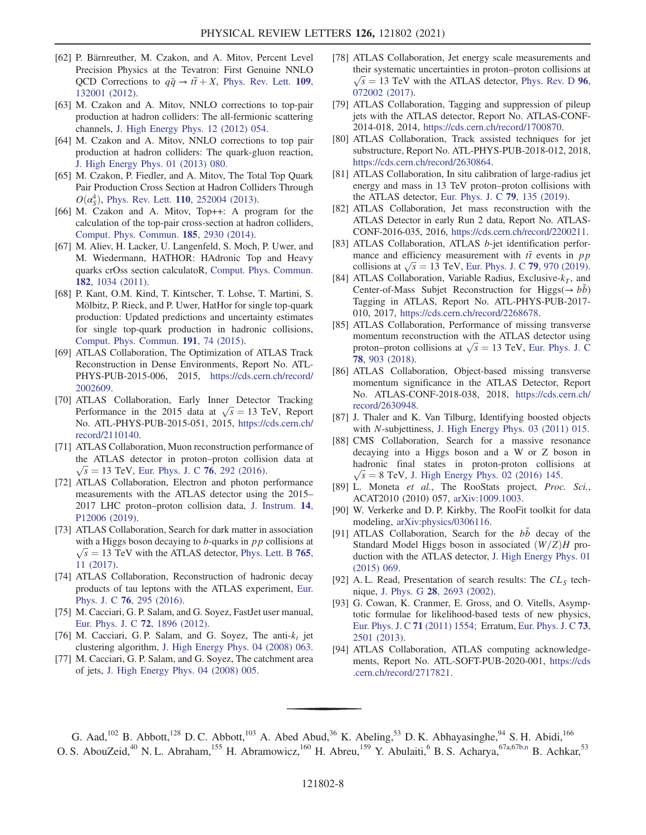- [62] P. Bärnreuther, M. Czakon, and A. Mitov, Percent Level Precision Physics at the Tevatron: First Genuine NNLO QCD Corrections to  $q\bar{q} \rightarrow t\bar{t} + X$ , Phys. Rev. Lett. 109, 132001 (2012).
- [63] M. Czakon and A. Mitov, NNLO corrections to top-pair production at hadron colliders: The all-fermionic scattering channels, J. High Energy Phys. 12 (2012) 054.
- [64] M. Czakon and A. Mitov, NNLO corrections to top pair production at hadron colliders: The quark-gluon reaction, J. High Energy Phys. 01 (2013) 080.
- [65] M. Czakon, P. Fiedler, and A. Mitov, The Total Top Quark Pair Production Cross Section at Hadron Colliders Through  $O(\alpha_s^4)$ , Phys. Rev. Lett. **110**, 252004 (2013).
- [66] M. Czakon and A. Mitov, Top++: A program for the calculation of the top-pair cross-section at hadron colliders, Comput. Phys. Commun. 185, 2930 (2014).
- [67] M. Aliev, H. Lacker, U. Langenfeld, S. Moch, P. Uwer, and M. Wiedermann, HATHOR: HAdronic Top and Heavy quarks crOss section calculatoR, Comput. Phys. Commun. 182, 1034 (2011).
- [68] P. Kant, O.M. Kind, T. Kintscher, T. Lohse, T. Martini, S. Mölbitz, P. Rieck, and P. Uwer, HatHor for single top-quark production: Updated predictions and uncertainty estimates for single top-quark production in hadronic collisions, Comput. Phys. Commun. 191, 74 (2015).
- [69] ATLAS Collaboration, The Optimization of ATLAS Track Reconstruction in Dense Environments, Report No. ATL-PHYS-PUB-2015-006, 2015, https://cds.cern.ch/record/ 2002609.
- [70] ATLAS Collaboration, Early Inner Detector Tracking Performance in the 2015 data at  $\sqrt{s} = 13$  TeV, Report No. ATL-PHYS-PUB-2015-051, 2015, https://cds.cern.ch/ record/2110140.
- [71] ATLAS Collaboration, Muon reconstruction performance of the ATLAS detector in proton–proton collision data at  $\sqrt{s}$  = 13 TeV, Eur. Phys. J. C 76, 292 (2016).
- [72] ATLAS Collaboration, Electron and photon performance measurements with the ATLAS detector using the 2015– 2017 LHC proton–proton collision data, J. Instrum. 14, P12006 (2019).
- [73] ATLAS Collaboration, Search for dark matter in association with a Higgs boson decaying to  $b$ -quarks in  $pp$  collisions at  $\sqrt{s}$  = 13 TeV with the ATLAS detector, Phys. Lett. B 765, 11 (2017).
- [74] ATLAS Collaboration, Reconstruction of hadronic decay products of tau leptons with the ATLAS experiment, Eur. Phys. J. C 76, 295 (2016).
- [75] M. Cacciari, G. P. Salam, and G. Soyez, FastJet user manual, Eur. Phys. J. C 72, 1896 (2012).
- [76] M. Cacciari, G. P. Salam, and G. Soyez, The anti- $k_t$  jet clustering algorithm, J. High Energy Phys. 04 (2008) 063.
- [77] M. Cacciari, G. P. Salam, and G. Soyez, The catchment area of jets, J. High Energy Phys. 04 (2008) 005.
- [78] ATLAS Collaboration, Jet energy scale measurements and their systematic uncertainties in proton–proton collisions at  $\sqrt{s}$  = 13 TeV with the ATLAS detector, Phys. Rev. D 96, 072002 (2017).
- [79] ATLAS Collaboration, Tagging and suppression of pileup jets with the ATLAS detector, Report No. ATLAS-CONF-2014-018, 2014, https://cds.cern.ch/record/1700870.
- [80] ATLAS Collaboration, Track assisted techniques for jet substructure, Report No. ATL-PHYS-PUB-2018-012, 2018, https://cds.cern.ch/record/2630864.
- [81] ATLAS Collaboration, In situ calibration of large-radius jet energy and mass in 13 TeV proton–proton collisions with the ATLAS detector, Eur. Phys. J. C 79, 135 (2019).
- [82] ATLAS Collaboration, Jet mass reconstruction with the ATLAS Detector in early Run 2 data, Report No. ATLAS-CONF-2016-035, 2016, https://cds.cern.ch/record/2200211.
- [83] ATLAS Collaboration, ATLAS b-jet identification performance and efficiency measurement with  $t\bar{t}$  events in pp collisions at  $\sqrt{s} = 13$  TeV, Eur. Phys. J. C 79, 970 (2019).
- [84] ATLAS Collaboration, Variable Radius, Exclusive- $k_T$ , and Center-of-Mass Subjet Reconstruction for Higgs( $\rightarrow b\bar{b}$ ) Tagging in ATLAS, Report No. ATL-PHYS-PUB-2017- 010, 2017, https://cds.cern.ch/record/2268678.
- [85] ATLAS Collaboration, Performance of missing transverse momentum reconstruction with the ATLAS detector using proton–proton collisions at  $\sqrt{s} = 13$  TeV, Eur. Phys. J. C 78, 903 (2018).
- [86] ATLAS Collaboration, Object-based missing transverse momentum significance in the ATLAS Detector, Report No. ATLAS-CONF-2018-038, 2018, https://cds.cern.ch/ record/2630948.
- [87] J. Thaler and K. Van Tilburg, Identifying boosted objects with N-subjettiness, J. High Energy Phys. 03 (2011) 015.
- [88] CMS Collaboration, Search for a massive resonance decaying into a Higgs boson and a W or Z boson in hadronic final states in proton-proton collisions at  $\sqrt{s} = 8$  TeV, J. High Energy Phys. 02 (2016) 145.
- [89] L. Moneta et al., The RooStats project, Proc. Sci., ACAT2010 (2010) 057, arXiv:1009.1003.
- [90] W. Verkerke and D. P. Kirkby, The RooFit toolkit for data modeling, arXiv:physics/0306116.
- [91] ATLAS Collaboration, Search for the  $b\bar{b}$  decay of the Standard Model Higgs boson in associated  $(W/Z)H$  production with the ATLAS detector, J. High Energy Phys. 01 (2015) 069.
- [92] A.L. Read, Presentation of search results: The  $CL<sub>S</sub>$  technique, J. Phys. G 28, 2693 (2002).
- [93] G. Cowan, K. Cranmer, E. Gross, and O. Vitells, Asymptotic formulae for likelihood-based tests of new physics, Eur. Phys. J. C 71 (2011) 1554; Erratum, Eur. Phys. J. C 73, 2501 (2013).
- [94] ATLAS Collaboration, ATLAS computing acknowledgements, Report No. ATL-SOFT-PUB-2020-001, https://cds .cern.ch/record/2717821.

G. Aad,<sup>102</sup> B. Abbott,<sup>128</sup> D. C. Abbott,<sup>103</sup> A. Abed Abud,<sup>36</sup> K. Abeling,<sup>53</sup> D. K. Abhayasinghe,<sup>94</sup> S. H. Abidi,<sup>166</sup> O. S. AbouZeid,<sup>40</sup> N. L. Abraham,<sup>155</sup> H. Abramowicz,<sup>160</sup> H. Abreu,<sup>159</sup> Y. Abulaiti,<sup>6</sup> B. S. Acharya,<sup>67a,67b,n</sup> B. Achkar,<sup>53</sup>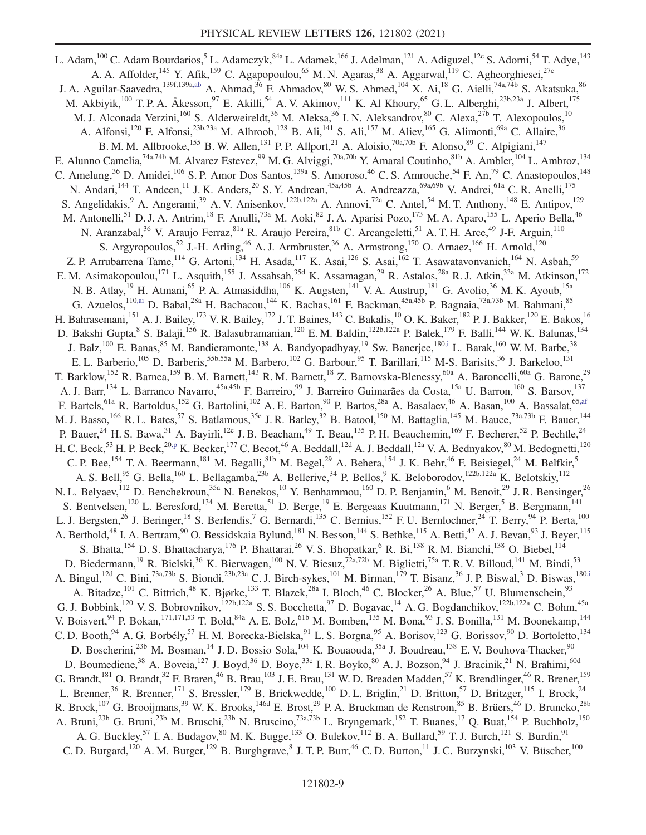L. Adam, <sup>100</sup> C. Adam Bourdarios, 5 L. Adamczyk, <sup>84a</sup> L. Adamek, <sup>166</sup> J. Adelman, <sup>121</sup> A. Adiguzel, <sup>12c</sup> S. Adorni, <sup>54</sup> T. Adye, <sup>143</sup> A. A. Affolder, <sup>145</sup> Y. Afik, <sup>159</sup> C. Agapopoulou, <sup>65</sup> M. N. Agaras, <sup>38</sup> A. Aggarwal, <sup>119</sup> C. Agheorghiesei, <sup>27c</sup> J. A. Aguilar-Saavedra,<sup>139f,139a,ab</sup> A. Ahmad,<sup>36</sup> F. Ahmadov,<sup>80</sup> W. S. Ahmed,<sup>104</sup> X. Ai,<sup>18</sup> G. Aielli,<sup>74a,74b</sup> S. Akatsuka,<sup>86</sup> M. Akbiyik,<sup>100</sup> T. P. A. Åkesson,<sup>97</sup> E. Akilli,<sup>54</sup> A. V. Akimov,<sup>111</sup> K. Al Khoury,<sup>65</sup> G. L. Alberghi,<sup>23b,23a</sup> J. Albert,<sup>175</sup> M. J. Alconada Verzini,<sup>160</sup> S. Alderweireldt,<sup>36</sup> M. Aleksa,<sup>36</sup> I. N. Aleksandrov,<sup>80</sup> C. Alexa,<sup>27b</sup> T. Alexopoulos,<sup>10</sup> A. Alfonsi,<sup>120</sup> F. Alfonsi,<sup>23b,23a</sup> M. Alhroob,<sup>128</sup> B. Ali,<sup>141</sup> S. Ali,<sup>157</sup> M. Aliev,<sup>165</sup> G. Alimonti,<sup>69a</sup> C. Allaire,<sup>36</sup> B. M. M. Allbrooke,<sup>155</sup> B. W. Allen,<sup>131</sup> P. P. Allport,<sup>21</sup> A. Aloisio,<sup>70a,70b</sup> F. Alonso,<sup>89</sup> C. Alpigiani,<sup>147</sup> E. Alunno Camelia, <sup>74a,74b</sup> M. Alvarez Estevez, <sup>99</sup> M. G. Alviggi, <sup>70a,70b</sup> Y. Amaral Coutinho, <sup>81b</sup> A. Ambler, <sup>104</sup> L. Ambroz, <sup>134</sup> C. Amelung,<sup>36</sup> D. Amidei,<sup>106</sup> S. P. Amor Dos Santos,<sup>139a</sup> S. Amoroso,<sup>46</sup> C. S. Amrouche,<sup>54</sup> F. An,<sup>79</sup> C. Anastopoulos,<sup>148</sup> N. Andari,<sup>144</sup> T. Andeen,<sup>11</sup> J. K. Anders,<sup>20</sup> S. Y. Andrean,<sup>45a,45b</sup> A. Andreazza,<sup>69a,69b</sup> V. Andrei,<sup>61a</sup> C. R. Anelli,<sup>175</sup> S. Angelidakis, <sup>9</sup> A. Angerami, <sup>39</sup> A. V. Anisenkov, <sup>122b,122a</sup> A. Annovi, <sup>72a</sup> C. Antel, <sup>54</sup> M. T. Anthony, <sup>148</sup> E. Antipov, <sup>129</sup> M. Antonelli,<sup>51</sup> D. J. A. Antrim,<sup>18</sup> F. Anulli,<sup>73a</sup> M. Aoki,<sup>82</sup> J. A. Aparisi Pozo,<sup>173</sup> M. A. Aparo,<sup>155</sup> L. Aperio Bella,<sup>46</sup> N. Aranzabal,<sup>36</sup> V. Araujo Ferraz, 81a R. Araujo Pereira, 81b C. Arcangeletti, 51 A. T. H. Arce, <sup>49</sup> J-F. Arguin, <sup>110</sup> S. Argyropoulos,<sup>52</sup> J.-H. Arling,<sup>46</sup> A. J. Armbruster,<sup>36</sup> A. Armstrong,<sup>170</sup> O. Arnaez,<sup>166</sup> H. Arnold,<sup>120</sup> Z. P. Arrubarrena Tame, <sup>114</sup> G. Artoni, <sup>134</sup> H. Asada, <sup>117</sup> K. Asai, <sup>126</sup> S. Asai, <sup>162</sup> T. Asawatavonvanich, <sup>164</sup> N. Asbah, <sup>59</sup> E. M. Asimakopoulou,<sup>171</sup> L. Asquith,<sup>155</sup> J. Assahsah,<sup>35d</sup> K. Assamagan,<sup>29</sup> R. Astalos,<sup>28a</sup> R. J. Atkin,<sup>33a</sup> M. Atkinson,<sup>172</sup> N. B. Atlay,<sup>19</sup> H. Atmani,<sup>65</sup> P. A. Atmasiddha,<sup>106</sup> K. Augsten,<sup>141</sup> V. A. Austrup,<sup>181</sup> G. Avolio,<sup>36</sup> M. K. Ayoub,<sup>15a</sup> G. Azuelos,  $^{110,ai}$  D. Babal,  $^{28a}$  H. Bachacou,  $^{144}$  K. Bachas,  $^{161}$  F. Backman,  $^{45a,45b}$  P. Bagnaia,  $^{73a,73b}$  M. Bahmani,  $^{85}$ H. Bahrasemani, <sup>151</sup> A. J. Bailey, <sup>173</sup> V. R. Bailey, <sup>172</sup> J. T. Baines, <sup>143</sup> C. Bakalis, <sup>10</sup> O. K. Baker, <sup>182</sup> P. J. Bakker, <sup>120</sup> E. Bakos, <sup>16</sup> D. Bakshi Gupta, <sup>8</sup> S. Balaji, <sup>156</sup> R. Balasubramanian, <sup>120</sup> E. M. Baldin, <sup>122b, 122a</sup> P. Balek, <sup>179</sup> F. Balli, <sup>144</sup> W. K. Balunas, <sup>134</sup> J. Balz,<sup>100</sup> E. Banas,<sup>85</sup> M. Bandieramonte,<sup>138</sup> A. Bandyopadhyay,<sup>19</sup> Sw. Banerjee,<sup>180,i</sup> L. Barak,<sup>160</sup> W. M. Barbe,<sup>38</sup> E. L. Barberio,<sup>105</sup> D. Barberis,<sup>55b,55a</sup> M. Barbero,<sup>102</sup> G. Barbour,<sup>95</sup> T. Barillari,<sup>115</sup> M-S. Barisits,<sup>36</sup> J. Barkeloo,<sup>131</sup> T. Barklow, <sup>152</sup> R. Barnea, <sup>159</sup> B. M. Barnett, <sup>143</sup> R. M. Barnett, <sup>18</sup> Z. Barnovska-Blenessy, <sup>60a</sup> A. Baroncelli, <sup>60a</sup> G. Barone, <sup>29</sup> A. J. Barr,<sup>134</sup> L. Barranco Navarro,<sup>45a,45b</sup> F. Barreiro,<sup>99</sup> J. Barreiro Guimarães da Costa,<sup>15a</sup> U. Barron,<sup>160</sup> S. Barsov,<sup>137</sup> F. Bartels, <sup>61a</sup> R. Bartoldus, <sup>152</sup> G. Bartolini, <sup>102</sup> A. E. Barton, <sup>90</sup> P. Bartos, <sup>28a</sup> A. Basalaev, <sup>46</sup> A. Basan, <sup>100</sup> A. Bassalat, <sup>65, af</sup> M. J. Basso, <sup>166</sup> R. L. Bates, <sup>57</sup> S. Batlamous, <sup>35e</sup> J. R. Batley, <sup>32</sup> B. Batool, <sup>150</sup> M. Battaglia, <sup>145</sup> M. Bauce, <sup>73a, 73b</sup> F. Bauer, <sup>144</sup> P. Bauer,  $^{24}$  H. S. Bawa,  $^{31}$  A. Bayirli,  $^{12c}$  J. B. Beacham,  $^{49}$  T. Beau,  $^{135}$  P. H. Beauchemin,  $^{169}$  F. Becherer,  $^{52}$  P. Bechtle,  $^{24}$ H. C. Beck,<sup>53</sup> H. P. Beck,<sup>20,p</sup> K. Becker,<sup>177</sup> C. Becot,<sup>46</sup> A. Beddall,<sup>12d</sup> A. J. Beddall,<sup>12a</sup> V. A. Bednyakov,<sup>80</sup> M. Bedognetti,<sup>120</sup> C. P. Bee, <sup>154</sup> T. A. Beermann, <sup>181</sup> M. Begalli, <sup>81b</sup> M. Begel, <sup>29</sup> A. Behera, <sup>154</sup> J. K. Behr, <sup>46</sup> F. Beisiegel, <sup>24</sup> M. Belfkir, <sup>5</sup> A. S. Bell,<sup>95</sup> G. Bella,<sup>160</sup> L. Bellagamba,<sup>23b</sup> A. Bellerive,<sup>34</sup> P. Bellos,<sup>9</sup> K. Beloborodov,<sup>122b,122a</sup> K. Belotskiy,<sup>112</sup> N. L. Belyaev, <sup>112</sup> D. Benchekroun, <sup>35a</sup> N. Benekos, <sup>10</sup> Y. Benhammou, <sup>160</sup> D. P. Benjamin, <sup>6</sup> M. Benoit, <sup>29</sup> J. R. Bensinger, <sup>26</sup> S. Bentvelsen,<sup>120</sup> L. Beresford,<sup>134</sup> M. Beretta,<sup>51</sup> D. Berge,<sup>19</sup> E. Bergeaas Kuutmann,<sup>171</sup> N. Berger,<sup>5</sup> B. Bergmann,<sup>141</sup> L. J. Bergsten,<sup>26</sup> J. Beringer,<sup>18</sup> S. Berlendis,<sup>7</sup> G. Bernardi,<sup>135</sup> C. Bernius,<sup>152</sup> F. U. Bernlochner,<sup>24</sup> T. Berry,<sup>94</sup> P. Berta,<sup>100</sup> A. Berthold,<sup>48</sup> I. A. Bertram,<sup>90</sup> O. Bessidskaia Bylund,<sup>181</sup> N. Besson,<sup>144</sup> S. Bethke,<sup>115</sup> A. Betti,<sup>42</sup> A. J. Bevan,<sup>93</sup> J. Beyer,<sup>115</sup> S. Bhatta, <sup>154</sup> D. S. Bhattacharya, <sup>176</sup> P. Bhattarai, <sup>26</sup> V. S. Bhopatkar, <sup>6</sup> R. Bi, <sup>138</sup> R. M. Bianchi, <sup>138</sup> O. Biebel, <sup>114</sup> D. Biedermann,<sup>19</sup> R. Bielski,<sup>36</sup> K. Bierwagen,<sup>100</sup> N. V. Biesuz,<sup>72a,72b</sup> M. Biglietti,<sup>75a</sup> T. R. V. Billoud,<sup>141</sup> M. Bindi,<sup>53</sup> A. Bingul,<sup>12d</sup> C. Bini,<sup>73a,73b</sup> S. Biondi,<sup>23b,23a</sup> C. J. Birch-sykes,<sup>101</sup> M. Birman,<sup>179</sup> T. Bisanz,<sup>36</sup> J. P. Biswal,<sup>3</sup> D. Biswas,<sup>180,i</sup> A. Bitadze,<sup>101</sup> C. Bittrich,<sup>48</sup> K. Bjørke,<sup>133</sup> T. Blazek,<sup>28a</sup> I. Bloch,<sup>46</sup> C. Blocker,<sup>26</sup> A. Blue,<sup>57</sup> U. Blumenschein,<sup>93</sup> G. J. Bobbink,<sup>120</sup> V. S. Bobrovnikov,<sup>122b,122a</sup> S. S. Bocchetta,<sup>97</sup> D. Bogavac,<sup>14</sup> A. G. Bogdanchikov,<sup>122b,122a</sup> C. Bohm,<sup>45a</sup> V. Boisvert, <sup>94</sup> P. Bokan, <sup>171,171,53</sup> T. Bold, <sup>84a</sup> A. E. Bolz, <sup>61b</sup> M. Bomben, <sup>135</sup> M. Bona, <sup>93</sup> J. S. Bonilla, <sup>131</sup> M. Boonekamp, <sup>144</sup> C. D. Booth,  $94$  A. G. Borbély,  $57$  H. M. Borecka-Bielska,  $91$  L. S. Borgna,  $95$  A. Borisov,  $123$  G. Borissov,  $90$  D. Bortoletto,  $134$ D. Boscherini,<sup>23b</sup> M. Bosman,<sup>14</sup> J.D. Bossio Sola,<sup>104</sup> K. Bouaouda,<sup>35a</sup> J. Boudreau,<sup>138</sup> E.V. Bouhova-Thacker,<sup>90</sup> D. Boumediene,<sup>38</sup> A. Boveia,<sup>127</sup> J. Boyd,<sup>36</sup> D. Boye,<sup>33c</sup> I. R. Boyko,<sup>80</sup> A. J. Bozson,<sup>94</sup> J. Bracinik,<sup>21</sup> N. Brahimi,<sup>60d</sup> G. Brandt,  $^{181}$  O. Brandt,  $^{32}$  F. Braren,  $^{46}$  B. Brau,  $^{103}$  J. E. Brau,  $^{131}$  W. D. Breaden Madden,  $^{57}$  K. Brendlinger,  $^{46}$  R. Brener,  $^{159}$ L. Brenner,<sup>36</sup> R. Brenner,<sup>171</sup> S. Bressler,<sup>179</sup> B. Brickwedde,<sup>100</sup> D. L. Briglin,<sup>21</sup> D. Britton,<sup>57</sup> D. Britzger,<sup>115</sup> I. Brock,<sup>24</sup> R. Brock,<sup>107</sup> G. Brooijmans,<sup>39</sup> W. K. Brooks,<sup>146d</sup> E. Brost,<sup>29</sup> P. A. Bruckman de Renstrom,<sup>85</sup> B. Brüers,<sup>46</sup> D. Bruncko,<sup>28b</sup> A. Bruni,<sup>23b</sup> G. Bruni,<sup>23b</sup> M. Bruschi,<sup>23b</sup> N. Bruscino,<sup>73a,73b</sup> L. Bryngemark,<sup>152</sup> T. Buanes,<sup>17</sup> Q. Buat,<sup>154</sup> P. Buchholz,<sup>150</sup> A. G. Buckley,<sup>57</sup> I. A. Budagov,<sup>80</sup> M. K. Bugge,<sup>133</sup> O. Bulekov,<sup>112</sup> B. A. Bullard,<sup>59</sup> T. J. Burch,<sup>121</sup> S. Burdin,<sup>91</sup> C. D. Burgard,<sup>120</sup> A. M. Burger,<sup>129</sup> B. Burghgrave, I. T. P. Burr,<sup>46</sup> C. D. Burton,<sup>11</sup> J. C. Burzynski,<sup>103</sup> V. Büscher,<sup>100</sup>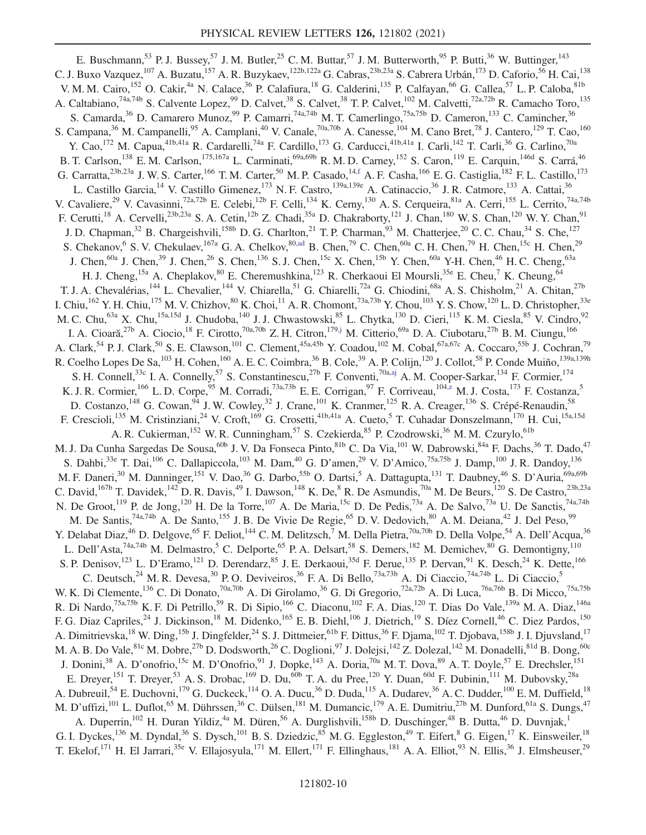E. Buschmann,<sup>53</sup> P. J. Bussey,<sup>57</sup> J. M. Butler,<sup>25</sup> C. M. Buttar,<sup>57</sup> J. M. Butterworth,<sup>95</sup> P. Butti,<sup>36</sup> W. Buttinger,<sup>143</sup> C. J. Buxo Vazquez,<sup>107</sup> A. Buzatu,<sup>157</sup> A. R. Buzykaev,<sup>122b,122a</sup> G. Cabras,<sup>23b,23a</sup> S. Cabrera Urbán,<sup>173</sup> D. Caforio,<sup>56</sup> H. Cai,<sup>138</sup> V. M. M. Cairo,<sup>152</sup> O. Cakir,<sup>4a</sup> N. Calace,<sup>36</sup> P. Calafiura,<sup>18</sup> G. Calderini,<sup>135</sup> P. Calfayan,<sup>66</sup> G. Callea,<sup>57</sup> L. P. Caloba,<sup>81b</sup> A. Caltabiano,  $^{74a,74b}$  S. Calvente Lopez,  $^{99}$  D. Calvet,  $^{38}$  S. Calvet,  $^{38}$  T. P. Calvet,  $^{102}$  M. Calvetti,  $^{72a,72b}$  R. Camacho Toro,  $^{135}$ S. Camarda,<sup>36</sup> D. Camarero Munoz,<sup>99</sup> P. Camarri,<sup>74a,74b</sup> M. T. Camerlingo,<sup>75a,75b</sup> D. Cameron,<sup>133</sup> C. Camincher,<sup>36</sup> S. Campana,<sup>36</sup> M. Campanelli,<sup>95</sup> A. Camplani,<sup>40</sup> V. Canale,<sup>70a,70b</sup> A. Canesse,<sup>104</sup> M. Cano Bret,<sup>78</sup> J. Cantero,<sup>129</sup> T. Cao,<sup>160</sup> Y. Cao, <sup>172</sup> M. Capua, <sup>41b,41a</sup> R. Cardarelli, <sup>74a</sup> F. Cardillo, <sup>173</sup> G. Carducci, <sup>41b,41a</sup> I. Carli, <sup>142</sup> T. Carli, <sup>36</sup> G. Carlino, <sup>70a</sup> B. T. Carlson,<sup>138</sup> E. M. Carlson,<sup>175,167a</sup> L. Carminati,<sup>69a,69b</sup> R. M. D. Carney,<sup>152</sup> S. Caron,<sup>119</sup> E. Carquin,<sup>146d</sup> S. Carrá,<sup>46</sup> G. Carratta,<sup>23b,23a</sup> J. W. S. Carter,<sup>166</sup> T. M. Carter,<sup>50</sup> M. P. Casado,<sup>14,f</sup> A. F. Casha,<sup>166</sup> E. G. Castiglia,<sup>182</sup> F. L. Castillo,<sup>173</sup> L. Castillo Garcia,<sup>14</sup> V. Castillo Gimenez,<sup>173</sup> N. F. Castro,<sup>139a,139e</sup> A. Catinaccio,<sup>36</sup> J. R. Catmore,<sup>133</sup> A. Cattai,<sup>36</sup> V. Cavaliere,<sup>29</sup> V. Cavasinni,<sup>72a,72b</sup> E. Celebi,<sup>12b</sup> F. Celli,<sup>134</sup> K. Cerny,<sup>130</sup> A. S. Cerqueira,<sup>81a</sup> A. Cerri,<sup>155</sup> L. Cerrito,<sup>74a,74b</sup> F. Cerutti,<sup>18</sup> A. Cervelli,<sup>23b,23a</sup> S. A. Cetin,<sup>12b</sup> Z. Chadi,<sup>35a</sup> D. Chakraborty,<sup>121</sup> J. Chan,<sup>180</sup> W. S. Chan,<sup>120</sup> W. Y. Chan,<sup>91</sup> J. D. Chapman,<sup>32</sup> B. Chargeishvili,<sup>158b</sup> D. G. Charlton,<sup>21</sup> T. P. Charman,<sup>93</sup> M. Chatterjee,<sup>20</sup> C. C. Chau,<sup>34</sup> S. Che,<sup>127</sup> S. Chekanov, S. V. Chekulaev,  $^{167a}$  G. A. Chelkov,  $^{80, ad}$  B. Chen,  $^{79}$  C. Chen,  $^{60a}$  C. H. Chen,  $^{79}$  H. Chen,  $^{15c}$  H. Chen,  $^{29}$ J. Chen,<sup>60a</sup> J. Chen,<sup>39</sup> J. Chen,<sup>26</sup> S. Chen,<sup>136</sup> S. J. Chen,<sup>15c</sup> X. Chen,<sup>15b</sup> Y. Chen,<sup>60a</sup> Y-H. Chen,<sup>46</sup> H. C. Cheng,<sup>63a</sup> H. J. Cheng,<sup>15a</sup> A. Cheplakov,<sup>80</sup> E. Cheremushkina,<sup>123</sup> R. Cherkaoui El Moursli,<sup>35e</sup> E. Cheu,<sup>7</sup> K. Cheung,<sup>64</sup> T. J. A. Chevalérias,<sup>144</sup> L. Chevalier,<sup>144</sup> V. Chiarella,<sup>51</sup> G. Chiarelli,<sup>72a</sup> G. Chiodini,<sup>68a</sup> A. S. Chisholm,<sup>21</sup> A. Chitan,<sup>27b</sup> I. Chiu,  $^{162}$  Y. H. Chiu,  $^{175}$  M. V. Chizhov,  $^{80}$  K. Choi,  $^{11}$  A. R. Chomont,  $^{73a,73b}$  Y. Chou,  $^{103}$  Y. S. Chow,  $^{120}$  L. D. Christopher,  $^{33e}$ M. C. Chu,<sup>63a</sup> X. Chu,<sup>15a,15d</sup> J. Chudoba,<sup>140</sup> J. J. Chwastowski,<sup>85</sup> L. Chytka,<sup>130</sup> D. Cieri,<sup>115</sup> K. M. Ciesla,<sup>85</sup> V. Cindro,<sup>92</sup> I. A. Cioară,<sup>27b</sup> A. Ciocio,<sup>18</sup> F. Cirotto,<sup>70a,70b</sup> Z. H. Citron,<sup>179,j</sup> M. Citterio,<sup>69a</sup> D. A. Ciubotaru,<sup>27b</sup> B. M. Ciungu,<sup>166</sup> A. Clark,<sup>54</sup> P. J. Clark,<sup>50</sup> S. E. Clawson,<sup>101</sup> C. Clement,<sup>45a,45b</sup> Y. Coadou,<sup>102</sup> M. Cobal,<sup>67a,67c</sup> A. Coccaro,<sup>55b</sup> J. Cochran,<sup>79</sup> R. Coelho Lopes De Sa,  $^{103}$  H. Cohen,  $^{160}$  A. E. C. Coimbra,  $^{36}$  B. Cole,  $^{39}$  A. P. Colijn,  $^{120}$  J. Collot,  $^{58}$  P. Conde Muiño,  $^{139a,139h}$ S. H. Connell,<sup>33c</sup> I. A. Connelly,<sup>57</sup> S. Constantinescu,<sup>27b</sup> F. Conventi,<sup>70a,aj</sup> A. M. Cooper-Sarkar,<sup>134</sup> F. Cormier,<sup>174</sup> K. J. R. Cormier,<sup>166</sup> L. D. Corpe,<sup>95</sup> M. Corradi,<sup>73a,73b</sup> E. E. Corrigan,<sup>97</sup> F. Corriveau,<sup>104,z</sup> M. J. Costa,<sup>173</sup> F. Costanza,<sup>5</sup> D. Costanzo,<sup>148</sup> G. Cowan,<sup>94</sup> J. W. Cowley,<sup>32</sup> J. Crane,<sup>101</sup> K. Cranmer,<sup>125</sup> R. A. Creager,<sup>136</sup> S. Crépé-Renaudin,<sup>58</sup> F. Crescioli,<sup>135</sup> M. Cristinziani,<sup>24</sup> V. Croft,<sup>169</sup> G. Crosetti,<sup>41b,41a</sup> A. Cueto,<sup>5</sup> T. Cuhadar Donszelmann,<sup>170</sup> H. Cui,<sup>15a,15d</sup> A. R. Cukierman,<sup>152</sup> W. R. Cunningham,<sup>57</sup> S. Czekierda,<sup>85</sup> P. Czodrowski,<sup>36</sup> M. M. Czurylo,<sup>61b</sup> M. J. Da Cunha Sargedas De Sousa, <sup>60b</sup> J. V. Da Fonseca Pinto, <sup>81b</sup> C. Da Via, <sup>101</sup> W. Dabrowski, <sup>84a</sup> F. Dachs, <sup>36</sup> T. Dado, <sup>47</sup> S. Dahbi,<sup>33e</sup> T. Dai,<sup>106</sup> C. Dallapiccola,<sup>103</sup> M. Dam,<sup>40</sup> G. D'amen,<sup>29</sup> V. D'Amico,<sup>75a,75b</sup> J. Damp,<sup>100</sup> J. R. Dandoy,<sup>136</sup> M. F. Daneri,<sup>30</sup> M. Danninger,<sup>151</sup> V. Dao,<sup>36</sup> G. Darbo,<sup>55b</sup> O. Dartsi,<sup>5</sup> A. Dattagupta,<sup>131</sup> T. Daubney,<sup>46</sup> S. D'Auria,<sup>69a,69b</sup> C. David,<sup>167b</sup> T. Davidek,<sup>142</sup> D. R. Davis,<sup>49</sup> I. Dawson,<sup>148</sup> K. De,<sup>8</sup> R. De Asmundis,<sup>70a</sup> M. De Beurs,<sup>120</sup> S. De Castro,<sup>23b,23a</sup> N. De Groot,<sup>119</sup> P. de Jong,<sup>120</sup> H. De la Torre,<sup>107</sup> A. De Maria,<sup>15c</sup> D. De Pedis,<sup>73a</sup> A. De Salvo,<sup>73a</sup> U. De Sanctis,<sup>74a,74b</sup> M. De Santis,<sup>74a,74b</sup> A. De Santo,<sup>155</sup> J. B. De Vivie De Regie,<sup>65</sup> D. V. Dedovich,<sup>80</sup> A. M. Deiana,<sup>42</sup> J. Del Peso,<sup>99</sup> Y. Delabat Diaz,  $^{46}$  D. Delgove,  $^{65}$  F. Deliot,  $^{144}$  C. M. Delitzsch,  $^{7}$  M. Della Pietra,  $^{70a,70b}$  D. Della Volpe,  $^{54}$  A. Dell'Acqua,  $^{36}$ L. Dell'Asta,<sup>74a,74b</sup> M. Delmastro,<sup>5</sup> C. Delporte,<sup>65</sup> P. A. Delsart,<sup>58</sup> S. Demers,<sup>182</sup> M. Demichev,<sup>80</sup> G. Demontigny,<sup>110</sup> S. P. Denisov,<sup>123</sup> L. D'Eramo,<sup>121</sup> D. Derendarz,<sup>85</sup> J. E. Derkaoui,<sup>35d</sup> F. Derue,<sup>135</sup> P. Dervan,<sup>91</sup> K. Desch,<sup>24</sup> K. Dette,<sup>166</sup> C. Deutsch,<sup>24</sup> M. R. Devesa,<sup>30</sup> P. O. Deviveiros,<sup>36</sup> F. A. Di Bello,<sup>73a,73b</sup> A. Di Ciaccio,<sup>74a,74b</sup> L. Di Ciaccio,<sup>5</sup> W. K. Di Clemente,<sup>136</sup> C. Di Donato,<sup>70a,70b</sup> A. Di Girolamo,<sup>36</sup> G. Di Gregorio,<sup>72a,72b</sup> A. Di Luca,<sup>76a,76b</sup> B. Di Micco,<sup>75a,75b</sup> R. Di Nardo,<sup>75a,75b</sup> K. F. Di Petrillo,<sup>59</sup> R. Di Sipio,<sup>166</sup> C. Diaconu,<sup>102</sup> F. A. Dias,<sup>120</sup> T. Dias Do Vale,<sup>139a</sup> M. A. Diaz,<sup>146a</sup> F. G. Diaz Capriles,<sup>24</sup> J. Dickinson,<sup>18</sup> M. Didenko,<sup>165</sup> E. B. Diehl,<sup>106</sup> J. Dietrich,<sup>19</sup> S. Díez Cornell,<sup>46</sup> C. Diez Pardos,<sup>150</sup> A. Dimitrievska,<sup>18</sup> W. Ding,<sup>15b</sup> J. Dingfelder,<sup>24</sup> S. J. Dittmeier,<sup>61b</sup> F. Dittus,<sup>36</sup> F. Djama,<sup>102</sup> T. Djobava,<sup>158b</sup> J. I. Djuvsland,<sup>17</sup> M. A. B. Do Vale, <sup>81c</sup> M. Dobre, <sup>27b</sup> D. Dodsworth, <sup>26</sup> C. Doglioni, <sup>97</sup> J. Dolejsi, <sup>142</sup> Z. Dolezal, <sup>142</sup> M. Donadelli, <sup>81d</sup> B. Dong, <sup>60c</sup> J. Donini,<sup>38</sup> A. D'onofrio,<sup>15c</sup> M. D'Onofrio,<sup>91</sup> J. Dopke,<sup>143</sup> A. Doria,<sup>70a</sup> M. T. Dova,<sup>89</sup> A. T. Doyle,<sup>57</sup> E. Drechsler,<sup>151</sup> E. Dreyer,<sup>151</sup> T. Dreyer,<sup>53</sup> A. S. Drobac,<sup>169</sup> D. Du,<sup>60b</sup> T. A. du Pree,<sup>120</sup> Y. Duan,<sup>60d</sup> F. Dubinin,<sup>111</sup> M. Dubovsky,<sup>28a</sup> A. Dubreuil,<sup>54</sup> E. Duchovni,<sup>179</sup> G. Duckeck,<sup>114</sup> O. A. Ducu,<sup>36</sup> D. Duda,<sup>115</sup> A. Dudarev,<sup>36</sup> A. C. Dudder,<sup>100</sup> E. M. Duffield,<sup>18</sup> M. D'uffizi,<sup>101</sup> L. Duflot,<sup>65</sup> M. Dührssen,<sup>36</sup> C. Dülsen,<sup>181</sup> M. Dumancic,<sup>179</sup> A. E. Dumitriu,<sup>27b</sup> M. Dunford,<sup>61a</sup> S. Dungs,<sup>47</sup> A. Duperrin,<sup>102</sup> H. Duran Yildiz,<sup>4a</sup> M. Düren,<sup>56</sup> A. Durglishvili,<sup>158b</sup> D. Duschinger,<sup>48</sup> B. Dutta,<sup>46</sup> D. Duvnjak,<sup>1</sup> G. I. Dyckes,<sup>136</sup> M. Dyndal,<sup>36</sup> S. Dysch,<sup>101</sup> B. S. Dziedzic,<sup>85</sup> M. G. Eggleston,<sup>49</sup> T. Eifert,<sup>8</sup> G. Eigen,<sup>17</sup> K. Einsweiler,<sup>18</sup> T. Ekelof,<sup>171</sup> H. El Jarrari,<sup>35e</sup> V. Ellajosyula,<sup>171</sup> M. Ellert,<sup>171</sup> F. Ellinghaus,<sup>181</sup> A. A. Elliot,<sup>93</sup> N. Ellis,<sup>36</sup> J. Elmsheuser,<sup>29</sup>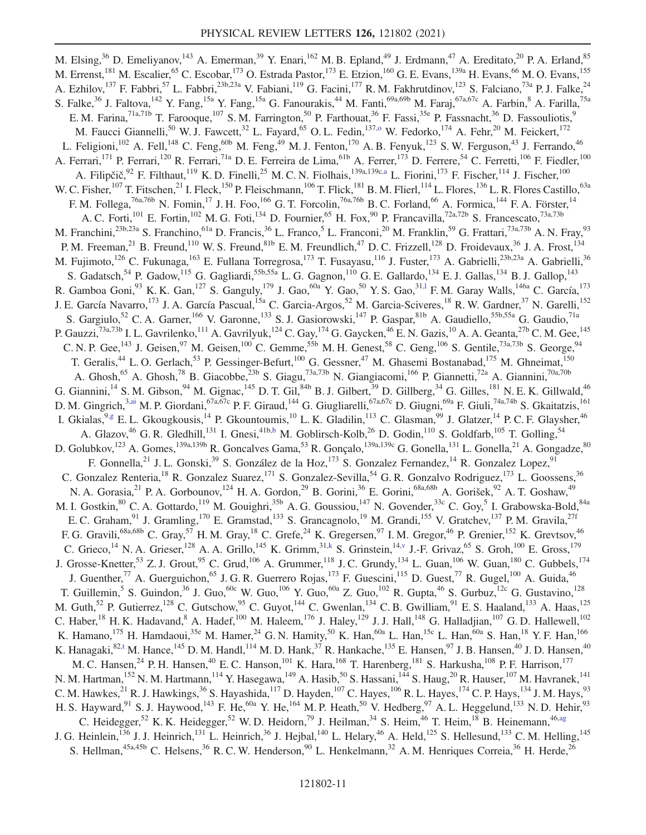M. Elsing,<sup>36</sup> D. Emeliyanov,<sup>143</sup> A. Emerman,<sup>39</sup> Y. Enari,<sup>162</sup> M. B. Epland,<sup>49</sup> J. Erdmann,<sup>47</sup> A. Ereditato,<sup>20</sup> P. A. Erland,<sup>85</sup> M. Errenst, <sup>181</sup> M. Escalier, <sup>65</sup> C. Escobar, <sup>173</sup> O. Estrada Pastor, <sup>173</sup> E. Etzion, <sup>160</sup> G. E. Evans, <sup>139a</sup> H. Evans, <sup>66</sup> M. O. Evans, <sup>155</sup> A. Ezhilov,  $^{137}$  F. Fabbri,  $^{57}$  L. Fabbri,  $^{23b,23a}$  V. Fabiani,  $^{119}$  G. Facini,  $^{177}$  R. M. Fakhrutdinov,  $^{123}$  S. Falciano,  $^{73a}$  P. J. Falke,  $^{24}$ S. Falke,<sup>36</sup> J. Faltova,<sup>142</sup> Y. Fang,<sup>15a</sup> Y. Fang,<sup>15a</sup> G. Fanourakis,<sup>44</sup> M. Fanti,<sup>69a,69b</sup> M. Faraj,<sup>67a,67c</sup> A. Farbin,<sup>8</sup> A. Farilla,<sup>75a</sup> E. M. Farina,<sup>71a,71b</sup> T. Farooque,<sup>107</sup> S. M. Farrington,<sup>50</sup> P. Farthouat,<sup>36</sup> F. Fassi,<sup>35e</sup> P. Fassnacht,<sup>36</sup> D. Fassouliotis,<sup>9</sup> M. Faucci Giannelli,<sup>50</sup> W. J. Fawcett,<sup>32</sup> L. Fayard,<sup>65</sup> O. L. Fedin,<sup>137,0</sup> W. Fedorko,<sup>174</sup> A. Fehr,<sup>20</sup> M. Feickert,<sup>172</sup> L. Feligioni,<sup>102</sup> A. Fell,<sup>148</sup> C. Feng,<sup>60b</sup> M. Feng,<sup>49</sup> M. J. Fenton,<sup>170</sup> A. B. Fenyuk,<sup>123</sup> S. W. Ferguson,<sup>43</sup> J. Ferrando,<sup>46</sup> A. Ferrari,<sup>171</sup> P. Ferrari,<sup>120</sup> R. Ferrari,<sup>71a</sup> D. E. Ferreira de Lima,<sup>61b</sup> A. Ferrer,<sup>173</sup> D. Ferrere,<sup>54</sup> C. Ferretti,<sup>106</sup> F. Fiedler,<sup>100</sup> A. Filipčič, $3^2$  F. Filthaut,  $11^9$  K. D. Finelli,  $2^5$  M. C. N. Fiolhais,  $1^{39a,139c,a}$  L. Fiorini,  $17^3$  F. Fischer,  $1^{14}$  J. Fischer,  $1^{100}$ W. C. Fisher,<sup>107</sup> T. Fitschen,<sup>21</sup> I. Fleck,<sup>150</sup> P. Fleischmann,<sup>106</sup> T. Flick,<sup>181</sup> B. M. Flierl,<sup>114</sup> L. Flores,<sup>136</sup> L. R. Flores Castillo,<sup>63a</sup> F. M. Follega,<sup>76a,76b</sup> N. Fomin,<sup>17</sup> J. H. Foo,<sup>166</sup> G. T. Forcolin,<sup>76a,76b</sup> B. C. Forland,<sup>66</sup> A. Formica,<sup>144</sup> F. A. Förster,<sup>14</sup> A. C. Forti,<sup>101</sup> E. Fortin,<sup>102</sup> M. G. Foti,<sup>134</sup> D. Fournier,<sup>65</sup> H. Fox,<sup>90</sup> P. Francavilla,<sup>72a,72b</sup> S. Francescato,<sup>73a,73b</sup> M. Franchini,<sup>23b,23a</sup> S. Franchino,<sup>61a</sup> D. Francis,<sup>36</sup> L. Franco,<sup>5</sup> L. Franconi,<sup>20</sup> M. Franklin,<sup>59</sup> G. Frattari,<sup>73a,73b</sup> A. N. Fray,<sup>93</sup> P. M. Freeman,  $^{21}$  B. Freund,  $^{110}$  W. S. Freund,  $^{81b}$  E. M. Freundlich,  $^{47}$  D. C. Frizzell,  $^{128}$  D. Froidevaux,  $^{36}$  J. A. Frost,  $^{134}$ M. Fujimoto,<sup>126</sup> C. Fukunaga,<sup>163</sup> E. Fullana Torregrosa,<sup>173</sup> T. Fusayasu,<sup>116</sup> J. Fuster,<sup>173</sup> A. Gabrielli,<sup>23b,23a</sup> A. Gabrielli,<sup>36</sup> S. Gadatsch,<sup>54</sup> P. Gadow,<sup>115</sup> G. Gagliardi,<sup>55b,55a</sup> L. G. Gagnon,<sup>110</sup> G. E. Gallardo,<sup>134</sup> E. J. Gallas,<sup>134</sup> B. J. Gallop,<sup>143</sup> R. Gamboa Goni,  $^{93}$  K. K. Gan,  $^{127}$  S. Ganguly,  $^{179}$  J. Gao,  $^{60a}$  Y. Gao,  $^{50}$  Y. S. Gao,  $^{31,1}$  F. M. Garay Walls,  $^{146a}$  C. García,  $^{173}$ J. E. García Navarro,<sup>173</sup> J. A. García Pascual,<sup>15a</sup> C. Garcia-Argos,<sup>52</sup> M. Garcia-Sciveres,<sup>18</sup> R. W. Gardner,<sup>37</sup> N. Garelli,<sup>152</sup> S. Gargiulo,<sup>52</sup> C. A. Garner,<sup>166</sup> V. Garonne,<sup>133</sup> S. J. Gasiorowski,<sup>147</sup> P. Gaspar,<sup>81b</sup> A. Gaudiello,<sup>55b,55a</sup> G. Gaudio,<sup>71a</sup> P. Gauzzi,<sup>73a,73b</sup> I. L. Gavrilenko,<sup>111</sup> A. Gavrilyuk,<sup>124</sup> C. Gay,<sup>174</sup> G. Gaycken,<sup>46</sup> E. N. Gazis,<sup>10</sup> A. A. Geanta,<sup>27b</sup> C. M. Gee,<sup>145</sup> C. N. P. Gee,  $^{143}$  J. Geisen,  $^{97}$  M. Geisen,  $^{100}$  C. Gemme,  $^{55b}$  M. H. Genest,  $^{58}$  C. Geng,  $^{106}$  S. Gentile,  $^{73a,73b}$  S. George,  $^{94}$ T. Geralis,<sup>44</sup> L. O. Gerlach,<sup>53</sup> P. Gessinger-Befurt,<sup>100</sup> G. Gessner,<sup>47</sup> M. Ghasemi Bostanabad,<sup>175</sup> M. Ghneimat,<sup>150</sup> A. Ghosh,<sup>65</sup> A. Ghosh,<sup>78</sup> B. Giacobbe,<sup>23b</sup> S. Giagu,<sup>73a,73b</sup> N. Giangiacomi,<sup>166</sup> P. Giannetti,<sup>72a</sup> A. Giannini,<sup>70a,70b</sup> G. Giannini,<sup>14</sup> S. M. Gibson,<sup>94</sup> M. Gignac,<sup>145</sup> D. T. Gil,<sup>84b</sup> B. J. Gilbert,<sup>39</sup> D. Gillberg,<sup>34</sup> G. Gilles,<sup>181</sup> N. E. K. Gillwald,<sup>46</sup> D. M. Gingrich,<sup>3,ai</sup> M. P. Giordani,<sup>67a,67c</sup> P. F. Giraud,<sup>144</sup> G. Giugliarelli,<sup>67a,67c</sup> D. Giugni,<sup>69a</sup> F. Giuli,<sup>74a,74b</sup> S. Gkaitatzis,<sup>161</sup> I. Gkialas, <sup>9,g</sup> E. L. Gkougkousis, <sup>14</sup> P. Gkountoumis, <sup>10</sup> L. K. Gladilin, <sup>113</sup> C. Glasman, <sup>99</sup> J. Glatzer, <sup>14</sup> P. C. F. Glaysher, <sup>46</sup> A. Glazov,<sup>46</sup> G. R. Gledhill,<sup>131</sup> I. Gnesi,<sup>41b,b</sup> M. Goblirsch-Kolb,<sup>26</sup> D. Godin,<sup>110</sup> S. Goldfarb,<sup>105</sup> T. Golling,<sup>54</sup> D. Golubkov,<sup>123</sup> A. Gomes,<sup>139a,139b</sup> R. Goncalves Gama,<sup>53</sup> R. Gonçalo,<sup>139a,139c</sup> G. Gonella,<sup>131</sup> L. Gonella,<sup>21</sup> A. Gongadze,<sup>80</sup> F. Gonnella,<sup>21</sup> J. L. Gonski,<sup>39</sup> S. González de la Hoz,<sup>173</sup> S. Gonzalez Fernandez,<sup>14</sup> R. Gonzalez Lopez,<sup>91</sup> C. Gonzalez Renteria,<sup>18</sup> R. Gonzalez Suarez,<sup>171</sup> S. Gonzalez-Sevilla,<sup>54</sup> G. R. Gonzalvo Rodriguez,<sup>173</sup> L. Goossens,<sup>36</sup> N. A. Gorasia,<sup>21</sup> P. A. Gorbounov,<sup>124</sup> H. A. Gordon,<sup>29</sup> B. Gorini,<sup>36</sup> E. Gorini,<sup>68a,68b</sup> A. Gorišek,<sup>92</sup> A. T. Goshaw,<sup>49</sup> M. I. Gostkin, <sup>80</sup> C. A. Gottardo, <sup>119</sup> M. Gouighri, <sup>35b</sup> A. G. Goussiou, <sup>147</sup> N. Govender, <sup>33c</sup> C. Goy, <sup>5</sup> I. Grabowska-Bold, <sup>84a</sup> E. C. Graham,<sup>91</sup> J. Gramling,<sup>170</sup> E. Gramstad,<sup>133</sup> S. Grancagnolo,<sup>19</sup> M. Grandi,<sup>155</sup> V. Gratchev,<sup>137</sup> P. M. Gravila,<sup>27f</sup> F. G. Gravili,<sup>68a,68b</sup> C. Gray,<sup>57</sup> H. M. Gray,<sup>18</sup> C. Grefe,<sup>24</sup> K. Gregersen,<sup>97</sup> I. M. Gregor,<sup>46</sup> P. Grenier,<sup>152</sup> K. Grevtsov,<sup>46</sup> C. Grieco,<sup>14</sup> N. A. Grieser,<sup>128</sup> A. A. Grillo,<sup>145</sup> K. Grimm,<sup>31,k</sup> S. Grinstein,<sup>14,v</sup> J.-F. Grivaz,<sup>65</sup> S. Groh,<sup>100</sup> E. Gross,<sup>179</sup> J. Grosse-Knetter,<sup>53</sup> Z. J. Grout,<sup>95</sup> C. Grud,<sup>106</sup> A. Grummer,<sup>118</sup> J. C. Grundy,<sup>134</sup> L. Guan,<sup>106</sup> W. Guan,<sup>180</sup> C. Gubbels,<sup>174</sup> J. Guenther,<sup>77</sup> A. Guerguichon,<sup>65</sup> J. G. R. Guerrero Rojas,<sup>173</sup> F. Guescini,<sup>115</sup> D. Guest,<sup>77</sup> R. Gugel,<sup>100</sup> A. Guida,<sup>46</sup> T. Guillemin,<sup>5</sup> S. Guindon,<sup>36</sup> J. Guo,<sup>60c</sup> W. Guo,<sup>106</sup> Y. Guo,<sup>60a</sup> Z. Guo,<sup>102</sup> R. Gupta,<sup>46</sup> S. Gurbuz,<sup>12c</sup> G. Gustavino,<sup>128</sup> M. Guth, <sup>52</sup> P. Gutierrez, <sup>128</sup> C. Gutschow, <sup>95</sup> C. Guyot, <sup>144</sup> C. Gwenlan, <sup>134</sup> C. B. Gwilliam, <sup>91</sup> E. S. Haaland, <sup>133</sup> A. Haas, <sup>125</sup> C. Haber,<sup>18</sup> H. K. Hadavand, <sup>8</sup> A. Hadef,<sup>100</sup> M. Haleem,<sup>176</sup> J. Haley,<sup>129</sup> J. J. Hall,<sup>148</sup> G. Halladjian,<sup>107</sup> G. D. Hallewell,<sup>102</sup> K. Hamano,  $^{175}$  H. Hamdaoui,  $^{35e}$  M. Hamer,  $^{24}$  G. N. Hamity,  $^{50}$  K. Han,  $^{60a}$  L. Han,  $^{15c}$  L. Han,  $^{60a}$  S. Han,  $^{18}$  Y. F. Han,  $^{166}$ K. Hanagaki, $82, t$  M. Hance,  $145$  D. M. Handl,  $114$  M. D. Hank,  $37$  R. Hankache,  $135$  E. Hansen,  $97$  J. B. Hansen,  $40$  J. D. Hansen,  $40$ M. C. Hansen,<sup>24</sup> P. H. Hansen,<sup>40</sup> E. C. Hanson,<sup>101</sup> K. Hara,<sup>168</sup> T. Harenberg,<sup>181</sup> S. Harkusha,<sup>108</sup> P. F. Harrison,<sup>177</sup> N. M. Hartman,<sup>152</sup> N. M. Hartmann,<sup>114</sup> Y. Hasegawa,<sup>149</sup> A. Hasib,<sup>50</sup> S. Hassani,<sup>144</sup> S. Haug,<sup>20</sup> R. Hauser,<sup>107</sup> M. Havranek,<sup>141</sup> C. M. Hawkes,  $^{21}$  R. J. Hawkings,  $^{36}$  S. Hayashida,  $^{117}$  D. Hayden,  $^{107}$  C. Hayes,  $^{106}$  R. L. Hayes,  $^{174}$  C. P. Hays,  $^{134}$  J. M. Hays,  $^{93}$ H. S. Hayward, <sup>91</sup> S. J. Haywood, <sup>143</sup> F. He, <sup>60a</sup> Y. He, <sup>164</sup> M. P. Heath, <sup>50</sup> V. Hedberg, <sup>97</sup> A. L. Heggelund, <sup>133</sup> N. D. Hehir, <sup>93</sup> C. Heidegger,<sup>52</sup> K. K. Heidegger,<sup>52</sup> W. D. Heidorn,<sup>79</sup> J. Heilman,<sup>34</sup> S. Heim,<sup>46</sup> T. Heim,<sup>18</sup> B. Heinemann,<sup>46,ag</sup> J. G. Heinlein,<sup>136</sup> J. J. Heinrich,<sup>131</sup> L. Heinrich,<sup>36</sup> J. Hejbal,<sup>140</sup> L. Helary,<sup>46</sup> A. Held,<sup>125</sup> S. Hellesund,<sup>133</sup> C.M. Helling,<sup>145</sup> S. Hellman,  $45a,45b$  C. Helsens,  $36$  R. C. W. Henderson,  $90$  L. Henkelmann,  $32$  A. M. Henriques Correia,  $36$  H. Herde,  $26$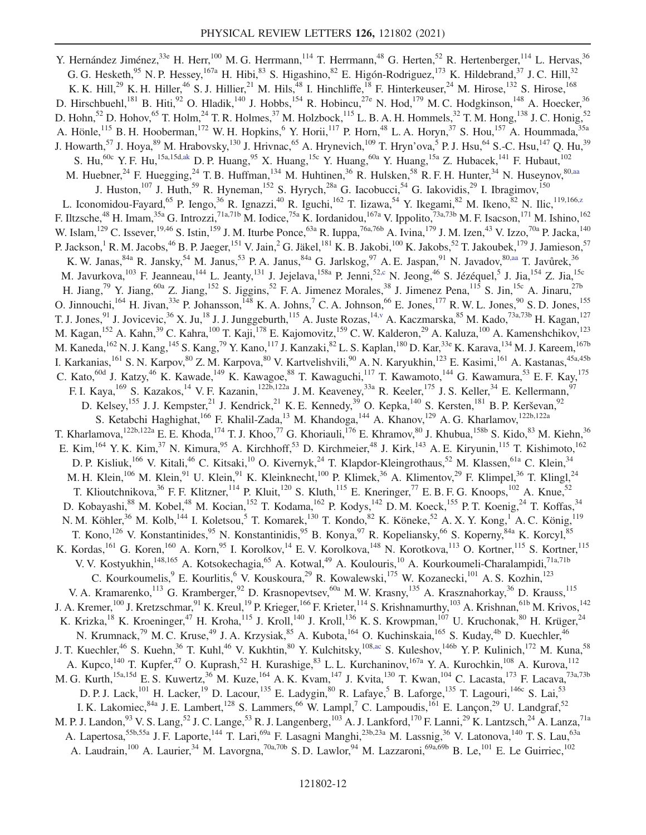Y. Hernández Jiménez,<sup>33e</sup> H. Herr,<sup>100</sup> M. G. Herrmann,<sup>114</sup> T. Herrmann,<sup>48</sup> G. Herten,<sup>52</sup> R. Hertenberger,<sup>114</sup> L. Hervas,<sup>36</sup> G. G. Hesketh, <sup>95</sup> N. P. Hessey, <sup>167a</sup> H. Hibi, <sup>83</sup> S. Higashino, <sup>82</sup> E. Higón-Rodriguez, <sup>173</sup> K. Hildebrand, <sup>37</sup> J. C. Hill, <sup>32</sup> K. K. Hill,<sup>29</sup> K. H. Hiller,<sup>46</sup> S. J. Hillier,<sup>21</sup> M. Hils,<sup>48</sup> I. Hinchliffe,<sup>18</sup> F. Hinterkeuser,<sup>24</sup> M. Hirose,<sup>132</sup> S. Hirose,<sup>168</sup> D. Hirschbuehl,<sup>181</sup> B. Hiti,<sup>92</sup> O. Hladik,<sup>140</sup> J. Hobbs,<sup>154</sup> R. Hobincu,<sup>27e</sup> N. Hod,<sup>179</sup> M. C. Hodgkinson,<sup>148</sup> A. Hoecker,<sup>36</sup> D. Hohn,<sup>52</sup> D. Hohov,<sup>65</sup> T. Holm,<sup>24</sup> T. R. Holmes,<sup>37</sup> M. Holzbock,<sup>115</sup> L. B. A. H. Hommels,<sup>32</sup> T. M. Hong,<sup>138</sup> J. C. Honig,<sup>52</sup> A. Hönle,<sup>115</sup> B. H. Hooberman,<sup>172</sup> W. H. Hopkins, <sup>6</sup> Y. Horii,<sup>117</sup> P. Horn, <sup>48</sup> L. A. Horyn, <sup>37</sup> S. Hou, <sup>157</sup> A. Hoummada, <sup>35a</sup> J. Howarth,<sup>57</sup> J. Hoya,<sup>89</sup> M. Hrabovsky,<sup>130</sup> J. Hrivnac,<sup>65</sup> A. Hrynevich,<sup>109</sup> T. Hryn'ova,<sup>5</sup> P. J. Hsu,<sup>64</sup> S.-C. Hsu,<sup>147</sup> Q. Hu,<sup>39</sup> S. Hu,<sup>60c</sup> Y. F. Hu,<sup>15a,15d,ak</sup> D. P. Huang,<sup>95</sup> X. Huang,<sup>15c</sup> Y. Huang,<sup>60a</sup> Y. Huang,<sup>15a</sup> Z. Hubacek,<sup>141</sup> F. Hubaut,<sup>102</sup> M. Huebner,  $^{24}$  F. Huegging,  $^{24}$  T. B. Huffman,  $^{134}$  M. Huhtinen,  $^{36}$  R. Hulsken,  $^{58}$  R. F. H. Hunter,  $^{34}$  N. Huseynov,  $^{80,aa}$ J. Huston,<sup>107</sup> J. Huth,<sup>59</sup> R. Hyneman,<sup>152</sup> S. Hyrych,<sup>28a</sup> G. Iacobucci,<sup>54</sup> G. Iakovidis,<sup>29</sup> I. Ibragimov,<sup>150</sup> L. Iconomidou-Fayard,<sup>65</sup> P. Iengo,<sup>36</sup> R. Ignazzi,<sup>40</sup> R. Iguchi,<sup>162</sup> T. Iizawa,<sup>54</sup> Y. Ikegami,<sup>82</sup> M. Ikeno,<sup>82</sup> N. Ilic,<sup>119,166,z</sup> F. Iltzsche,<sup>48</sup> H. Imam,<sup>35a</sup> G. Introzzi,<sup>71a,71b</sup> M. Iodice,<sup>75a</sup> K. Iordanidou,<sup>167a</sup> V. Ippolito,<sup>73a,73b</sup> M. F. Isacson,<sup>171</sup> M. Ishino,<sup>162</sup> W. Islam,  $^{129}$  C. Issever,  $^{19,46}$  S. Istin,  $^{159}$  J. M. Iturbe Ponce,  $^{63a}$  R. Iuppa,  $^{76a,76b}$  A. Ivina,  $^{179}$  J. M. Izen,  $^{43}$  V. Izzo,  $^{70a}$  P. Jacka,  $^{140}$ P. Jackson,<sup>1</sup> R. M. Jacobs,<sup>46</sup> B. P. Jaeger,<sup>151</sup> V. Jain,<sup>2</sup> G. Jäkel,<sup>181</sup> K. B. Jakobi,<sup>100</sup> K. Jakobs,<sup>52</sup> T. Jakoubek,<sup>179</sup> J. Jamieson,<sup>57</sup> K. W. Janas,  $84a$  R. Jansky,  $54$  M. Janus,  $53$  P. A. Janus,  $84a$  G. Jarlskog,  $97$  A. E. Jaspan,  $91$  N. Javadov,  $80, aa$  T. Javůrek,  $36$ M. Javurkova, <sup>103</sup> F. Jeanneau, <sup>144</sup> L. Jeanty, <sup>131</sup> J. Jejelava, <sup>158a</sup> P. Jenni, <sup>52,c</sup> N. Jeong, <sup>46</sup> S. Jézéquel, 5 J. Jia, <sup>154</sup> Z. Jia, <sup>15c</sup> H. Jiang,<sup>79</sup> Y. Jiang,<sup>60a</sup> Z. Jiang,<sup>152</sup> S. Jiggins,<sup>52</sup> F. A. Jimenez Morales,<sup>38</sup> J. Jimenez Pena,<sup>115</sup> S. Jin,<sup>15c</sup> A. Jinaru,<sup>27b</sup> O. Jinnouchi,  $^{164}$  H. Jivan,  $^{33e}$  P. Johansson,  $^{148}$  K. A. Johns,  $^7$  C. A. Johnson,  $^{66}$  E. Jones,  $^{177}$  R. W. L. Jones,  $^{90}$  S. D. Jones,  $^{155}$ T. J. Jones, <sup>91</sup> J. Jovicevic,<sup>36</sup> X. Ju,<sup>18</sup> J. J. Junggeburth,<sup>115</sup> A. Juste Rozas,<sup>14,v</sup> A. Kaczmarska,<sup>85</sup> M. Kado,<sup>73a,73b</sup> H. Kagan,<sup>127</sup> M. Kagan,<sup>152</sup> A. Kahn,<sup>39</sup> C. Kahra,<sup>100</sup> T. Kaji,<sup>178</sup> E. Kajomovitz,<sup>159</sup> C. W. Kalderon,<sup>29</sup> A. Kaluza,<sup>100</sup> A. Kamenshchikov,<sup>123</sup> M. Kaneda, <sup>162</sup> N. J. Kang, <sup>145</sup> S. Kang, <sup>79</sup> Y. Kano, <sup>117</sup> J. Kanzaki, <sup>82</sup> L. S. Kaplan, <sup>180</sup> D. Kar, <sup>33e</sup> K. Karava, <sup>134</sup> M. J. Kareem, <sup>167b</sup> I. Karkanias,<sup>161</sup> S. N. Karpov,<sup>80</sup> Z. M. Karpova,<sup>80</sup> V. Kartvelishvili,<sup>90</sup> A. N. Karyukhin,<sup>123</sup> E. Kasimi,<sup>161</sup> A. Kastanas,<sup>45a,45b</sup> C. Kato,<sup>60d</sup> J. Katzy,<sup>46</sup> K. Kawade,<sup>149</sup> K. Kawagoe,<sup>88</sup> T. Kawaguchi,<sup>117</sup> T. Kawamoto,<sup>144</sup> G. Kawamura,<sup>53</sup> E. F. Kay,<sup>175</sup> F. I. Kaya, <sup>169</sup> S. Kazakos, <sup>14</sup> V. F. Kazanin, <sup>122b, 122a</sup> J. M. Keaveney, <sup>33a</sup> R. Keeler, <sup>175</sup> J. S. Keller, <sup>34</sup> E. Kellermann, <sup>97</sup> D. Kelsey,<sup>155</sup> J. J. Kempster,<sup>21</sup> J. Kendrick,<sup>21</sup> K. E. Kennedy,<sup>39</sup> O. Kepka,<sup>140</sup> S. Kersten,<sup>181</sup> B. P. Kerševan,<sup>92</sup> S. Ketabchi Haghighat,<sup>166</sup> F. Khalil-Zada,<sup>13</sup> M. Khandoga,<sup>144</sup> A. Khanov,<sup>129</sup> A. G. Kharlamov,<sup>122b,122a</sup> T. Kharlamova,<sup>122b,122a</sup> E. E. Khoda,<sup>174</sup> T. J. Khoo,<sup>77</sup> G. Khoriauli,<sup>176</sup> E. Khramov,<sup>80</sup> J. Khubua,<sup>158b</sup> S. Kido,<sup>83</sup> M. Kiehn,<sup>36</sup> E. Kim, <sup>164</sup> Y. K. Kim, <sup>37</sup> N. Kimura, <sup>95</sup> A. Kirchhoff, <sup>53</sup> D. Kirchmeier, <sup>48</sup> J. Kirk, <sup>143</sup> A. E. Kiryunin, <sup>115</sup> T. Kishimoto, <sup>162</sup> D. P. Kisliuk,<sup>166</sup> V. Kitali,<sup>46</sup> C. Kitsaki,<sup>10</sup> O. Kivernyk,<sup>24</sup> T. Klapdor-Kleingrothaus,<sup>52</sup> M. Klassen,<sup>61a</sup> C. Klein,<sup>34</sup> M. H. Klein,<sup>106</sup> M. Klein,<sup>91</sup> U. Klein,<sup>91</sup> K. Kleinknecht,<sup>100</sup> P. Klimek,<sup>36</sup> A. Klimentov,<sup>29</sup> F. Klimpel,<sup>36</sup> T. Klingl,<sup>24</sup> T. Klioutchnikova,<sup>36</sup> F. F. Klitzner,<sup>114</sup> P. Kluit,<sup>120</sup> S. Kluth,<sup>115</sup> E. Kneringer,<sup>77</sup> E. B. F. G. Knoops,<sup>102</sup> A. Knue,<sup>52</sup> D. Kobayashi,<sup>88</sup> M. Kobel,<sup>48</sup> M. Kocian,<sup>152</sup> T. Kodama,<sup>162</sup> P. Kodys,<sup>142</sup> D. M. Koeck,<sup>155</sup> P. T. Koenig,<sup>24</sup> T. Koffas,<sup>34</sup> N. M. Köhler,<sup>36</sup> M. Kolb,<sup>144</sup> I. Koletsou,<sup>5</sup> T. Komarek,<sup>130</sup> T. Kondo,<sup>82</sup> K. Köneke,<sup>52</sup> A. X. Y. Kong,<sup>1</sup> A. C. König,<sup>119</sup> T. Kono,<sup>126</sup> V. Konstantinides,<sup>95</sup> N. Konstantinidis,<sup>95</sup> B. Konya,<sup>97</sup> R. Kopeliansky,<sup>66</sup> S. Koperny,<sup>84a</sup> K. Korcyl,<sup>85</sup> K. Kordas, <sup>161</sup> G. Koren, <sup>160</sup> A. Korn, <sup>95</sup> I. Korolkov, <sup>14</sup> E. V. Korolkova, <sup>148</sup> N. Korotkova, <sup>113</sup> O. Kortner, <sup>115</sup> S. Kortner, <sup>115</sup> V. V. Kostyukhin,<sup>148,165</sup> A. Kotsokechagia,<sup>65</sup> A. Kotwal,<sup>49</sup> A. Koulouris,<sup>10</sup> A. Kourkoumeli-Charalampidi,<sup>71a,71b</sup> C. Kourkoumelis, <sup>9</sup> E. Kourlitis, <sup>6</sup> V. Kouskoura, <sup>29</sup> R. Kowalewski, <sup>175</sup> W. Kozanecki, <sup>101</sup> A. S. Kozhin, <sup>123</sup> V. A. Kramarenko,<sup>113</sup> G. Kramberger,<sup>92</sup> D. Krasnopevtsev,<sup>60a</sup> M. W. Krasny,<sup>135</sup> A. Krasznahorkay,<sup>36</sup> D. Krauss,<sup>115</sup> J. A. Kremer,<sup>100</sup> J. Kretzschmar,<sup>91</sup> K. Kreul,<sup>19</sup> P. Krieger,<sup>166</sup> F. Krieter,<sup>114</sup> S. Krishnamurthy,<sup>103</sup> A. Krishnan,<sup>61b</sup> M. Krivos,<sup>142</sup> K. Krizka,<sup>18</sup> K. Kroeninger,<sup>47</sup> H. Kroha,<sup>115</sup> J. Kroll,<sup>140</sup> J. Kroll,<sup>136</sup> K. S. Krowpman,<sup>107</sup> U. Kruchonak,<sup>80</sup> H. Krüger,<sup>24</sup> N. Krumnack,<sup>79</sup> M. C. Kruse,<sup>49</sup> J. A. Krzysiak,<sup>85</sup> A. Kubota,<sup>164</sup> O. Kuchinskaia,<sup>165</sup> S. Kuday,<sup>4b</sup> D. Kuechler,<sup>46</sup> J. T. Kuechler,<sup>46</sup> S. Kuehn,<sup>36</sup> T. Kuhl,<sup>46</sup> V. Kukhtin,<sup>80</sup> Y. Kulchitsky,<sup>108,ac</sup> S. Kuleshov,<sup>146b</sup> Y. P. Kulinich,<sup>172</sup> M. Kuna,<sup>58</sup> A. Kupco,<sup>140</sup> T. Kupfer,<sup>47</sup> O. Kuprash,<sup>52</sup> H. Kurashige,<sup>83</sup> L. L. Kurchaninov,<sup>167a</sup> Y. A. Kurochkin,<sup>108</sup> A. Kurova,<sup>112</sup> M. G. Kurth,<sup>15a,15d</sup> E. S. Kuwertz,<sup>36</sup> M. Kuze,<sup>164</sup> A. K. Kvam,<sup>147</sup> J. Kvita,<sup>130</sup> T. Kwan,<sup>104</sup> C. Lacasta,<sup>173</sup> F. Lacava,<sup>73a,73b</sup> D. P. J. Lack,<sup>101</sup> H. Lacker,<sup>19</sup> D. Lacour,<sup>135</sup> E. Ladygin,<sup>80</sup> R. Lafaye,<sup>5</sup> B. Laforge,<sup>135</sup> T. Lagouri,<sup>146c</sup> S. Lai,<sup>53</sup> I. K. Lakomiec, <sup>84a</sup> J. E. Lambert, <sup>128</sup> S. Lammers, <sup>66</sup> W. Lampl, <sup>7</sup> C. Lampoudis, <sup>161</sup> E. Lançon, <sup>29</sup> U. Landgraf, <sup>52</sup> M. P. J. Landon,<sup>93</sup> V. S. Lang,<sup>52</sup> J. C. Lange,<sup>53</sup> R. J. Langenberg,<sup>103</sup> A. J. Lankford,<sup>170</sup> F. Lanni,<sup>29</sup> K. Lantzsch,<sup>24</sup> A. Lanza,<sup>71a</sup> A. Lapertosa,<sup>55b,55a</sup> J. F. Laporte,<sup>144</sup> T. Lari,<sup>69a</sup> F. Lasagni Manghi,<sup>23b,23a</sup> M. Lassnig,<sup>36</sup> V. Latonova,<sup>140</sup> T. S. Lau,<sup>63a</sup> A. Laudrain,<sup>100</sup> A. Laurier,<sup>34</sup> M. Lavorgna,<sup>70a,70b</sup> S. D. Lawlor,<sup>94</sup> M. Lazzaroni,<sup>69a,69b</sup> B. Le,<sup>101</sup> E. Le Guirriec,<sup>102</sup>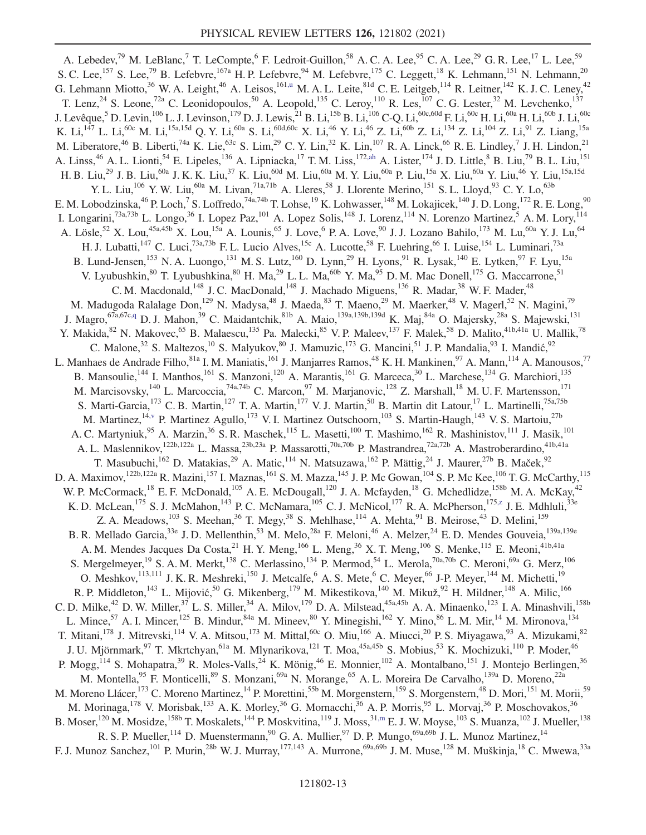A. Lebedev,<sup>79</sup> M. LeBlanc,<sup>7</sup> T. LeCompte,<sup>6</sup> F. Ledroit-Guillon,<sup>58</sup> A. C. A. Lee,<sup>95</sup> C. A. Lee,<sup>29</sup> G. R. Lee,<sup>17</sup> L. Lee,<sup>59</sup> S. C. Lee,<sup>157</sup> S. Lee,<sup>79</sup> B. Lefebvre,<sup>167a</sup> H. P. Lefebvre,<sup>94</sup> M. Lefebvre,<sup>175</sup> C. Leggett,<sup>18</sup> K. Lehmann,<sup>151</sup> N. Lehmann,<sup>20</sup> G. Lehmann Miotto,<sup>36</sup> W. A. Leight,<sup>46</sup> A. Leisos,<sup>161,u</sup> M. A. L. Leite,<sup>81d</sup> C. E. Leitgeb,<sup>114</sup> R. Leitner,<sup>142</sup> K. J. C. Leney,<sup>42</sup> T. Lenz,<sup>24</sup> S. Leone,<sup>72a</sup> C. Leonidopoulos,<sup>50</sup> A. Leopold,<sup>135</sup> C. Leroy,<sup>110</sup> R. Les,<sup>107</sup> C. G. Lester,<sup>32</sup> M. Levchenko,<sup>137</sup> J. Levêque,<sup>5</sup> D. Levin,<sup>106</sup> L. J. Levinson,<sup>179</sup> D. J. Lewis,<sup>21</sup> B. Li,<sup>15b</sup> B. Li,<sup>106</sup> C-Q. Li,<sup>60c,60d</sup> F. Li,<sup>60c</sup> H. Li,<sup>60a</sup> H. Li,<sup>60b</sup> J. Li,<sup>60c</sup> K. Li,<sup>147</sup> L. Li,<sup>60c</sup> M. Li,<sup>15a,15d</sup> Q. Y. Li,<sup>60a</sup> S. Li,<sup>60d,60c</sup> X. Li,<sup>46</sup> Y. Li,<sup>46</sup> Z. Li,<sup>60b</sup> Z. Li,<sup>134</sup> Z. Li,<sup>104</sup> Z. Li,<sup>91</sup> Z. Liang,<sup>15a</sup> M. Liberatore, <sup>46</sup> B. Liberti, <sup>74a</sup> K. Lie, <sup>63c</sup> S. Lim, <sup>29</sup> C. Y. Lin, <sup>32</sup> K. Lin, <sup>107</sup> R. A. Linck, <sup>66</sup> R. E. Lindley, <sup>7</sup> J. H. Lindon, <sup>21</sup> A. Linss,<sup>46</sup> A. L. Lionti,<sup>54</sup> E. Lipeles,<sup>136</sup> A. Lipniacka,<sup>17</sup> T. M. Liss,<sup>172,ah</sup> A. Lister,<sup>174</sup> J. D. Little,<sup>8</sup> B. Liu,<sup>79</sup> B. L. Liu,<sup>151</sup> H. B. Liu,<sup>29</sup> J. B. Liu,<sup>60a</sup> J. K. K. Liu,<sup>37</sup> K. Liu,<sup>60d</sup> M. Liu,<sup>60a</sup> M. Y. Liu,<sup>60a</sup> P. Liu,<sup>15a</sup> X. Liu,<sup>60a</sup> Y. Liu,<sup>46</sup> Y. Liu,<sup>15a,15d</sup> Y. L. Liu,<sup>106</sup> Y. W. Liu,<sup>60a</sup> M. Livan,<sup>71a,71b</sup> A. Lleres,<sup>58</sup> J. Llorente Merino,<sup>151</sup> S. L. Lloyd,<sup>93</sup> C. Y. Lo,<sup>63b</sup> E. M. Lobodzinska, <sup>46</sup> P. Loch, <sup>7</sup> S. Loffredo, <sup>74a, 74b</sup> T. Lohse, <sup>19</sup> K. Lohwasser, <sup>148</sup> M. Lokajicek, <sup>140</sup> J. D. Long, <sup>172</sup> R. E. Long, <sup>90</sup> I. Longarini,<sup>73a,73b</sup> L. Longo,<sup>36</sup> I. Lopez Paz,<sup>101</sup> A. Lopez Solis,<sup>148</sup> J. Lorenz,<sup>114</sup> N. Lorenzo Martinez,<sup>5</sup> A. M. Lory,<sup>114</sup> A. Lösle,<sup>52</sup> X. Lou,<sup>45a,45b</sup> X. Lou,<sup>15a</sup> A. Lounis,<sup>65</sup> J. Love,<sup>6</sup> P. A. Love,<sup>90</sup> J. J. Lozano Bahilo,<sup>173</sup> M. Lu,<sup>60a</sup> Y. J. Lu,<sup>64</sup> H. J. Lubatti,<sup>147</sup> C. Luci,<sup>73a,73b</sup> F. L. Lucio Alves,<sup>15c</sup> A. Lucotte,<sup>58</sup> F. Luehring,<sup>66</sup> I. Luise,<sup>154</sup> L. Luminari,<sup>73a</sup> B. Lund-Jensen,<sup>153</sup> N. A. Luongo,<sup>131</sup> M. S. Lutz,<sup>160</sup> D. Lynn,<sup>29</sup> H. Lyons,<sup>91</sup> R. Lysak,<sup>140</sup> E. Lytken,<sup>97</sup> F. Lyu,<sup>15a</sup> V. Lyubushkin,  $80$  T. Lyubushkina,  $80$  H. Ma,  $29$  L. L. Ma,  $60$  Y. Ma,  $95$  D. M. Mac Donell,  $175$  G. Maccarrone,  $51$ C. M. Macdonald,<sup>148</sup> J. C. MacDonald,<sup>148</sup> J. Machado Miguens,<sup>136</sup> R. Madar,<sup>38</sup> W. F. Mader,<sup>48</sup> M. Madugoda Ralalage Don,<sup>129</sup> N. Madysa,<sup>48</sup> J. Maeda,<sup>83</sup> T. Maeno,<sup>29</sup> M. Maerker,<sup>48</sup> V. Magerl,<sup>52</sup> N. Magini,<sup>79</sup> J. Magro,<sup>67a,67c,q</sup> D. J. Mahon,<sup>39</sup> C. Maidantchik,<sup>81b</sup> A. Maio,<sup>139a,139b,139d</sup> K. Maj,<sup>84a</sup> O. Majersky,<sup>28a</sup> S. Majewski,<sup>131</sup> Y. Makida,  $82$  N. Makovec,  $65$  B. Malaescu,  $135$  Pa. Malecki,  $85$  V. P. Maleev,  $137$  F. Malek,  $58$  D. Malito,  $41b,41a$  U. Mallik,  $78$ C. Malone,  $32$  S. Maltezos,  $10$  S. Malyukov,  $80$  J. Mamuzic,  $173$  G. Mancini,  $51$  J. P. Mandalia,  $93$  I. Mandić,  $92$ L. Manhaes de Andrade Filho,<sup>81a</sup> I. M. Maniatis,<sup>161</sup> J. Manjarres Ramos,<sup>48</sup> K. H. Mankinen,<sup>97</sup> A. Mann,<sup>114</sup> A. Manousos,<sup>77</sup> B. Mansoulie, <sup>144</sup> I. Manthos, <sup>161</sup> S. Manzoni, <sup>120</sup> A. Marantis, <sup>161</sup> G. Marceca, <sup>30</sup> L. Marchese, <sup>134</sup> G. Marchiori, <sup>135</sup> M. Marcisovsky,<sup>140</sup> L. Marcoccia,<sup>74a,74b</sup> C. Marcon,<sup>97</sup> M. Marjanovic,<sup>128</sup> Z. Marshall,<sup>18</sup> M. U. F. Martensson,<sup>171</sup> S. Marti-Garcia,<sup>173</sup> C. B. Martin,<sup>127</sup> T. A. Martin,<sup>177</sup> V. J. Martin,<sup>50</sup> B. Martin dit Latour,<sup>17</sup> L. Martinelli,<sup>75a,75b</sup> M. Martinez,<sup>14,v</sup> P. Martinez Agullo,<sup>173</sup> V. I. Martinez Outschoorn,<sup>103</sup> S. Martin-Haugh,<sup>143</sup> V. S. Martoiu,<sup>27b</sup> A. C. Martyniuk, <sup>95</sup> A. Marzin, <sup>36</sup> S. R. Maschek, <sup>115</sup> L. Masetti, <sup>100</sup> T. Mashimo, <sup>162</sup> R. Mashinistov, <sup>111</sup> J. Masik, <sup>101</sup> A. L. Maslennikov,<sup>122b,122a</sup> L. Massa,<sup>23b,23a</sup> P. Massarotti,<sup>70a,70b</sup> P. Mastrandrea,<sup>72a,72b</sup> A. Mastroberardino,<sup>41b,41a</sup> T. Masubuchi,<sup>162</sup> D. Matakias,<sup>29</sup> A. Matic,<sup>114</sup> N. Matsuzawa,<sup>162</sup> P. Mättig,<sup>24</sup> J. Maurer,<sup>27b</sup> B. Maček,<sup>92</sup> D. A. Maximov,<sup>122b,122a</sup> R. Mazini,<sup>157</sup> I. Maznas,<sup>161</sup> S. M. Mazza,<sup>145</sup> J. P. Mc Gowan,<sup>104</sup> S. P. Mc Kee,<sup>106</sup> T. G. McCarthy,<sup>115</sup> W. P. McCormack,<sup>18</sup> E. F. McDonald,<sup>105</sup> A. E. McDougall,<sup>120</sup> J. A. Mcfayden,<sup>18</sup> G. Mchedlidze,<sup>158b</sup> M. A. McKay,<sup>42</sup> K. D. McLean,<sup>175</sup> S. J. McMahon,<sup>143</sup> P. C. McNamara,<sup>105</sup> C. J. McNicol,<sup>177</sup> R. A. McPherson,<sup>175,z</sup> J. E. Mdhluli,<sup>33e</sup> Z. A. Meadows,<sup>103</sup> S. Meehan,<sup>36</sup> T. Megy,<sup>38</sup> S. Mehlhase,<sup>114</sup> A. Mehta,<sup>91</sup> B. Meirose,<sup>43</sup> D. Melini,<sup>159</sup> B. R. Mellado Garcia,<sup>33e</sup> J. D. Mellenthin,<sup>53</sup> M. Melo,<sup>28a</sup> F. Meloni,<sup>46</sup> A. Melzer,<sup>24</sup> E. D. Mendes Gouveia,<sup>139a,139e</sup> A. M. Mendes Jacques Da Costa,  $^{21}$  H. Y. Meng,  $^{166}$  L. Meng,  $^{36}$  X. T. Meng,  $^{106}$  S. Menke,  $^{115}$  E. Meoni,  $^{41b,41a}$ S. Mergelmeyer,<sup>19</sup> S. A. M. Merkt,<sup>138</sup> C. Merlassino,<sup>134</sup> P. Mermod,<sup>54</sup> L. Merola,<sup>70a,70b</sup> C. Meroni,<sup>69a</sup> G. Merz,<sup>106</sup> O. Meshkov,<sup>113,111</sup> J. K. R. Meshreki,<sup>150</sup> J. Metcalfe,<sup>6</sup> A. S. Mete,<sup>6</sup> C. Meyer,<sup>66</sup> J-P. Meyer,<sup>144</sup> M. Michetti,<sup>19</sup> R. P. Middleton, <sup>143</sup> L. Mijović, <sup>50</sup> G. Mikenberg, <sup>179</sup> M. Mikestikova, <sup>140</sup> M. Mikuž, <sup>92</sup> H. Mildner, <sup>148</sup> A. Milic, <sup>166</sup> C. D. Milke,<sup>42</sup> D. W. Miller,<sup>37</sup> L. S. Miller,<sup>34</sup> A. Milov,<sup>179</sup> D. A. Milstead,<sup>45a,45b</sup> A. A. Minaenko,<sup>123</sup> I. A. Minashvili,<sup>158b</sup> L. Mince,<sup>57</sup> A. I. Mincer,<sup>125</sup> B. Mindur,<sup>84a</sup> M. Mineev,<sup>80</sup> Y. Minegishi,<sup>162</sup> Y. Mino,<sup>86</sup> L. M. Mir,<sup>14</sup> M. Mironova,<sup>134</sup> T. Mitani,<sup>178</sup> J. Mitrevski,<sup>114</sup> V. A. Mitsou,<sup>173</sup> M. Mittal,<sup>60c</sup> O. Miu,<sup>166</sup> A. Miucci,<sup>20</sup> P. S. Miyagawa,<sup>93</sup> A. Mizukami,<sup>82</sup> J. U. Mjörnmark,<sup>97</sup> T. Mkrtchyan,<sup>61a</sup> M. Mlynarikova,<sup>121</sup> T. Moa,<sup>45a,45b</sup> S. Mobius,<sup>53</sup> K. Mochizuki,<sup>110</sup> P. Moder,<sup>46</sup> P. Mogg,<sup>114</sup> S. Mohapatra,<sup>39</sup> R. Moles-Valls,<sup>24</sup> K. Mönig,<sup>46</sup> E. Monnier,<sup>102</sup> A. Montalbano,<sup>151</sup> J. Montejo Berlingen,<sup>36</sup> M. Montella,<sup>95</sup> F. Monticelli,<sup>89</sup> S. Monzani,<sup>69a</sup> N. Morange,<sup>65</sup> A. L. Moreira De Carvalho,<sup>139a</sup> D. Moreno,<sup>22a</sup> M. Moreno Llácer, <sup>173</sup> C. Moreno Martinez, <sup>14</sup> P. Morettini, <sup>55b</sup> M. Morgenstern, <sup>159</sup> S. Morgenstern, <sup>48</sup> D. Mori, <sup>151</sup> M. Morii, <sup>59</sup> M. Morinaga, <sup>178</sup> V. Morisbak, <sup>133</sup> A. K. Morley, <sup>36</sup> G. Mornacchi, <sup>36</sup> A. P. Morris, <sup>95</sup> L. Morvaj, <sup>36</sup> P. Moschovakos, <sup>36</sup> B. Moser,<sup>120</sup> M. Mosidze,<sup>158b</sup> T. Moskalets,<sup>144</sup> P. Moskvitina,<sup>119</sup> J. Moss,<sup>31,m</sup> E. J. W. Moyse,<sup>103</sup> S. Muanza,<sup>102</sup> J. Mueller,<sup>138</sup> R. S. P. Mueller,  $^{114}$  D. Muenstermann,  $^{90}$  G. A. Mullier,  $^{97}$  D. P. Mungo,  $^{69a,69b}$  J. L. Munoz Martinez,  $^{14}$ F. J. Munoz Sanchez,<sup>101</sup> P. Murin,<sup>28b</sup> W. J. Murray,<sup>177,143</sup> A. Murrone,<sup>69a,69b</sup> J. M. Muse,<sup>128</sup> M. Muškinja,<sup>18</sup> C. Mwewa,<sup>33a</sup>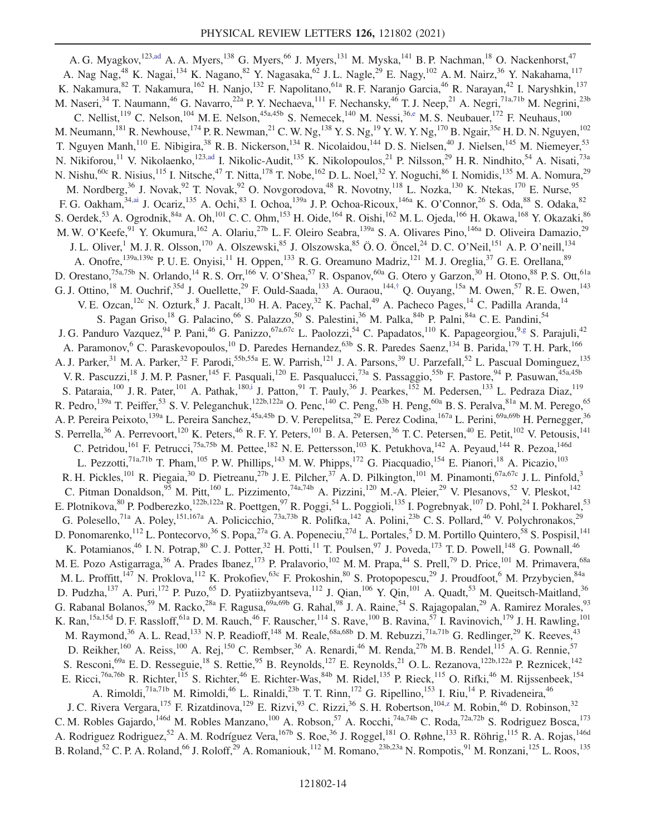A. G. Myagkov,<sup>123,ad</sup> A. A. Myers,<sup>138</sup> G. Myers,<sup>66</sup> J. Myers,<sup>131</sup> M. Myska,<sup>141</sup> B. P. Nachman,<sup>18</sup> O. Nackenhorst,<sup>47</sup> A. Nag Nag,<sup>48</sup> K. Nagai,<sup>134</sup> K. Nagano,<sup>82</sup> Y. Nagasaka,<sup>62</sup> J. L. Nagle,<sup>29</sup> E. Nagy,<sup>102</sup> A. M. Nairz,<sup>36</sup> Y. Nakahama,<sup>117</sup> K. Nakamura,<sup>82</sup> T. Nakamura,<sup>162</sup> H. Nanjo,<sup>132</sup> F. Napolitano,<sup>61a</sup> R. F. Naranjo Garcia,<sup>46</sup> R. Narayan,<sup>42</sup> I. Naryshkin,<sup>137</sup> M. Naseri,<sup>34</sup> T. Naumann,<sup>46</sup> G. Navarro,<sup>22a</sup> P. Y. Nechaeva,<sup>111</sup> F. Nechansky,<sup>46</sup> T. J. Neep,<sup>21</sup> A. Negri,<sup>71a,71b</sup> M. Negrini,<sup>23b</sup> C. Nellist,<sup>119</sup> C. Nelson,<sup>104</sup> M. E. Nelson,<sup>45a,45b</sup> S. Nemecek,<sup>140</sup> M. Nessi,<sup>36,e</sup> M. S. Neubauer,<sup>172</sup> F. Neuhaus,<sup>100</sup> M. Neumann,<sup>181</sup> R. Newhouse,<sup>174</sup> P. R. Newman,<sup>21</sup> C. W. Ng,<sup>138</sup> Y. S. Ng,<sup>19</sup> Y. W. Y. Ng,<sup>170</sup> B. Ngair,<sup>35e</sup> H. D. N. Nguyen,<sup>102</sup> T. Nguyen Manh,<sup>110</sup> E. Nibigira,<sup>38</sup> R. B. Nickerson,<sup>134</sup> R. Nicolaidou,<sup>144</sup> D. S. Nielsen,<sup>40</sup> J. Nielsen,<sup>145</sup> M. Niemeyer,<sup>53</sup> N. Nikiforou,<sup>11</sup> V. Nikolaenko,<sup>123,ad</sup> I. Nikolic-Audit,<sup>135</sup> K. Nikolopoulos,<sup>21</sup> P. Nilsson,<sup>29</sup> H. R. Nindhito,<sup>54</sup> A. Nisati,<sup>73a</sup> N. Nishu,  $60c$  R. Nisius,<sup>115</sup> I. Nitsche,<sup>47</sup> T. Nitta,<sup>178</sup> T. Nobe,<sup>162</sup> D. L. Noel,<sup>32</sup> Y. Noguchi,<sup>86</sup> I. Nomidis,<sup>135</sup> M. A. Nomura,<sup>29</sup> M. Nordberg,<sup>36</sup> J. Novak,<sup>92</sup> T. Novak,<sup>92</sup> O. Novgorodova,<sup>48</sup> R. Novotny,<sup>118</sup> L. Nozka,<sup>130</sup> K. Ntekas,<sup>170</sup> E. Nurse,<sup>95</sup> F. G. Oakham, <sup>34,ai</sup> J. Ocariz, <sup>135</sup> A. Ochi, <sup>83</sup> I. Ochoa, <sup>139a</sup> J. P. Ochoa-Ricoux, <sup>146a</sup> K. O'Connor, <sup>26</sup> S. Oda, <sup>88</sup> S. Odaka, <sup>82</sup> S. Oerdek,<sup>53</sup> A. Ogrodnik,<sup>84a</sup> A. Oh,<sup>101</sup> C. C. Ohm,<sup>153</sup> H. Oide,<sup>164</sup> R. Oishi,<sup>162</sup> M. L. Ojeda,<sup>166</sup> H. Okawa,<sup>168</sup> Y. Okazaki,<sup>86</sup> M. W. O'Keefe,<sup>91</sup> Y. Okumura,<sup>162</sup> A. Olariu,<sup>27b</sup> L. F. Oleiro Seabra,<sup>139a</sup> S. A. Olivares Pino,<sup>146a</sup> D. Oliveira Damazio,<sup>29</sup> J. L. Oliver,<sup>1</sup> M. J. R. Olsson,<sup>170</sup> A. Olszewski,<sup>85</sup> J. Olszowska,<sup>85</sup> Ö. O. Öncel,<sup>24</sup> D. C. O'Neil,<sup>151</sup> A. P. O'neill,<sup>134</sup> A. Onofre,<sup>139a,139e</sup> P. U. E. Onyisi,<sup>11</sup> H. Oppen,<sup>133</sup> R. G. Oreamuno Madriz,<sup>121</sup> M. J. Oreglia,<sup>37</sup> G. E. Orellana,<sup>89</sup> D. Orestano,<sup>75a,75b</sup> N. Orlando,<sup>14</sup> R. S. Orr,<sup>166</sup> V. O'Shea,<sup>57</sup> R. Ospanov,<sup>60a</sup> G. Otero y Garzon,<sup>30</sup> H. Otono,<sup>88</sup> P. S. Ott,<sup>61a</sup> G. J. Ottino,<sup>18</sup> M. Ouchrif,<sup>35d</sup> J. Ouellette,<sup>29</sup> F. Ould-Saada,<sup>133</sup> A. Ouraou,<sup>144,†</sup> Q. Ouyang,<sup>15a</sup> M. Owen,<sup>57</sup> R. E. Owen,<sup>143</sup> V. E. Ozcan, <sup>12c</sup> N. Ozturk, <sup>8</sup> J. Pacalt, <sup>130</sup> H. A. Pacey, <sup>32</sup> K. Pachal, <sup>49</sup> A. Pacheco Pages, <sup>14</sup> C. Padilla Aranda, <sup>14</sup> S. Pagan Griso,<sup>18</sup> G. Palacino,<sup>66</sup> S. Palazzo,<sup>50</sup> S. Palestini,<sup>36</sup> M. Palka,<sup>84b</sup> P. Palni,<sup>84a</sup> C. E. Pandini,<sup>54</sup> J. G. Panduro Vazquez, <sup>94</sup> P. Pani, <sup>46</sup> G. Panizzo, <sup>67a,67c</sup> L. Paolozzi, <sup>54</sup> C. Papadatos,<sup>110</sup> K. Papageorgiou, <sup>9,g</sup> S. Parajuli,<sup>42</sup> A. Paramonov,<sup>6</sup> C. Paraskevopoulos,<sup>10</sup> D. Paredes Hernandez,<sup>63b</sup> S. R. Paredes Saenz,<sup>134</sup> B. Parida,<sup>179</sup> T. H. Park,<sup>166</sup> A. J. Parker,<sup>31</sup> M. A. Parker,<sup>32</sup> F. Parodi,<sup>55b,55a</sup> E. W. Parrish,<sup>121</sup> J. A. Parsons,<sup>39</sup> U. Parzefall,<sup>52</sup> L. Pascual Dominguez,<sup>135</sup> V. R. Pascuzzi,<sup>18</sup> J. M. P. Pasner,<sup>145</sup> F. Pasquali,<sup>120</sup> E. Pasqualucci,<sup>73a</sup> S. Passaggio,<sup>55b</sup> F. Pastore,<sup>94</sup> P. Pasuwan,<sup>45a,45b</sup> S. Pataraia,  $^{100}$  J. R. Pater,  $^{101}$  A. Pathak,  $^{180,i}$  J. Patton,  $^{91}$  T. Pauly,  $^{36}$  J. Pearkes,  $^{152}$  M. Pedersen,  $^{133}$  L. Pedraza Diaz,  $^{119}$ R. Pedro, <sup>139a</sup> T. Peiffer,<sup>53</sup> S. V. Peleganchuk, <sup>122b,122a</sup> O. Penc, <sup>140</sup> C. Peng, <sup>63b</sup> H. Peng, <sup>60a</sup> B. S. Peralva, <sup>81a</sup> M. M. Perego, <sup>65</sup> A. P. Pereira Peixoto,<sup>139a</sup> L. Pereira Sanchez,<sup>45a,45b</sup> D. V. Perepelitsa,<sup>29</sup> E. Perez Codina,<sup>167a</sup> L. Perini,<sup>69a,69b</sup> H. Pernegger,<sup>36</sup> S. Perrella,<sup>36</sup> A. Perrevoort,<sup>120</sup> K. Peters,<sup>46</sup> R. F. Y. Peters,<sup>101</sup> B. A. Petersen,<sup>36</sup> T. C. Petersen,<sup>40</sup> E. Petit,<sup>102</sup> V. Petousis,<sup>141</sup> C. Petridou,<sup>161</sup> F. Petrucci,<sup>75a,75b</sup> M. Pettee,<sup>182</sup> N. E. Pettersson,<sup>103</sup> K. Petukhova,<sup>142</sup> A. Peyaud,<sup>144</sup> R. Pezoa,<sup>146d</sup> L. Pezzotti,<sup>71a,71b</sup> T. Pham,<sup>105</sup> P.W. Phillips,<sup>143</sup> M.W. Phipps,<sup>172</sup> G. Piacquadio,<sup>154</sup> E. Pianori,<sup>18</sup> A. Picazio,<sup>103</sup> R. H. Pickles,<sup>101</sup> R. Piegaia,<sup>30</sup> D. Pietreanu,<sup>27b</sup> J. E. Pilcher,<sup>37</sup> A. D. Pilkington,<sup>101</sup> M. Pinamonti,<sup>67a,67c</sup> J. L. Pinfold,<sup>3</sup> C. Pitman Donaldson, <sup>95</sup> M. Pitt, <sup>160</sup> L. Pizzimento, <sup>74a, 74b</sup> A. Pizzini, <sup>120</sup> M.-A. Pleier, <sup>29</sup> V. Plesanovs, <sup>52</sup> V. Pleskot, <sup>142</sup> E. Plotnikova, <sup>80</sup> P. Podberezko, <sup>122b,122a</sup> R. Poettgen, <sup>97</sup> R. Poggi, <sup>54</sup> L. Poggioli, <sup>135</sup> I. Pogrebnyak, <sup>107</sup> D. Pohl, <sup>24</sup> I. Pokharel, <sup>53</sup> G. Polesello,<sup>71a</sup> A. Poley,<sup>151,167a</sup> A. Policicchio,<sup>73a,73b</sup> R. Polifka,<sup>142</sup> A. Polini,<sup>23b</sup> C. S. Pollard,<sup>46</sup> V. Polychronakos,<sup>29</sup> D. Ponomarenko,<sup>112</sup> L. Pontecorvo,<sup>36</sup> S. Popa,<sup>27a</sup> G. A. Popeneciu,<sup>27d</sup> L. Portales,<sup>5</sup> D. M. Portillo Quintero,<sup>58</sup> S. Pospisil,<sup>141</sup> K. Potamianos,<sup>46</sup> I. N. Potrap,<sup>80</sup> C. J. Potter,<sup>32</sup> H. Potti,<sup>11</sup> T. Poulsen,<sup>97</sup> J. Poveda,<sup>173</sup> T. D. Powell,<sup>148</sup> G. Pownall,<sup>46</sup> M. E. Pozo Astigarraga,<sup>36</sup> A. Prades Ibanez,<sup>173</sup> P. Pralavorio,<sup>102</sup> M. M. Prapa,<sup>44</sup> S. Prell,<sup>79</sup> D. Price,<sup>101</sup> M. Primavera,<sup>68a</sup> M. L. Proffitt, $147$  N. Proklova, $112$  K. Prokofiev, $63c$  F. Prokoshin, $80$  S. Protopopescu, $29$  J. Proudfoot, M. Przybycien, $84a$ D. Pudzha,<sup>137</sup> A. Puri,<sup>172</sup> P. Puzo,<sup>65</sup> D. Pyatiizbyantseva,<sup>112</sup> J. Qian,<sup>106</sup> Y. Qin,<sup>101</sup> A. Quadt,<sup>53</sup> M. Queitsch-Maitland,<sup>36</sup> G. Rabanal Bolanos,<sup>59</sup> M. Racko,<sup>28a</sup> F. Ragusa,<sup>69a,69b</sup> G. Rahal,<sup>98</sup> J. A. Raine,<sup>54</sup> S. Rajagopalan,<sup>29</sup> A. Ramirez Morales,<sup>93</sup> K. Ran,<sup>15a,15d</sup> D. F. Rassloff,<sup>61a</sup> D. M. Rauch,<sup>46</sup> F. Rauscher,<sup>114</sup> S. Rave,<sup>100</sup> B. Ravina,<sup>57</sup> I. Ravinovich,<sup>179</sup> J. H. Rawling,<sup>101</sup> M. Raymond,<sup>36</sup> A. L. Read,<sup>133</sup> N. P. Readioff,<sup>148</sup> M. Reale,<sup>68a,68b</sup> D. M. Rebuzzi,<sup>71a,71b</sup> G. Redlinger,<sup>29</sup> K. Reeves,<sup>43</sup> D. Reikher,<sup>160</sup> A. Reiss,<sup>100</sup> A. Rej,<sup>150</sup> C. Rembser,<sup>36</sup> A. Renardi,<sup>46</sup> M. Renda,<sup>27b</sup> M. B. Rendel,<sup>115</sup> A. G. Rennie,<sup>57</sup> S. Resconi, <sup>69a</sup> E. D. Resseguie, <sup>18</sup> S. Rettie, <sup>95</sup> B. Reynolds, <sup>127</sup> E. Reynolds, <sup>21</sup> O. L. Rezanova, <sup>122b,122a</sup> P. Reznicek, <sup>142</sup> E. Ricci,<sup>76a,76b</sup> R. Richter,<sup>115</sup> S. Richter,<sup>46</sup> E. Richter-Was,<sup>84b</sup> M. Ridel,<sup>135</sup> P. Rieck,<sup>115</sup> O. Rifki,<sup>46</sup> M. Rijssenbeek,<sup>154</sup> A. Rimoldi,<sup>71a,71b</sup> M. Rimoldi,<sup>46</sup> L. Rinaldi,<sup>23b</sup> T. T. Rinn,<sup>172</sup> G. Ripellino,<sup>153</sup> I. Riu,<sup>14</sup> P. Rivadeneira,<sup>46</sup> J. C. Rivera Vergara,<sup>175</sup> F. Rizatdinova,<sup>129</sup> E. Rizvi,<sup>93</sup> C. Rizzi,<sup>36</sup> S. H. Robertson,<sup>104,z</sup> M. Robin,<sup>46</sup> D. Robinson,<sup>32</sup> C. M. Robles Gajardo,<sup>146d</sup> M. Robles Manzano,<sup>100</sup> A. Robson,<sup>57</sup> A. Rocchi,<sup>74a,74b</sup> C. Roda,<sup>72a,72b</sup> S. Rodriguez Bosca,<sup>173</sup> A. Rodriguez Rodriguez,<sup>52</sup> A. M. Rodríguez Vera,<sup>167b</sup> S. Roe,<sup>36</sup> J. Roggel,<sup>181</sup> O. Røhne,<sup>133</sup> R. Röhrig,<sup>115</sup> R. A. Rojas,<sup>146d</sup> B. Roland,<sup>52</sup> C. P. A. Roland,<sup>66</sup> J. Roloff,<sup>29</sup> A. Romaniouk,<sup>112</sup> M. Romano,<sup>23b,23a</sup> N. Rompotis,<sup>91</sup> M. Ronzani,<sup>125</sup> L. Roos,<sup>135</sup>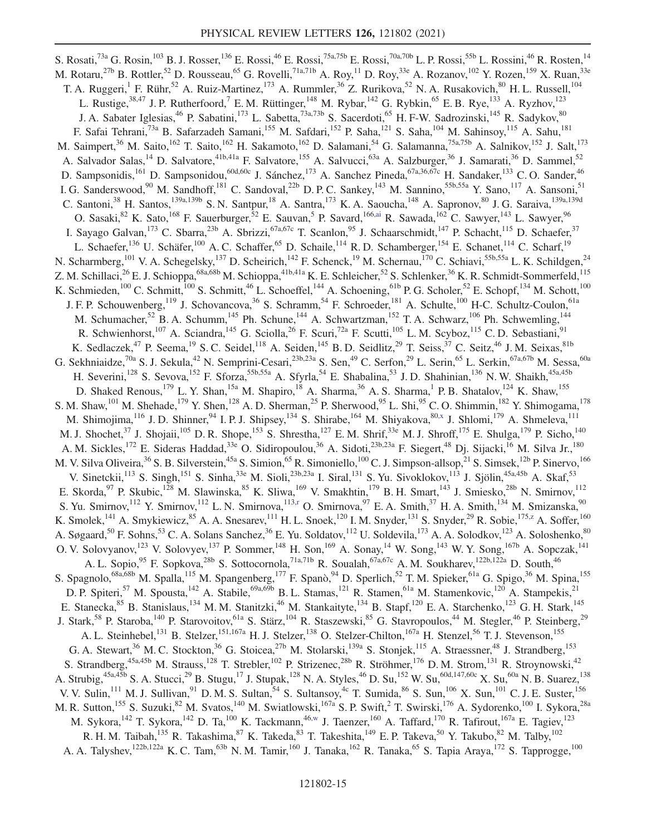S. Rosati,<sup>73a</sup> G. Rosin,<sup>103</sup> B. J. Rosser,<sup>136</sup> E. Rossi,<sup>46</sup> E. Rossi,<sup>75a,75b</sup> E. Rossi,<sup>70a,70b</sup> L. P. Rossi,<sup>55b</sup> L. Rossini,<sup>46</sup> R. Rosten,<sup>14</sup> M. Rotaru,<sup>27b</sup> B. Rottler,<sup>52</sup> D. Rousseau,<sup>65</sup> G. Rovelli,<sup>71a,71b</sup> A. Roy,<sup>11</sup> D. Roy,<sup>33e</sup> A. Rozanov,<sup>102</sup> Y. Rozen,<sup>159</sup> X. Ruan,<sup>33e</sup> T. A. Ruggeri,<sup>1</sup> F. Rühr,<sup>52</sup> A. Ruiz-Martinez,<sup>173</sup> A. Rummler,<sup>36</sup> Z. Rurikova,<sup>52</sup> N. A. Rusakovich,<sup>80</sup> H. L. Russell,<sup>104</sup> L. Rustige,<sup>38,47</sup> J. P. Rutherfoord,<sup>7</sup> E. M. Rüttinger,<sup>148</sup> M. Rybar,<sup>142</sup> G. Rybkin,<sup>65</sup> E. B. Rye,<sup>133</sup> A. Ryzhov,<sup>123</sup> J. A. Sabater Iglesias,<sup>46</sup> P. Sabatini,<sup>173</sup> L. Sabetta,<sup>73a,73b</sup> S. Sacerdoti,<sup>65</sup> H. F-W. Sadrozinski,<sup>145</sup> R. Sadykov,<sup>80</sup> F. Safai Tehrani,<sup>73a</sup> B. Safarzadeh Samani,<sup>155</sup> M. Safdari,<sup>152</sup> P. Saha,<sup>121</sup> S. Saha,<sup>104</sup> M. Sahinsoy,<sup>115</sup> A. Sahu,<sup>181</sup> M. Saimpert,<sup>36</sup> M. Saito,<sup>162</sup> T. Saito,<sup>162</sup> H. Sakamoto,<sup>162</sup> D. Salamani,<sup>54</sup> G. Salamanna,<sup>75a,75b</sup> A. Salnikov,<sup>152</sup> J. Salt,<sup>173</sup> A. Salvador Salas,<sup>14</sup> D. Salvatore,<sup>41b,41a</sup> F. Salvatore,<sup>155</sup> A. Salvucci,<sup>63a</sup> A. Salzburger,<sup>36</sup> J. Samarati,<sup>36</sup> D. Sammel,<sup>52</sup> D. Sampsonidis,<sup>161</sup> D. Sampsonidou,<sup>60d,60c</sup> J. Sánchez,<sup>173</sup> A. Sanchez Pineda,<sup>67a,36,67c</sup> H. Sandaker,<sup>133</sup> C.O. Sander,<sup>46</sup> I. G. Sanderswood,<sup>90</sup> M. Sandhoff,<sup>181</sup> C. Sandoval,<sup>22b</sup> D. P. C. Sankey,<sup>143</sup> M. Sannino,<sup>55b,55a</sup> Y. Sano,<sup>117</sup> A. Sansoni,<sup>51</sup> C. Santoni,<sup>38</sup> H. Santos,<sup>139a,139b</sup> S. N. Santpur,<sup>18</sup> A. Santra,<sup>173</sup> K. A. Saoucha,<sup>148</sup> A. Sapronov,<sup>80</sup> J. G. Saraiva,<sup>139a,139d</sup> O. Sasaki,<sup>82</sup> K. Sato,<sup>168</sup> F. Sauerburger,<sup>52</sup> E. Sauvan,<sup>5</sup> P. Savard,<sup>166,ai</sup> R. Sawada,<sup>162</sup> C. Sawyer,<sup>143</sup> L. Sawyer,<sup>96</sup> I. Sayago Galvan,<sup>173</sup> C. Sbarra,<sup>23b</sup> A. Sbrizzi,<sup>67a,67c</sup> T. Scanlon,<sup>95</sup> J. Schaarschmidt,<sup>147</sup> P. Schacht,<sup>115</sup> D. Schaefer,<sup>37</sup> L. Schaefer,<sup>136</sup> U. Schäfer,<sup>100</sup> A. C. Schaffer,<sup>65</sup> D. Schaile,<sup>114</sup> R. D. Schamberger,<sup>154</sup> E. Schanet,<sup>114</sup> C. Scharf,<sup>19</sup> N. Scharmberg,<sup>101</sup> V. A. Schegelsky,<sup>137</sup> D. Scheirich,<sup>142</sup> F. Schenck,<sup>19</sup> M. Schernau,<sup>170</sup> C. Schiavi,<sup>55b,55a</sup> L. K. Schildgen,<sup>24</sup> Z. M. Schillaci,<sup>26</sup> E. J. Schioppa,<sup>68a,68b</sup> M. Schioppa,<sup>41b,41a</sup> K. E. Schleicher,<sup>52</sup> S. Schlenker,<sup>36</sup> K. R. Schmidt-Sommerfeld,<sup>115</sup> K. Schmieden,<sup>100</sup> C. Schmitt,<sup>100</sup> S. Schmitt,<sup>46</sup> L. Schoeffel,<sup>144</sup> A. Schoening,<sup>61b</sup> P. G. Scholer,<sup>52</sup> E. Schopf,<sup>134</sup> M. Schott,<sup>100</sup> J. F. P. Schouwenberg,<sup>119</sup> J. Schovancova,<sup>36</sup> S. Schramm,<sup>54</sup> F. Schroeder,<sup>181</sup> A. Schulte,<sup>100</sup> H-C. Schultz-Coulon,<sup>61a</sup> M. Schumacher,<sup>52</sup> B. A. Schumm,<sup>145</sup> Ph. Schune,<sup>144</sup> A. Schwartzman,<sup>152</sup> T. A. Schwarz,<sup>106</sup> Ph. Schwemling,<sup>144</sup> R. Schwienhorst,<sup>107</sup> A. Sciandra,<sup>145</sup> G. Sciolla,<sup>26</sup> F. Scuri,<sup>72a</sup> F. Scutti,<sup>105</sup> L. M. Scyboz,<sup>115</sup> C. D. Sebastiani,<sup>91</sup> K. Sedlaczek,<sup>47</sup> P. Seema,<sup>19</sup> S. C. Seidel,<sup>118</sup> A. Seiden,<sup>145</sup> B. D. Seidlitz,<sup>29</sup> T. Seiss,<sup>37</sup> C. Seitz,<sup>46</sup> J. M. Seixas,<sup>81b</sup> G. Sekhniaidze,<sup>70a</sup> S. J. Sekula,<sup>42</sup> N. Semprini-Cesari,<sup>23b,23a</sup> S. Sen,<sup>49</sup> C. Serfon,<sup>29</sup> L. Serin,<sup>65</sup> L. Serkin,<sup>67a,67b</sup> M. Sessa,<sup>60a</sup> H. Severini,<sup>128</sup> S. Sevova,<sup>152</sup> F. Sforza,<sup>55b,55a</sup> A. Sfyrla,<sup>54</sup> E. Shabalina,<sup>53</sup> J.D. Shahinian,<sup>136</sup> N.W. Shaikh,<sup>45a,45b</sup> D. Shaked Renous,  $^{179}$  L. Y. Shan,  $^{15a}$  M. Shapiro,  $^{18}$  A. Sharma,  $^{36}$  A. S. Sharma,  $^{1}$  P. B. Shatalov,  $^{124}$  K. Shaw,  $^{155}$ S. M. Shaw,<sup>101</sup> M. Shehade,<sup>179</sup> Y. Shen,<sup>128</sup> A. D. Sherman,<sup>25</sup> P. Sherwood,<sup>95</sup> L. Shi,<sup>95</sup> C. O. Shimmin,<sup>182</sup> Y. Shimogama,<sup>178</sup> M. Shimojima,<sup>116</sup> J.D. Shinner,<sup>94</sup> I.P.J. Shipsey,<sup>134</sup> S. Shirabe,<sup>164</sup> M. Shiyakova,<sup>80,x</sup> J. Shlomi,<sup>179</sup> A. Shmeleva,<sup>111</sup> M. J. Shochet,<sup>37</sup> J. Shojaii,<sup>105</sup> D. R. Shope,<sup>153</sup> S. Shrestha,<sup>127</sup> E. M. Shrif,<sup>33e</sup> M. J. Shroff,<sup>175</sup> E. Shulga,<sup>179</sup> P. Sicho,<sup>140</sup> A. M. Sickles,<sup>172</sup> E. Sideras Haddad,<sup>33e</sup> O. Sidiropoulou,<sup>36</sup> A. Sidoti,<sup>23b,23a</sup> F. Siegert,<sup>48</sup> Dj. Sijacki,<sup>16</sup> M. Silva Jr.,<sup>180</sup> M. V. Silva Oliveira,<sup>36</sup> S. B. Silverstein,<sup>45a</sup> S. Simion,<sup>65</sup> R. Simoniello,<sup>100</sup> C. J. Simpson-allsop,<sup>21</sup> S. Simsek,<sup>12b</sup> P. Sinervo,<sup>166</sup> V. Sinetckii,<sup>113</sup> S. Singh,<sup>151</sup> S. Sinha,<sup>33e</sup> M. Sioli,<sup>23b,23a</sup> I. Siral,<sup>131</sup> S. Yu. Sivoklokov,<sup>113</sup> J. Sjölin,<sup>45a,45b</sup> A. Skaf,<sup>53</sup> E. Skorda,<sup>97</sup> P. Skubic,<sup>128</sup> M. Slawinska,<sup>85</sup> K. Sliwa,<sup>169</sup> V. Smakhtin,<sup>179</sup> B. H. Smart,<sup>143</sup> J. Smiesko,<sup>28b</sup> N. Smirnov,<sup>112</sup> S. Yu. Smirnov,<sup>112</sup> Y. Smirnov,<sup>112</sup> L. N. Smirnova,<sup>113,r</sup> O. Smirnova,<sup>97</sup> E. A. Smith,<sup>37</sup> H. A. Smith,<sup>134</sup> M. Smizanska,<sup>90</sup> K. Smolek,<sup>141</sup> A. Smykiewicz,<sup>85</sup> A. A. Snesarev,<sup>111</sup> H. L. Snoek,<sup>120</sup> I. M. Snyder,<sup>131</sup> S. Snyder,<sup>29</sup> R. Sobie,<sup>175,z</sup> A. Soffer,<sup>160</sup> A. Søgaard,<sup>50</sup> F. Sohns,<sup>53</sup> C. A. Solans Sanchez,<sup>36</sup> E. Yu. Soldatov,<sup>112</sup> U. Soldevila,<sup>173</sup> A. A. Solodkov,<sup>123</sup> A. Soloshenko,<sup>80</sup> O. V. Solovyanov,<sup>123</sup> V. Solovyev,<sup>137</sup> P. Sommer,<sup>148</sup> H. Son,<sup>169</sup> A. Sonay,<sup>14</sup> W. Song,<sup>143</sup> W. Y. Song,<sup>167b</sup> A. Sopczak,<sup>141</sup> A. L. Sopio,<sup>95</sup> F. Sopkova,<sup>28b</sup> S. Sottocornola,<sup>71a,71b</sup> R. Soualah,<sup>67a,67c</sup> A. M. Soukharev,<sup>122b,122a</sup> D. South,<sup>46</sup> S. Spagnolo,<sup>68a,68b</sup> M. Spalla,<sup>115</sup> M. Spangenberg,<sup>177</sup> F. Spanò,<sup>94</sup> D. Sperlich,<sup>52</sup> T. M. Spieker,<sup>61a</sup> G. Spigo,<sup>36</sup> M. Spina,<sup>155</sup> D. P. Spiteri,<sup>57</sup> M. Spousta,<sup>142</sup> A. Stabile,<sup>69a,69b</sup> B. L. Stamas,<sup>121</sup> R. Stamen,<sup>61a</sup> M. Stamenkovic,<sup>120</sup> A. Stampekis,<sup>21</sup> E. Stanecka, <sup>85</sup> B. Stanislaus, <sup>134</sup> M. M. Stanitzki, <sup>46</sup> M. Stankaityte, <sup>134</sup> B. Stapf, <sup>120</sup> E. A. Starchenko, <sup>123</sup> G. H. Stark, <sup>145</sup> J. Stark,<sup>58</sup> P. Staroba,<sup>140</sup> P. Starovoitov,<sup>61a</sup> S. Stärz,<sup>104</sup> R. Staszewski,<sup>85</sup> G. Stavropoulos,<sup>44</sup> M. Stegler,<sup>46</sup> P. Steinberg,<sup>29</sup> A. L. Steinhebel,<sup>131</sup> B. Stelzer,<sup>151,167a</sup> H. J. Stelzer,<sup>138</sup> O. Stelzer-Chilton,<sup>167a</sup> H. Stenzel,<sup>56</sup> T. J. Stevenson,<sup>155</sup> G. A. Stewart,<sup>36</sup> M. C. Stockton,<sup>36</sup> G. Stoicea,<sup>27b</sup> M. Stolarski,<sup>139a</sup> S. Stonjek,<sup>115</sup> A. Straessner,<sup>48</sup> J. Strandberg,<sup>153</sup> S. Strandberg,<sup>45a,45b</sup> M. Strauss,<sup>128</sup> T. Strebler,<sup>102</sup> P. Strizenec,<sup>28b</sup> R. Ströhmer,<sup>176</sup> D. M. Strom,<sup>131</sup> R. Stroynowski,<sup>42</sup> A. Strubig,  $^{45a,45b}$  S. A. Stucci,  $^{29}$  B. Stugu,  $^{17}$  J. Stupak,  $^{128}$  N. A. Styles,  $^{46}$  D. Su,  $^{152}$  W. Su,  $^{60d,147,60c}$  X. Su,  $^{60a}$  N. B. Suarez,  $^{138}$ V. V. Sulin, <sup>111</sup> M. J. Sullivan, <sup>91</sup> D. M. S. Sultan, <sup>54</sup> S. Sultansoy, <sup>4c</sup> T. Sumida, <sup>86</sup> S. Sun, <sup>106</sup> X. Sun, <sup>101</sup> C. J. E. Suster, <sup>156</sup> M. R. Sutton, <sup>155</sup> S. Suzuki, <sup>82</sup> M. Svatos, <sup>140</sup> M. Swiatlowski, <sup>167a</sup> S. P. Swift, <sup>2</sup> T. Swirski, <sup>176</sup> A. Sydorenko, <sup>100</sup> I. Sykora, <sup>28a</sup> M. Sykora,  $^{142}$  T. Sykora,  $^{142}$  D. Ta,  $^{100}$  K. Tackmann,  $^{46,w}$  J. Taenzer,  $^{160}$  A. Taffard,  $^{170}$  R. Tafirout,  $^{167a}$  E. Tagiev,  $^{123}$ R. H. M. Taibah,<sup>135</sup> R. Takashima,<sup>87</sup> K. Takeda,<sup>83</sup> T. Takeshita,<sup>149</sup> E. P. Takeva,<sup>50</sup> Y. Takubo,<sup>82</sup> M. Talby,<sup>102</sup> A. A. Talyshev,<sup>122b,122a</sup> K. C. Tam,<sup>63b</sup> N. M. Tamir,<sup>160</sup> J. Tanaka,<sup>162</sup> R. Tanaka,<sup>65</sup> S. Tapia Araya,<sup>172</sup> S. Tapprogge,<sup>100</sup>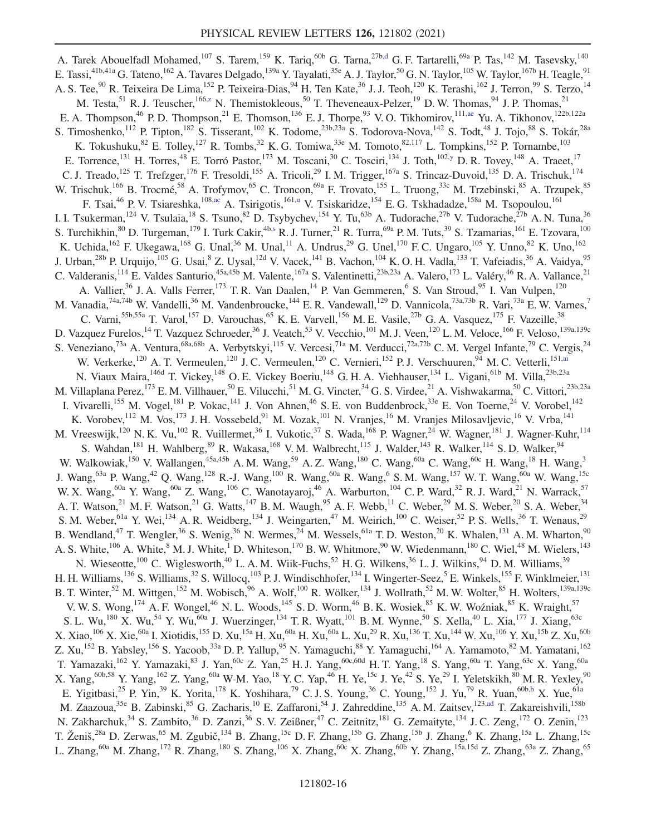A. Tarek Abouelfadl Mohamed,<sup>107</sup> S. Tarem,<sup>159</sup> K. Tariq,<sup>60b</sup> G. Tarna,<sup>27b,d</sup> G. F. Tartarelli,<sup>69a</sup> P. Tas,<sup>142</sup> M. Tasevsky,<sup>140</sup> E. Tassi,<sup>41b,41a</sup> G. Tateno,<sup>162</sup> A. Tavares Delgado,<sup>139a</sup> Y. Tayalati,<sup>35e</sup> A. J. Taylor,<sup>50</sup> G. N. Taylor,<sup>105</sup> W. Taylor,<sup>167b</sup> H. Teagle,<sup>91</sup> A. S. Tee,<sup>90</sup> R. Teixeira De Lima,<sup>152</sup> P. Teixeira-Dias,<sup>94</sup> H. Ten Kate,<sup>36</sup> J. J. Teoh,<sup>120</sup> K. Terashi,<sup>162</sup> J. Terron,<sup>99</sup> S. Terzo,<sup>14</sup> M. Testa,<sup>51</sup> R. J. Teuscher,<sup>166,z</sup> N. Themistokleous,<sup>50</sup> T. Theveneaux-Pelzer,<sup>19</sup> D. W. Thomas,<sup>94</sup> J. P. Thomas,<sup>21</sup> E. A. Thompson,<sup>46</sup> P. D. Thompson,<sup>21</sup> E. Thomson,<sup>136</sup> E. J. Thorpe,<sup>93</sup> V. O. Tikhomirov,<sup>111,ae</sup> Yu. A. Tikhonov,<sup>122b,122a</sup> S. Timoshenko,<sup>112</sup> P. Tipton,<sup>182</sup> S. Tisserant,<sup>102</sup> K. Todome,<sup>23b,23a</sup> S. Todorova-Nova,<sup>142</sup> S. Todt,<sup>48</sup> J. Tojo,<sup>88</sup> S. Tokár,<sup>28a</sup> K. Tokushuku,  $82$  E. Tolley,  $127$  R. Tombs,  $32$  K. G. Tomiwa,  $33e$  M. Tomoto,  $82,117$  L. Tompkins,  $152$  P. Tornambe,  $103$ E. Torrence,<sup>131</sup> H. Torres,<sup>48</sup> E. Torró Pastor,<sup>173</sup> M. Toscani,<sup>30</sup> C. Tosciri,<sup>134</sup> J. Toth,<sup>102,y</sup> D. R. Tovey,<sup>148</sup> A. Traeet,<sup>17</sup> C. J. Treado,<sup>125</sup> T. Trefzger,<sup>176</sup> F. Tresoldi,<sup>155</sup> A. Tricoli,<sup>29</sup> I. M. Trigger,<sup>167a</sup> S. Trincaz-Duvoid,<sup>135</sup> D. A. Trischuk,<sup>174</sup> W. Trischuk,<sup>166</sup> B. Trocmé,<sup>58</sup> A. Trofymov,<sup>65</sup> C. Troncon,<sup>69a</sup> F. Trovato,<sup>155</sup> L. Truong,<sup>33c</sup> M. Trzebinski,<sup>85</sup> A. Trzupek,<sup>85</sup> F. Tsai,<sup>46</sup> P. V. Tsiareshka,<sup>108,ac</sup> A. Tsirigotis,<sup>161,u</sup> V. Tsiskaridze,<sup>154</sup> E. G. Tskhadadze,<sup>158a</sup> M. Tsopoulou,<sup>161</sup> I. I. Tsukerman,<sup>124</sup> V. Tsulaia,<sup>18</sup> S. Tsuno,<sup>82</sup> D. Tsybychev,<sup>154</sup> Y. Tu,<sup>63b</sup> A. Tudorache,<sup>27b</sup> V. Tudorache,<sup>27b</sup> A. N. Tuna,<sup>36</sup> S. Turchikhin, <sup>80</sup> D. Turgeman, <sup>179</sup> I. Turk Cakir, <sup>4b,s</sup> R. J. Turner, <sup>21</sup> R. Turra, <sup>69a</sup> P. M. Tuts, <sup>39</sup> S. Tzamarias, <sup>161</sup> E. Tzovara, <sup>100</sup> K. Uchida,  $^{162}$  F. Ukegawa,  $^{168}$  G. Unal,  $^{36}$  M. Unal,  $^{11}$  A. Undrus,  $^{29}$  G. Unel,  $^{170}$  F. C. Ungaro,  $^{105}$  Y. Unno,  $^{82}$  K. Uno,  $^{162}$ J. Urban,<sup>28b</sup> P. Urquijo,<sup>105</sup> G. Usai,<sup>8</sup> Z. Uysal,<sup>12d</sup> V. Vacek,<sup>141</sup> B. Vachon,<sup>104</sup> K. O. H. Vadla,<sup>133</sup> T. Vafeiadis,<sup>36</sup> A. Vaidya,<sup>95</sup> C. Valderanis, <sup>114</sup> E. Valdes Santurio, <sup>45a, 45b</sup> M. Valente, <sup>167a</sup> S. Valentinetti, <sup>23b, 23a</sup> A. Valero, <sup>173</sup> L. Valéry, <sup>46</sup> R. A. Vallance, <sup>21</sup> A. Vallier,<sup>36</sup> J. A. Valls Ferrer,<sup>173</sup> T. R. Van Daalen,<sup>14</sup> P. Van Gemmeren,<sup>6</sup> S. Van Stroud,<sup>95</sup> I. Van Vulpen,<sup>120</sup> M. Vanadia, <sup>74a, 74b</sup> W. Vandelli, <sup>36</sup> M. Vandenbroucke, <sup>144</sup> E. R. Vandewall, <sup>129</sup> D. Vannicola, <sup>73a, 73b</sup> R. Vari, <sup>73a</sup> E. W. Varnes, <sup>7</sup> C. Varni,<sup>55b,55a</sup> T. Varol,<sup>157</sup> D. Varouchas,<sup>65</sup> K. E. Varvell,<sup>156</sup> M. E. Vasile,<sup>27b</sup> G. A. Vasquez,<sup>175</sup> F. Vazeille,<sup>38</sup> D. Vazquez Furelos,<sup>14</sup> T. Vazquez Schroeder,<sup>36</sup> J. Veatch,<sup>53</sup> V. Vecchio,<sup>101</sup> M. J. Veen,<sup>120</sup> L. M. Veloce,<sup>166</sup> F. Veloso,<sup>139a,139c</sup> S. Veneziano,<sup>73a</sup> A. Ventura,<sup>68a,68b</sup> A. Verbytskyi,<sup>115</sup> V. Vercesi,<sup>71a</sup> M. Verducci,<sup>72a,72b</sup> C. M. Vergel Infante,<sup>79</sup> C. Vergis,<sup>24</sup> W. Verkerke,<sup>120</sup> A. T. Vermeulen,<sup>120</sup> J. C. Vermeulen,<sup>120</sup> C. Vernieri,<sup>152</sup> P. J. Verschuuren,<sup>94</sup> M. C. Vetterli,<sup>151,ai</sup> N. Viaux Maira, <sup>146d</sup> T. Vickey, <sup>148</sup> O. E. Vickey Boeriu, <sup>148</sup> G. H. A. Viehhauser, <sup>134</sup> L. Vigani, <sup>61b</sup> M. Villa, <sup>23b,23a</sup> M. Villaplana Perez,<sup>173</sup> E. M. Villhauer,<sup>50</sup> E. Vilucchi,<sup>51</sup> M. G. Vincter,<sup>34</sup> G. S. Virdee,<sup>21</sup> A. Vishwakarma,<sup>50</sup> C. Vittori,<sup>23b,23a</sup> I. Vivarelli,<sup>155</sup> M. Vogel,<sup>181</sup> P. Vokac,<sup>141</sup> J. Von Ahnen,<sup>46</sup> S. E. von Buddenbrock,<sup>33e</sup> E. Von Toerne,<sup>24</sup> V. Vorobel,<sup>142</sup> K. Vorobev, <sup>112</sup> M. Vos, <sup>173</sup> J. H. Vossebeld, <sup>91</sup> M. Vozak, <sup>101</sup> N. Vranjes, <sup>16</sup> M. Vranjes Milosavljevic, <sup>16</sup> V. Vrba, <sup>141</sup> M. Vreeswijk,<sup>120</sup> N. K. Vu,<sup>102</sup> R. Vuillermet,<sup>36</sup> I. Vukotic,<sup>37</sup> S. Wada,<sup>168</sup> P. Wagner,<sup>24</sup> W. Wagner,<sup>181</sup> J. Wagner-Kuhr,<sup>114</sup> S. Wahdan,<sup>181</sup> H. Wahlberg,<sup>89</sup> R. Wakasa,<sup>168</sup> V. M. Walbrecht,<sup>115</sup> J. Walder,<sup>143</sup> R. Walker,<sup>114</sup> S. D. Walker,<sup>94</sup> W. Walkowiak,<sup>150</sup> V. Wallangen,<sup>45a,45b</sup> A. M. Wang,<sup>59</sup> A. Z. Wang,<sup>180</sup> C. Wang,<sup>60a</sup> C. Wang,<sup>60c</sup> H. Wang,<sup>18</sup> H. Wang,<sup>3</sup> J. Wang,<sup>63a</sup> P. Wang,<sup>42</sup> Q. Wang,<sup>128</sup> R.-J. Wang,<sup>100</sup> R. Wang,<sup>60a</sup> R. Wang,<sup>6</sup> S. M. Wang,<sup>157</sup> W. T. Wang,<sup>60a</sup> W. Wang,<sup>15c</sup> W. X. Wang, <sup>60a</sup> Y. Wang, <sup>60a</sup> Z. Wang, <sup>106</sup> C. Wanotayaroj, <sup>46</sup> A. Warburton, <sup>104</sup> C. P. Ward, <sup>32</sup> R. J. Ward, <sup>21</sup> N. Warrack, <sup>57</sup> A. T. Watson,<sup>21</sup> M. F. Watson,<sup>21</sup> G. Watts,<sup>147</sup> B. M. Waugh,<sup>95</sup> A. F. Webb,<sup>11</sup> C. Weber,<sup>29</sup> M. S. Weber,<sup>20</sup> S. A. Weber,<sup>34</sup> S. M. Weber, <sup>61a</sup> Y. Wei, <sup>134</sup> A. R. Weidberg, <sup>134</sup> J. Weingarten, <sup>47</sup> M. Weirich, <sup>100</sup> C. Weiser, <sup>52</sup> P. S. Wells, <sup>36</sup> T. Wenaus, <sup>29</sup> B. Wendland,<sup>47</sup> T. Wengler,<sup>36</sup> S. Wenig,<sup>36</sup> N. Wermes,<sup>24</sup> M. Wessels,<sup>61a</sup> T. D. Weston,<sup>20</sup> K. Whalen,<sup>131</sup> A. M. Wharton,<sup>90</sup> A. S. White,<sup>106</sup> A. White,<sup>8</sup> M. J. White,<sup>1</sup> D. Whiteson,<sup>170</sup> B. W. Whitmore,<sup>90</sup> W. Wiedenmann,<sup>180</sup> C. Wiel,<sup>48</sup> M. Wielers,<sup>143</sup> N. Wieseotte,<sup>100</sup> C. Wiglesworth,<sup>40</sup> L. A. M. Wiik-Fuchs,<sup>52</sup> H. G. Wilkens,<sup>36</sup> L. J. Wilkins,<sup>94</sup> D. M. Williams,<sup>39</sup> H. H. Williams,<sup>136</sup> S. Williams,<sup>32</sup> S. Willocq,<sup>103</sup> P. J. Windischhofer,<sup>134</sup> I. Wingerter-Seez,<sup>5</sup> E. Winkels,<sup>155</sup> F. Winklmeier,<sup>131</sup> B. T. Winter,<sup>52</sup> M. Wittgen,<sup>152</sup> M. Wobisch,<sup>96</sup> A. Wolf,<sup>100</sup> R. Wölker,<sup>134</sup> J. Wollrath,<sup>52</sup> M. W. Wolter,<sup>85</sup> H. Wolters,<sup>139a,139c</sup> V. W. S. Wong,<sup>174</sup> A. F. Wongel,<sup>46</sup> N. L. Woods,<sup>145</sup> S. D. Worm,<sup>46</sup> B. K. Wosiek,<sup>85</sup> K. W. Woźniak,<sup>85</sup> K. Wraight,<sup>57</sup> S. L. Wu,<sup>180</sup> X. Wu,<sup>54</sup> Y. Wu,<sup>60a</sup> J. Wuerzinger,<sup>134</sup> T. R. Wyatt,<sup>101</sup> B. M. Wynne,<sup>50</sup> S. Xella,<sup>40</sup> L. Xia,<sup>177</sup> J. Xiang,<sup>63c</sup> X. Xiao, <sup>106</sup> X. Xie, <sup>60a</sup> I. Xiotidis, <sup>155</sup> D. Xu, <sup>15a</sup> H. Xu, <sup>60a</sup> H. Xu, <sup>60a</sup> L. Xu, <sup>29</sup> R. Xu, <sup>136</sup> T. Xu, <sup>144</sup> W. Xu, <sup>106</sup> Y. Xu, <sup>15b</sup> Z. Xu, <sup>60b</sup> Z. Xu,<sup>152</sup> B. Yabsley,<sup>156</sup> S. Yacoob,<sup>33a</sup> D. P. Yallup,<sup>95</sup> N. Yamaguchi,<sup>88</sup> Y. Yamaguchi,<sup>164</sup> A. Yamamoto,<sup>82</sup> M. Yamatani,<sup>162</sup> T. Yamazaki,<sup>162</sup> Y. Yamazaki,<sup>83</sup> J. Yan,<sup>60c</sup> Z. Yan,<sup>25</sup> H. J. Yang,<sup>60c,60d</sup> H. T. Yang,<sup>18</sup> S. Yang,<sup>60a</sup> T. Yang,<sup>63c</sup> X. Yang,<sup>60a</sup> X. Yang,<sup>60b,58</sup> Y. Yang,<sup>162</sup> Z. Yang,<sup>60a</sup> W-M. Yao,<sup>18</sup> Y. C. Yap,<sup>46</sup> H. Ye,<sup>15c</sup> J. Ye,<sup>42</sup> S. Ye,<sup>29</sup> I. Yeletskikh,<sup>80</sup> M. R. Yexley,<sup>90</sup> E. Yigitbasi,<sup>25</sup> P. Yin,<sup>39</sup> K. Yorita,<sup>178</sup> K. Yoshihara,<sup>79</sup> C.J. S. Young,<sup>36</sup> C. Young,<sup>152</sup> J. Yu,<sup>79</sup> R. Yuan,<sup>60b,h</sup> X. Yue,<sup>61a</sup> M. Zaazoua,<sup>35e</sup> B. Zabinski,<sup>85</sup> G. Zacharis,<sup>10</sup> E. Zaffaroni,<sup>54</sup> J. Zahreddine,<sup>135</sup> A. M. Zaitsev,<sup>123,ad</sup> T. Zakareishvili,<sup>158b</sup> N. Zakharchuk,<sup>34</sup> S. Zambito,<sup>36</sup> D. Zanzi,<sup>36</sup> S. V. Zeißner,<sup>47</sup> C. Zeitnitz,<sup>181</sup> G. Zemaityte,<sup>134</sup> J. C. Zeng,<sup>172</sup> O. Zenin,<sup>123</sup> T. Ženiš,<sup>28a</sup> D. Zerwas,<sup>65</sup> M. Zgubič,<sup>134</sup> B. Zhang,<sup>15c</sup> D. F. Zhang,<sup>15b</sup> G. Zhang,<sup>15b</sup> J. Zhang,<sup>6</sup> K. Zhang,<sup>15a</sup> L. Zhang,<sup>15c</sup> L. Zhang,  $^{60a}$  M. Zhang,  $^{172}$  R. Zhang,  $^{180}$  S. Zhang,  $^{106}$  X. Zhang,  $^{60c}$  X. Zhang,  $^{60b}$  Y. Zhang,  $^{15a,15d}$  Z. Zhang,  $^{63a}$  Z. Zhang,  $^{65a}$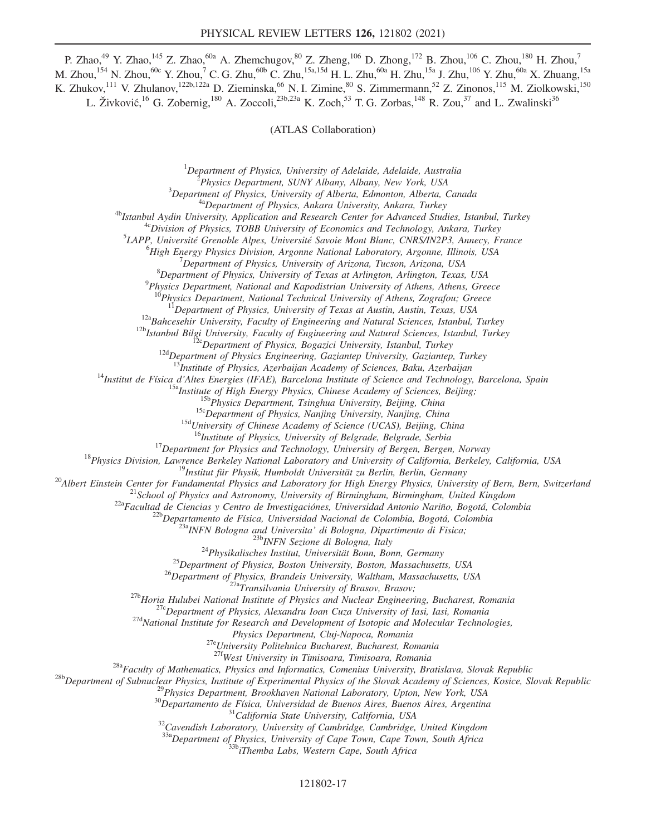P. Zhao,<sup>49</sup> Y. Zhao,<sup>145</sup> Z. Zhao,<sup>60a</sup> A. Zhemchugov,<sup>80</sup> Z. Zheng,<sup>106</sup> D. Zhong,<sup>172</sup> B. Zhou,<sup>106</sup> C. Zhou,<sup>180</sup> H. Zhou,<sup>7</sup> M. Zhou, $^{154}$  N. Zhou, $^{60c}$  Y. Zhou, $^7$  C. G. Zhu, $^{60b}$  C. Zhu, $^{15a,15d}$  H. L. Zhu, $^{60a}$  H. Zhu, $^{15a}$  J. Zhu, $^{106}$  Y. Zhu, $^{60a}$  X. Zhuang, $^{15a}$ K. Zhukov,<sup>111</sup> V. Zhulanov,<sup>122b,122a</sup> D. Zieminska,<sup>66</sup> N. I. Zimine,<sup>80</sup> S. Zimmermann,<sup>52</sup> Z. Zinonos,<sup>115</sup> M. Ziolkowski,<sup>150</sup> L. Živković,<sup>16</sup> G. Zobernig,<sup>180</sup> A. Zoccoli,<sup>23b,23a</sup> K. Zoch,<sup>53</sup> T. G. Zorbas,<sup>148</sup> R. Zou,<sup>37</sup> and L. Zwalinski<sup>36</sup>

(ATLAS Collaboration)

 $1$ Department of Physics, University of Adelaide, Adelaide, Australia

<sup>2</sup>Physics Department, SUNY Albany, Albany, New York, USA

 $3$ Department of Physics, University of Alberta, Edmonton, Alberta, Canada

<sup>4a</sup>Department of Physics, Ankara University, Ankara, Turkey

<sup>4b</sup>Istanbul Aydin University, Application and Research Center for Advanced Studies, Istanbul, Turkey

 $4c$ Division of Physics, TOBB University of Economics and Technology, Ankara, Turkey

<sup>5</sup>LAPP, Université Grenoble Alpes, Université Savoie Mont Blanc, CNRS/IN2P3, Annecy, France

<sup>6</sup>High Energy Physics Division, Argonne National Laboratory, Argonne, Illinois, USA

<sup>7</sup>Department of Physics, University of Arizona, Tucson, Arizona, USA

 ${}^{8}$ Department of Physics, University of Texas at Arlington, Arlington, Texas, USA

<sup>9</sup>Physics Department, National and Kapodistrian University of Athens, Athens, Greece

 $P$ hysics Department, National Technical University of Athens, Zografou; Greece

 $11$ Department of Physics, University of Texas at Austin, Austin, Texas, USA

 $12a$ Bahcesehir University, Faculty of Engineering and Natural Sciences, Istanbul, Turkey

 $12b$ Istanbul Bilgi University, Faculty of Engineering and Natural Sciences, Istanbul, Turkey

 $\frac{12}{2}$ cDepartment of Physics, Bogazici University, Istanbul, Turkey

 $12d$ Department of Physics Engineering, Gaziantep University, Gaziantep, Turkey

 $\overline{B}$ Institute of Physics, Azerbaijan Academy of Sciences, Baku, Azerbaijan

<sup>14</sup>Institut de Física d'Altes Energies (IFAE), Barcelona Institute of Science and Technology, Barcelona, Spain

<sup>15a</sup>Institute of High Energy Physics, Chinese Academy of Sciences, Beijing;

 $15b$ Physics Department, Tsinghua University, Beijing, China

 $15c$ Department of Physics, Nanjing University, Nanjing, China

<sup>15d</sup>University of Chinese Academy of Science (UCAS), Beijing, China

<sup>16</sup>Institute of Physics, University of Belgrade, Belgrade, Serbia

<sup>17</sup>Department for Physics and Technology, University of Bergen, Bergen, Norway

<sup>18</sup>Physics Division, Lawrence Berkeley National Laboratory and University of California, Berkeley, California, USA

<sup>19</sup>Institut für Physik, Humboldt Universität zu Berlin, Berlin, Germany

<sup>20</sup>Albert Einstein Center for Fundamental Physics and Laboratory for High Energy Physics, University of Bern, Bern, Switzerland

 $^{21}$ School of Physics and Astronomy, University of Birmingham, Birmingham, United Kingdom

<sup>22a</sup>Facultad de Ciencias y Centro de Investigaciónes, Universidad Antonio Nariño, Bogotá, Colombia

<sup>22b</sup>Departamento de Física, Universidad Nacional de Colombia, Bogotá, Colombia

 $^{23a}$ INFN Bologna and Universita' di Bologna, Dipartimento di Fisica;

<sup>23b</sup>INFN Sezione di Bologna, Italy

 $^{24}$ Physikalisches Institut, Universität Bonn, Bonn, Germany

 $^{25}$ Department of Physics, Boston University, Boston, Massachusetts, USA

 $^{26}$ Department of Physics, Brandeis University, Waltham, Massachusetts, USA

 $^{27a}$ Transilvania University of Brasov, Brasov;

 $27b$ Horia Hulubei National Institute of Physics and Nuclear Engineering, Bucharest, Romania

<sup>27c</sup>Department of Physics, Alexandru Ioan Cuza University of Iasi, Iasi, Romania

<sup>27d</sup>National Institute for Research and Development of Isotopic and Molecular Technologies,

Physics Department, Cluj-Napoca, Romania

27eUniversity Politehnica Bucharest, Bucharest, Romania

<sup>27f</sup>West University in Timisoara, Timisoara, Romania

<sup>28a</sup>Faculty of Mathematics, Physics and Informatics, Comenius University, Bratislava, Slovak Republic

<sup>28b</sup>Department of Subnuclear Physics, Institute of Experimental Physics of the Slovak Academy of Sciences, Kosice, Slovak Republic

<sup>29</sup>Physics Department, Brookhaven National Laboratory, Upton, New York, USA

 $30$ Departamento de Física, Universidad de Buenos Aires, Buenos Aires, Argentina

 $31$ California State University, California, USA

 $32$ Cavendish Laboratory, University of Cambridge, Cambridge, United Kingdom

 $33a$ Department of Physics, University of Cape Town, Cape Town, South Africa

<sup>33b</sup>iThemba Labs, Western Cape, South Africa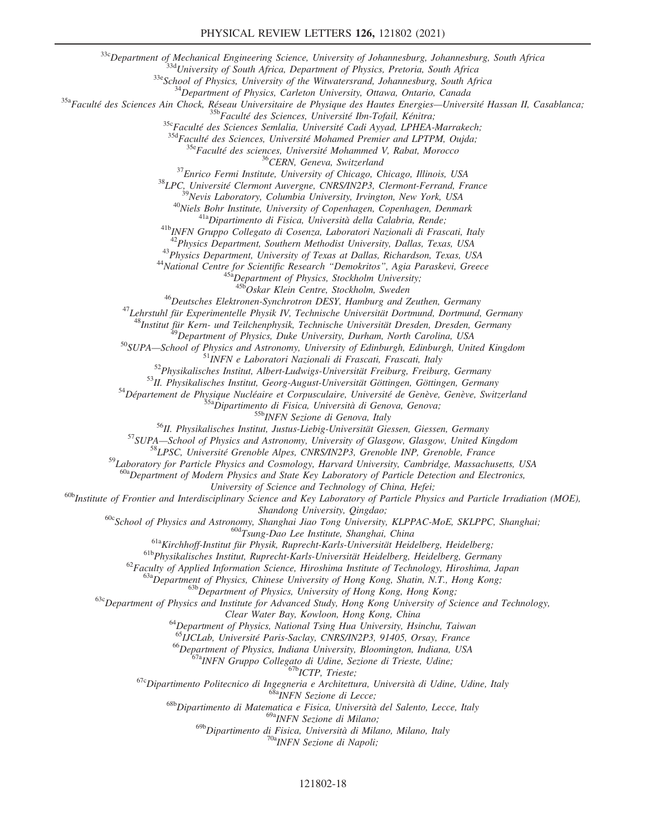33cDepartment of Mechanical Engineering Science, University of Johannesburg, Johannesburg, South Africa

33d University of South Africa, Department of Physics, Pretoria, South Africa

<sup>33e</sup>School of Physics, University of the Witwatersrand, Johannesburg, South Africa

 $34$ Department of Physics, Carleton University, Ottawa, Ontario, Canada

<sup>35a</sup>Faculté des Sciences Ain Chock, Réseau Universitaire de Physique des Hautes Energies—Université Hassan II, Casablanca;

<sup>35b</sup>Faculté des Sciences, Université Ibn-Tofail, Kénitra;

<sup>35c</sup>Faculté des Sciences Semlalia, Université Cadi Ayyad, LPHEA-Marrakech;

 $35d$ Faculté des Sciences, Université Mohamed Premier and LPTPM, Oujda;

<sup>35e</sup>Faculté des sciences, Université Mohammed V, Rabat, Morocco

<sup>36</sup>CERN, Geneva, Switzerland

 $37$ Enrico Fermi Institute, University of Chicago, Chicago, Illinois, USA

 $38$ LPC, Université Clermont Auvergne, CNRS/IN2P3, Clermont-Ferrand, France

<sup>39</sup>Nevis Laboratory, Columbia University, Irvington, New York, USA

<sup>40</sup>Niels Bohr Institute, University of Copenhagen, Copenhagen, Denmark

<sup>41a</sup>Dipartimento di Fisica, Università della Calabria, Rende;

41bINFN Gruppo Collegato di Cosenza, Laboratori Nazionali di Frascati, Italy

<sup>42</sup>Physics Department, Southern Methodist University, Dallas, Texas, USA

<sup>43</sup>Physics Department, University of Texas at Dallas, Richardson, Texas, USA

<sup>44</sup>National Centre for Scientific Research "Demokritos", Agia Paraskevi, Greece <sup>45a</sup>Department of Physics, Stockholm University;

45b Oskar Klein Centre, Stockholm, Sweden

 $^{46}$ Deutsches Elektronen-Synchrotron DESY, Hamburg and Zeuthen, Germany

 $47$ Lehrstuhl für Experimentelle Physik IV, Technische Universität Dortmund, Dortmund, Germany

<sup>18</sup>Institut für Kern- und Teilchenphysik, Technische Universität Dresden, Dresden, Germany

 $^{9}$ Department of Physics, Duke University, Durham, North Carolina, USA

<sup>50</sup>SUPA—School of Physics and Astronomy, University of Edinburgh, Edinburgh, United Kingdom

<sup>51</sup>INFN e Laboratori Nazionali di Frascati, Frascati, Italy

 $52$ Physikalisches Institut, Albert-Ludwigs-Universität Freiburg, Freiburg, Germany

<sup>53</sup>II. Physikalisches Institut, Georg-August-Universität Göttingen, Göttingen, Germany

 $54$ Département de Physique Nucléaire et Corpusculaire, Université de Genève, Genève, Switzerland

 $^{55a}$ Dipartimento di Fisica, Università di Genova, Genova;

55bINFN Sezione di Genova, Italy

<sup>56</sup>II. Physikalisches Institut, Justus-Liebig-Universität Giessen, Giessen, Germany

<sup>57</sup>SUPA—School of Physics and Astronomy, University of Glasgow, Glasgow, United Kingdom

58LPSC, Université Grenoble Alpes, CNRS/IN2P3, Grenoble INP, Grenoble, France

59Laboratory for Particle Physics and Cosmology, Harvard University, Cambridge, Massachusetts, USA

<sup>a</sup>Department of Modern Physics and State Key Laboratory of Particle Detection and Electronics,

University of Science and Technology of China, Hefei;

<sup>60b</sup>Institute of Frontier and Interdisciplinary Science and Key Laboratory of Particle Physics and Particle Irradiation (MOE), Shandong University, Qingdao;

<sup>60c</sup>School of Physics and Astronomy, Shanghai Jiao Tong University, KLPPAC-MoE, SKLPPC, Shanghai;

 $60d$ Tsung-Dao Lee Institute, Shanghai, China

 $61a$ Kirchhoff-Institut für Physik, Ruprecht-Karls-Universität Heidelberg, Heidelberg;

<sup>61b</sup>Physikalisches Institut, Ruprecht-Karls-Universität Heidelberg, Heidelberg, Germany

 $^{62}$ Faculty of Applied Information Science, Hiroshima Institute of Technology, Hiroshima, Japan

63aDepartment of Physics, Chinese University of Hong Kong, Shatin, N.T., Hong Kong;

63b Department of Physics, University of Hong Kong, Hong Kong;

<sup>63c</sup>Department of Physics and Institute for Advanced Study, Hong Kong University of Science and Technology,

Clear Water Bay, Kowloon, Hong Kong, China

<sup>64</sup>Department of Physics, National Tsing Hua University, Hsinchu, Taiwan

<sup>65</sup>IJCLab, Université Paris-Saclay, CNRS/IN2P3, 91405, Orsay, France

<sup>66</sup>Department of Physics, Indiana University, Bloomington, Indiana, USA

<sup>67a</sup>INFN Gruppo Collegato di Udine, Sezione di Trieste, Udine;

<sup>67b</sup>ICTP, Trieste;

 $67c$ Dipartimento Politecnico di Ingegneria e Architettura, Università di Udine, Udine, Italy

68aINFN Sezione di Lecce;

<sup>68b</sup>Dipartimento di Matematica e Fisica, Università del Salento, Lecce, Italy

<sup>69a</sup>INFN Sezione di Milano;

 $69b$ Dipartimento di Fisica, Università di Milano, Milano, Italy

<sup>70a</sup>INFN Sezione di Napoli;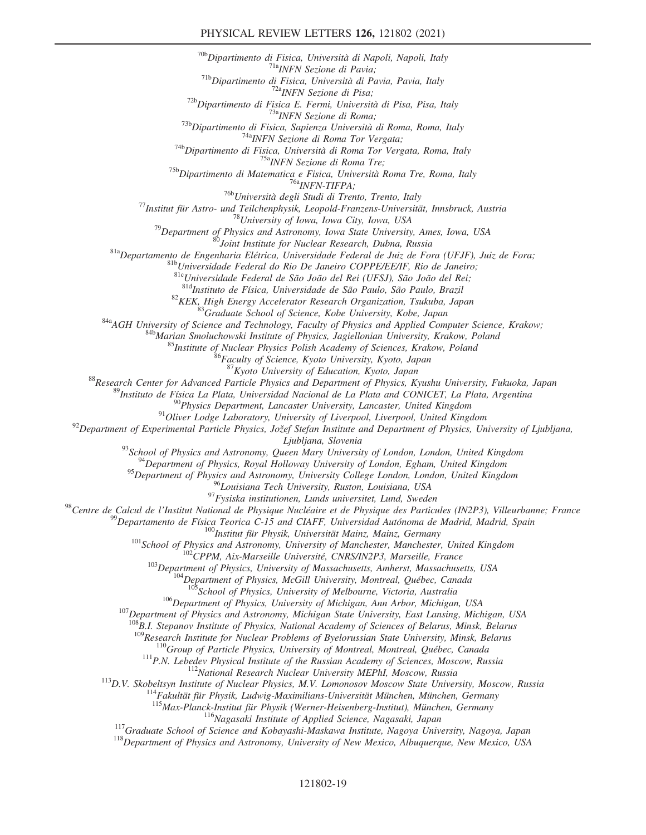<sup>70b</sup>Dipartimento di Fisica, Università di Napoli, Napoli, Italy <sup>71a</sup>INFN Sezione di Pavia; <sup>71b</sup>Dipartimento di Fisica, Università di Pavia, Pavia, Italy <sup>72a</sup>INFN Sezione di Pisa;  $72b$ Dipartimento di Fisica E. Fermi, Università di Pisa, Pisa, Italy <sup>73a</sup>INFN Sezione di Roma;  $^{73b}$ Dipartimento di Fisica, Sapienza Università di Roma, Roma, Italy

74aINFN Sezione di Roma Tor Vergata;

<sup>74b</sup>Dipartimento di Fisica, Università di Roma Tor Vergata, Roma, Italy <sup>75a</sup>INFN Sezione di Roma Tre;

<sup>75b</sup>Dipartimento di Matematica e Fisica, Università Roma Tre, Roma, Italy

<sup>76a</sup>INFN-TIFPA;

<sup>76b</sup>Università degli Studi di Trento, Trento, Italy

 $^{77}$ Institut für Astro- und Teilchenphysik, Leopold-Franzens-Universität, Innsbruck, Austria

<sup>78</sup>University of Iowa, Iowa City, Iowa, USA

 $^{79}$ Department of Physics and Astronomy, Iowa State University, Ames, Iowa, USA

<sup>80</sup>Joint Institute for Nuclear Research, Dubna, Russia

<sup>81a</sup>Departamento de Engenharia Elétrica, Universidade Federal de Juiz de Fora (UFJF), Juiz de Fora;

81bUniversidade Federal do Rio De Janeiro COPPE/EE/IF, Rio de Janeiro;

81cUniversidade Federal de São João del Rei (UFSJ), São João del Rei;

81d<sub>Instituto de Física, Universidade de São Paulo, São Paulo, Brazil</sub>

 $82$ KEK, High Energy Accelerator Research Organization, Tsukuba, Japan

<sup>83</sup>Graduate School of Science, Kobe University, Kobe, Japan

<sup>84a</sup>AGH University of Science and Technology, Faculty of Physics and Applied Computer Science, Krakow;

<sup>84b</sup>Marian Smoluchowski Institute of Physics, Jagiellonian University, Krakow, Poland

<sup>85</sup>Institute of Nuclear Physics Polish Academy of Sciences, Krakow, Poland

<sup>6</sup>Faculty of Science, Kyoto University, Kyoto, Japan

 $^{87}$ Kyoto University of Education, Kyoto, Japan

88Research Center for Advanced Particle Physics and Department of Physics, Kyushu University, Fukuoka, Japan

<sup>89</sup>Instituto de Física La Plata, Universidad Nacional de La Plata and CONICET, La Plata, Argentina

 $90$ Physics Department, Lancaster University, Lancaster, United Kingdom

 $91$ Oliver Lodge Laboratory, University of Liverpool, Liverpool, United Kingdom

 $^{92}$ Department of Experimental Particle Physics, Jožef Stefan Institute and Department of Physics, University of Ljubljana,

Ljubljana, Slovenia

 $93$ School of Physics and Astronomy, Queen Mary University of London, London, United Kingdom

 $^{4}$ Department of Physics, Royal Holloway University of London, Egham, United Kingdom

<sup>95</sup>Department of Physics and Astronomy, University College London, London, United Kingdom

<sup>96</sup>Louisiana Tech University, Ruston, Louisiana, USA

 $97$ Fysiska institutionen, Lunds universitet, Lund, Sweden

98 Centre de Calcul de l'Institut National de Physique Nucléaire et de Physique des Particules (IN2P3), Villeurbanne; France

<sup>99</sup>Departamento de Física Teorica C-15 and CIAFF, Universidad Autónoma de Madrid, Madrid, Spain

 $100$ Institut für Physik, Universität Mainz, Mainz, Germany

 $101$  School of Physics and Astronomy, University of Manchester, Manchester, United Kingdom

 $102$ CPPM, Aix-Marseille Université, CNRS/IN2P3, Marseille, France

 $103$ Department of Physics, University of Massachusetts, Amherst, Massachusetts, USA

 $104$ Department of Physics, McGill University, Montreal, Québec, Canada

 $105$ School of Physics, University of Melbourne, Victoria, Australia

<sup>106</sup>Department of Physics, University of Michigan, Ann Arbor, Michigan, USA

<sup>107</sup>Department of Physics and Astronomy, Michigan State University, East Lansing, Michigan, USA

 $108B$ .I. Stepanov Institute of Physics, National Academy of Sciences of Belarus, Minsk, Belarus

<sup>109</sup>Research Institute for Nuclear Problems of Byelorussian State University, Minsk, Belarus

 $110$ Group of Particle Physics, University of Montreal, Montreal, Québec, Canada

 $111P.N.$  Lebedev Physical Institute of the Russian Academy of Sciences, Moscow, Russia

<sup>112</sup>National Research Nuclear University MEPhI, Moscow, Russia

<sup>113</sup>D.V. Skobeltsyn Institute of Nuclear Physics, M.V. Lomonosov Moscow State University, Moscow, Russia

<sup>114</sup>Fakultät für Physik, Ludwig-Maximilians-Universität München, München, Germany

<sup>115</sup>Max-Planck-Institut für Physik (Werner-Heisenberg-Institut), München, Germany

<sup>116</sup>Nagasaki Institute of Applied Science, Nagasaki, Japan

<sup>117</sup>Graduate School of Science and Kobayashi-Maskawa Institute, Nagoya University, Nagoya, Japan

 $118$ Department of Physics and Astronomy, University of New Mexico, Albuquerque, New Mexico, USA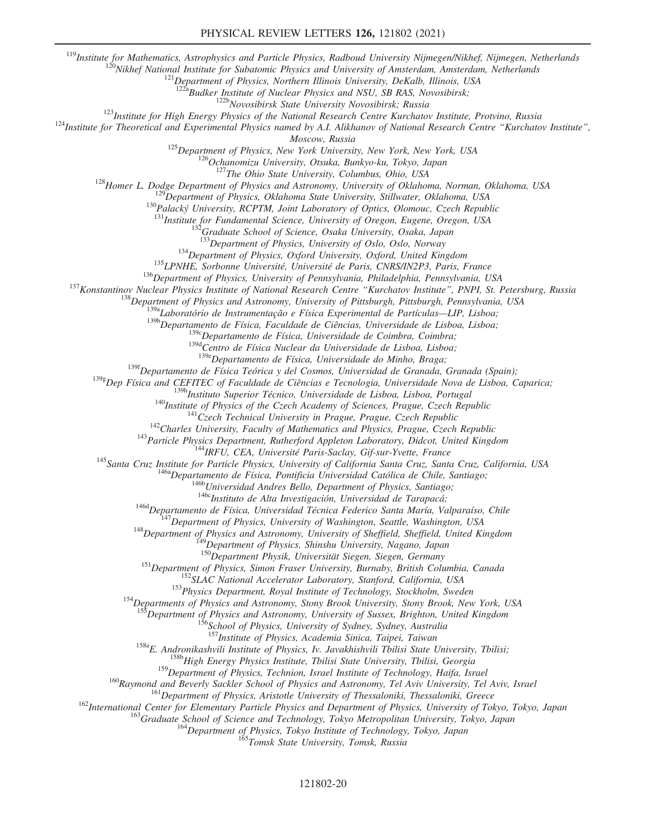<sup>119</sup>Institute for Mathematics, Astrophysics and Particle Physics, Radboud University Nijmegen/Nikhef, Nijmegen, Netherlands

<sup>120</sup>Nikhef National Institute for Subatomic Physics and University of Amsterdam, Amsterdam, Netherlands

 $121$ Department of Physics, Northern Illinois University, DeKalb, Illinois, USA

<sup>a</sup>Budker Institute of Nuclear Physics and NSU, SB RAS, Novosibirsk;

<sup>122b</sup>Novosibirsk State University Novosibirsk; Russia

<sup>123</sup>Institute for High Energy Physics of the National Research Centre Kurchatov Institute, Protvino, Russia

 $124$ Institute for Theoretical and Experimental Physics named by A.I. Alikhanov of National Research Centre "Kurchatov Institute",

Moscow, Russia

<sup>125</sup>Department of Physics, New York University, New York, New York, USA

126<br><sup>126</sup>Ochanomizu University, Otsuka, Bunkyo-ku, Tokyo, Japan

 $127$ The Ohio State University, Columbus, Ohio, USA

<sup>128</sup>Homer L. Dodge Department of Physics and Astronomy, University of Oklahoma, Norman, Oklahoma, USA

 $^{129}$ Department of Physics, Oklahoma State University, Stillwater, Oklahoma, USA

130 Palacký University, RCPTM, Joint Laboratory of Optics, Olomouc, Czech Republic

 $^{131}$ Institute for Fundamental Science, University of Oregon, Eugene, Oregon, USA

 $^{2}$ Graduate School of Science, Osaka University, Osaka, Japan

<sup>133</sup>Department of Physics, University of Oslo, Oslo, Norway

 $134$ Department of Physics, Oxford University, Oxford, United Kingdom

<sup>135</sup>LPNHE, Sorbonne Université, Université de Paris, CNRS/IN2P3, Paris, France

<sup>136</sup>Department of Physics, University of Pennsylvania, Philadelphia, Pennsylvania, USA

<sup>137</sup>Konstantinov Nuclear Physics Institute of National Research Centre "Kurchatov Institute", PNPI, St. Petersburg, Russia

138<br><sup>138</sup>Department of Physics and Astronomy, University of Pittsburgh, Pittsburgh, Pennsylvania, USA

 $139a$ Laboratório de Instrumentação e Física Experimental de Partículas—LIP, Lisboa;

 $139b$ Departamento de Física, Faculdade de Ciências, Universidade de Lisboa, Lisboa;

 $139c$ Departamento de Física, Universidade de Coimbra, Coimbra;

 $139d$ Centro de Física Nuclear da Universidade de Lisboa, Lisboa;

 $139e$ Departamento de Física, Universidade do Minho, Braga;

<sup>139f</sup>Departamento de Física Teórica y del Cosmos, Universidad de Granada, Granada (Spain);

 $1398$ Dep Física and CEFITEC of Faculdade de Ciências e Tecnologia, Universidade Nova de Lisboa, Caparica;

<sup>139h</sup>Instituto Superior Técnico, Universidade de Lisboa, Lisboa, Portugal

 $140$ Institute of Physics of the Czech Academy of Sciences, Prague, Czech Republic

 $141$ Czech Technical University in Prague, Prague, Czech Republic

 $142$ Charles University, Faculty of Mathematics and Physics, Prague, Czech Republic

<sup>143</sup> Particle Physics Department, Rutherford Appleton Laboratory, Didcot, United Kingdom

<sup>144</sup>IRFU, CEA, Université Paris-Saclay, Gif-sur-Yvette, France

<sup>145</sup>Santa Cruz Institute for Particle Physics, University of California Santa Cruz, Santa Cruz, California, USA

<sup>146a</sup>Departamento de Física, Pontificia Universidad Católica de Chile, Santiago;

<sup>146b</sup>Universidad Andres Bello, Department of Physics, Santiago;

146cInstituto de Alta Investigación, Universidad de Tarapacá;

<sup>146d</sup>Departamento de Física, Universidad Técnica Federico Santa María, Valparaíso, Chile

 $147$ Department of Physics, University of Washington, Seattle, Washington, USA

<sup>148</sup>Department of Physics and Astronomy, University of Sheffield, Sheffield, United Kingdom

<sup>149</sup>Department of Physics, Shinshu University, Nagano, Japan

<sup>150</sup>Department Physik, Universität Siegen, Siegen, Germany

<sup>151</sup>Department of Physics, Simon Fraser University, Burnaby, British Columbia, Canada

<sup>152</sup>SLAC National Accelerator Laboratory, Stanford, California, USA

<sup>153</sup>Physics Department, Royal Institute of Technology, Stockholm, Sweden

<sup>154</sup>Departments of Physics and Astronomy, Stony Brook University, Stony Brook, New York, USA

 ${}^{5}$ Department of Physics and Astronomy, University of Sussex, Brighton, United Kingdom

<sup>156</sup>School of Physics, University of Sydney, Sydney, Australia

<sup>157</sup>Institute of Physics, Academia Sinica, Taipei, Taiwan

<sup>158a</sup>E. Andronikashvili Institute of Physics, Iv. Javakhishvili Tbilisi State University, Tbilisi;

<sup>158b</sup>High Energy Physics Institute, Tbilisi State University, Tbilisi, Georgia

<sup>159</sup>Department of Physics, Technion, Israel Institute of Technology, Haifa, Israel

<sup>160</sup>Raymond and Beverly Sackler School of Physics and Astronomy, Tel Aviv University, Tel Aviv, Israel

<sup>161</sup>Department of Physics, Aristotle University of Thessaloniki, Thessaloniki, Greece

<sup>162</sup>International Center for Elementary Particle Physics and Department of Physics, University of Tokyo, Tokyo, Japan

<sup>163</sup>Graduate School of Science and Technology, Tokyo Metropolitan University, Tokyo, Japan

164 Department of Physics, Tokyo Institute of Technology, Tokyo, Japan

<sup>165</sup>Tomsk State University, Tomsk, Russia